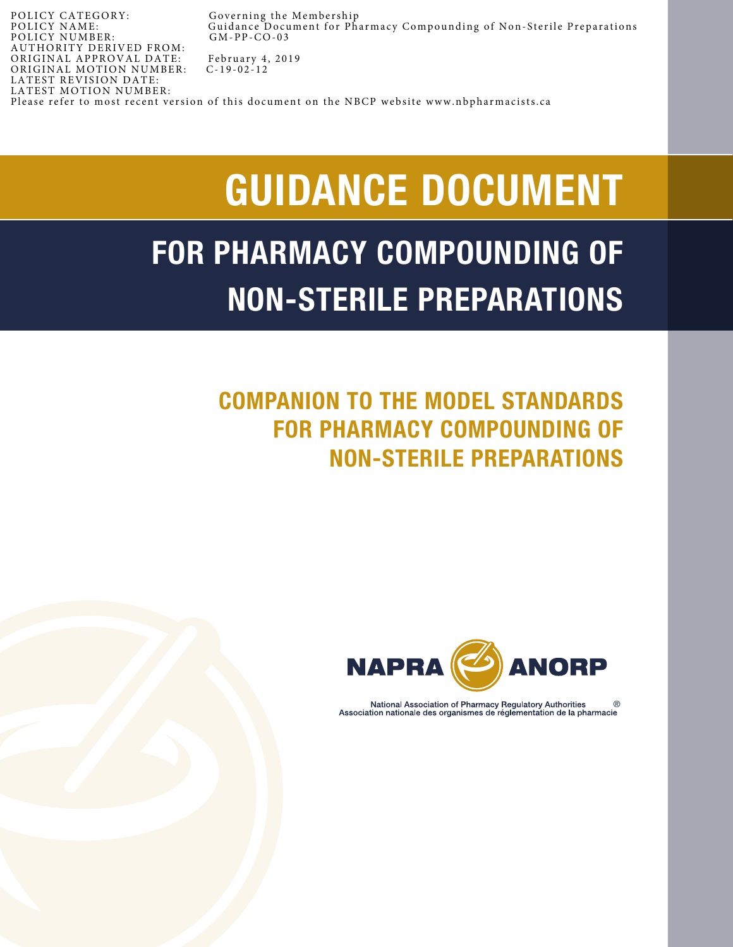POLICY CATEGORY: Governing the Membership<br>POLICY NAME: Guidance Document for Ph: Guidance Document for Pharmacy Compounding of Non-Sterile Preparations<br>GM-PP-CO-03 POLICY NUMBER: A UTHORITY DERIVED FROM: ORIGINAL APPROVAL DATE: February 4, 2019<br>ORIGINAL MOTION NUMBER: C-19-02-12 ORIGINAL MOTION NUMBER: LATEST REVISION DATE: LATEST MOTION NUMBER: Please refer to most recent version of this document on the NBCP website www.nbpharmacists.ca

# GUIDANCE DOCUMENT

# FOR PHARMACY COMPOUNDING OF NON-STERILE PREPARATIONS

# COMPANION TO THE MODEL STANDARDS FOR PHARMACY COMPOUNDING OF NON-STERILE PREPARATIONS



National Association of Pharmacy Regulatory Authorities Association nationale des organismes de réglementation de la pharmacie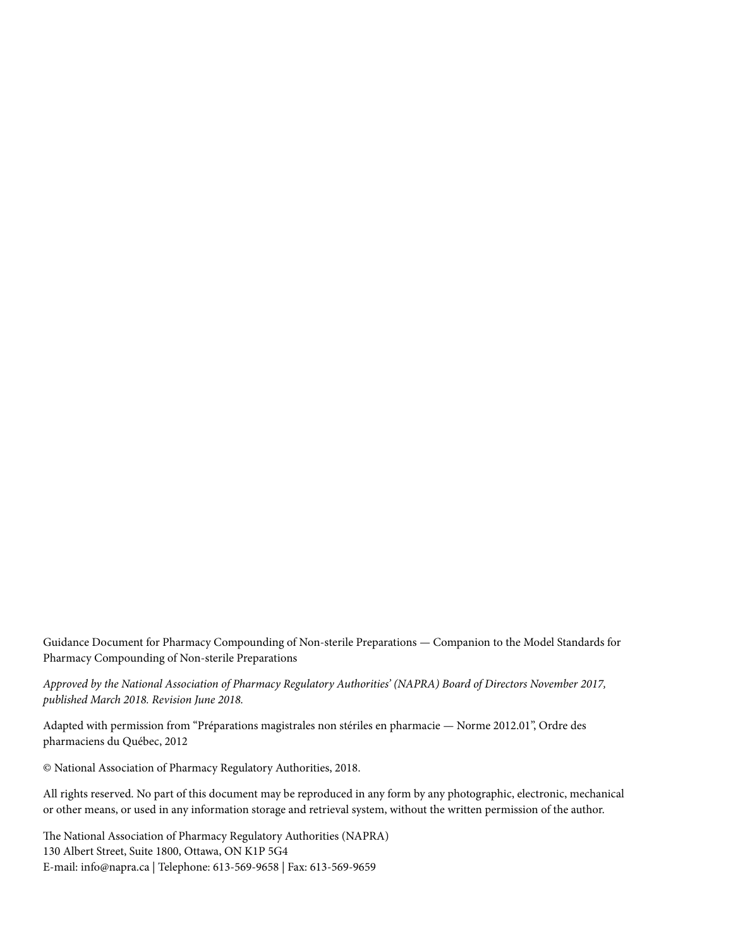Guidance Document for Pharmacy Compounding of Non-sterile Preparations *—* Companion to the Model Standards for Pharmacy Compounding of Non-sterile Preparations

*Approved by the National Association of Pharmacy Regulatory Authorities' (NAPRA) Board of Directors November 2017, published March 2018. Revision June 2018.*

Adapted with permission from "Préparations magistrales non stériles en pharmacie *—* Norme 2012.01", Ordre des pharmaciens du Québec, 2012

© National Association of Pharmacy Regulatory Authorities, 2018.

All rights reserved. No part of this document may be reproduced in any form by any photographic, electronic, mechanical or other means, or used in any information storage and retrieval system, without the written permission of the author.

The National Association of Pharmacy Regulatory Authorities (NAPRA) 130 Albert Street, Suite 1800, Ottawa, ON K1P 5G4 E-mail: [info@napra.ca](mailto:info%40napra.ca?subject=) | Telephone: 613-569-9658 | Fax: 613-569-9659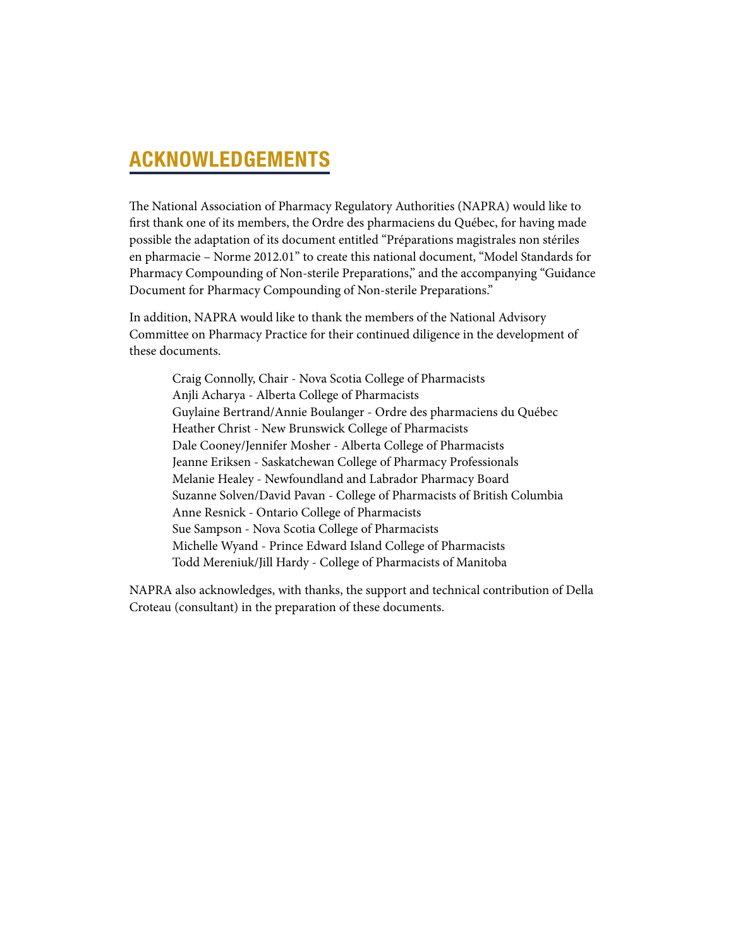## ACKNOWLEDGEMENTS

The National Association of Pharmacy Regulatory Authorities (NAPRA) would like to first thank one of its members, the Ordre des pharmaciens du Québec, for having made possible the adaptation of its document entitled "Préparations magistrales non stériles en pharmacie – Norme 2012.01" to create this national document, "Model Standards for Pharmacy Compounding of Non-sterile Preparations," and the accompanying "Guidance Document for Pharmacy Compounding of Non-sterile Preparations."

In addition, NAPRA would like to thank the members of the National Advisory Committee on Pharmacy Practice for their continued diligence in the development of these documents.

Craig Connolly, Chair - Nova Scotia College of Pharmacists Anjli Acharya - Alberta College of Pharmacists Guylaine Bertrand/Annie Boulanger - Ordre des pharmaciens du Québec Heather Christ - New Brunswick College of Pharmacists Dale Cooney/Jennifer Mosher - Alberta College of Pharmacists Jeanne Eriksen - Saskatchewan College of Pharmacy Professionals Melanie Healey - Newfoundland and Labrador Pharmacy Board Suzanne Solven/David Pavan - College of Pharmacists of British Columbia Anne Resnick - Ontario College of Pharmacists Sue Sampson - Nova Scotia College of Pharmacists Michelle Wyand - Prince Edward Island College of Pharmacists Todd Mereniuk/Jill Hardy - College of Pharmacists of Manitoba

NAPRA also acknowledges, with thanks, the support and technical contribution of Della Croteau (consultant) in the preparation of these documents.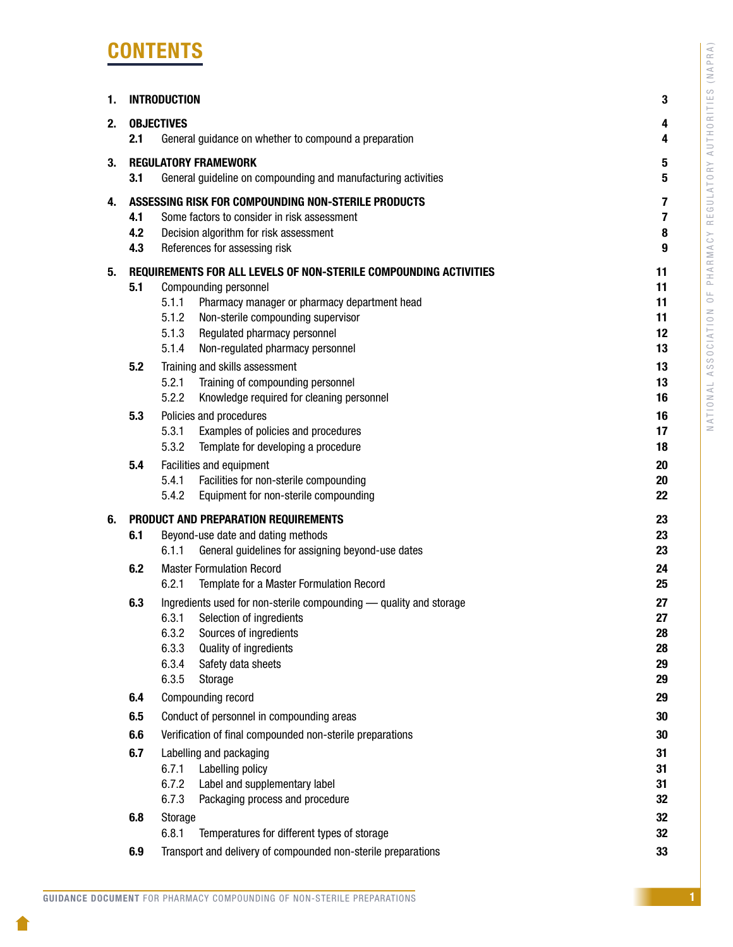# **CONTENTS**

| 1. | <b>INTRODUCTION</b> |                   |                                                                                    | 3        |
|----|---------------------|-------------------|------------------------------------------------------------------------------------|----------|
| 2. |                     | <b>OBJECTIVES</b> |                                                                                    | 4        |
|    | 2.1                 |                   | General guidance on whether to compound a preparation                              | 4        |
| 3. |                     |                   | <b>REGULATORY FRAMEWORK</b>                                                        | 5        |
|    | 3.1                 |                   | General guideline on compounding and manufacturing activities                      | 5        |
| 4. |                     |                   | ASSESSING RISK FOR COMPOUNDING NON-STERILE PRODUCTS                                | 7        |
|    | 4.1                 |                   | Some factors to consider in risk assessment                                        | 7        |
|    | 4.2                 |                   | Decision algorithm for risk assessment                                             | 8        |
|    | 4.3                 |                   | References for assessing risk                                                      | 9        |
| 5. |                     |                   | REQUIREMENTS FOR ALL LEVELS OF NON-STERILE COMPOUNDING ACTIVITIES                  | 11       |
|    | 5.1                 | 5.1.1             | Compounding personnel                                                              | 11<br>11 |
|    |                     | 5.1.2             | Pharmacy manager or pharmacy department head<br>Non-sterile compounding supervisor | 11       |
|    |                     | 5.1.3             | Regulated pharmacy personnel                                                       | 12       |
|    |                     | 5.1.4             | Non-regulated pharmacy personnel                                                   | 13       |
|    | 5.2                 |                   | Training and skills assessment                                                     | 13       |
|    |                     | 5.2.1             | Training of compounding personnel                                                  | 13       |
|    |                     | 5.2.2             | Knowledge required for cleaning personnel                                          | 16       |
|    | 5.3                 |                   | Policies and procedures                                                            | 16       |
|    |                     | 5.3.1             | Examples of policies and procedures                                                | 17       |
|    |                     | 5.3.2             | Template for developing a procedure                                                | 18       |
|    | 5.4                 | 5.4.1             | Facilities and equipment<br>Facilities for non-sterile compounding                 | 20<br>20 |
|    |                     | 5.4.2             | Equipment for non-sterile compounding                                              | 22       |
| 6. |                     |                   | PRODUCT AND PREPARATION REQUIREMENTS                                               | 23       |
|    | 6.1                 |                   | Beyond-use date and dating methods                                                 | 23       |
|    |                     | 6.1.1             | General guidelines for assigning beyond-use dates                                  | 23       |
|    | 6.2                 |                   | <b>Master Formulation Record</b>                                                   | 24       |
|    |                     | 6.2.1             | Template for a Master Formulation Record                                           | 25       |
|    | 6.3                 |                   | Ingredients used for non-sterile compounding - quality and storage                 | 27       |
|    |                     | 6.3.1             | Selection of ingredients                                                           | 27       |
|    |                     | 6.3.2<br>6.3.3    | Sources of ingredients                                                             | 28<br>28 |
|    |                     | 6.3.4             | Quality of ingredients<br>Safety data sheets                                       | 29       |
|    |                     | 6.3.5             | Storage                                                                            | 29       |
|    | 6.4                 |                   | Compounding record                                                                 | 29       |
|    | 6.5                 |                   | Conduct of personnel in compounding areas                                          | 30       |
|    | 6.6                 |                   | Verification of final compounded non-sterile preparations                          | 30       |
|    | 6.7                 |                   | Labelling and packaging                                                            | 31       |
|    |                     | 6.7.1             | Labelling policy                                                                   | 31       |
|    |                     | 6.7.2             | Label and supplementary label                                                      | 31       |
|    |                     | 6.7.3             | Packaging process and procedure                                                    | 32       |
|    | 6.8                 | Storage           |                                                                                    | 32       |
|    |                     | 6.8.1             | Temperatures for different types of storage                                        | 32       |
|    | 6.9                 |                   | Transport and delivery of compounded non-sterile preparations                      | 33       |

1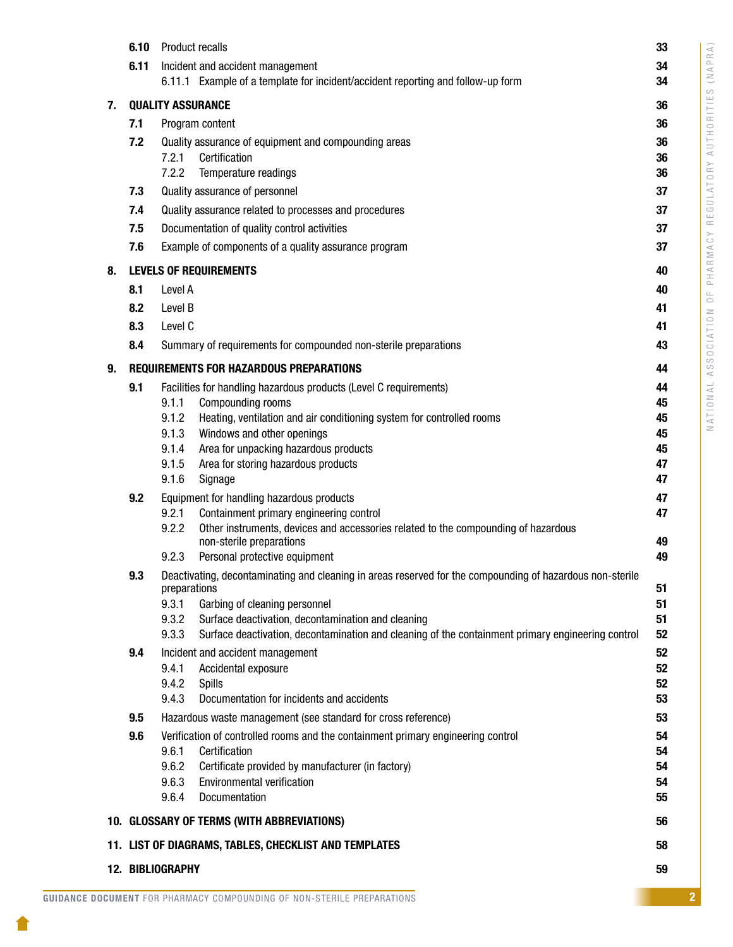|    | 6.10                                                        | <b>Product recalls</b> |                                                                                                                                                         | 33       |
|----|-------------------------------------------------------------|------------------------|---------------------------------------------------------------------------------------------------------------------------------------------------------|----------|
|    | 6.11                                                        |                        | Incident and accident management                                                                                                                        | 34       |
|    |                                                             |                        | 6.11.1 Example of a template for incident/accident reporting and follow-up form                                                                         | 34       |
| 7. | <b>QUALITY ASSURANCE</b>                                    |                        |                                                                                                                                                         |          |
|    | 7.1                                                         |                        | Program content                                                                                                                                         | 36       |
|    | 7.2                                                         |                        | Quality assurance of equipment and compounding areas                                                                                                    | 36       |
|    |                                                             | 7.2.1                  | Certification                                                                                                                                           | 36       |
|    |                                                             | 7.2.2                  | Temperature readings                                                                                                                                    | 36       |
|    | 7.3                                                         |                        | Quality assurance of personnel                                                                                                                          | 37       |
|    | 7.4                                                         |                        | Quality assurance related to processes and procedures                                                                                                   | 37       |
|    | 7.5                                                         |                        | Documentation of quality control activities                                                                                                             | 37       |
|    | 7.6                                                         |                        | Example of components of a quality assurance program                                                                                                    | 37       |
| 8. |                                                             |                        | <b>LEVELS OF REQUIREMENTS</b>                                                                                                                           | 40       |
|    | 8.1                                                         | Level A                |                                                                                                                                                         | 40       |
|    | 8.2                                                         | Level B                |                                                                                                                                                         | 41       |
|    | 8.3                                                         | Level C                |                                                                                                                                                         | 41       |
|    | 8.4                                                         |                        | Summary of requirements for compounded non-sterile preparations                                                                                         | 43       |
| 9. |                                                             |                        | <b>REQUIREMENTS FOR HAZARDOUS PREPARATIONS</b>                                                                                                          | 44       |
|    | 9.1                                                         |                        | Facilities for handling hazardous products (Level C requirements)                                                                                       | 44       |
|    |                                                             | 9.1.1                  | Compounding rooms                                                                                                                                       | 45       |
|    |                                                             | 9.1.2                  | Heating, ventilation and air conditioning system for controlled rooms                                                                                   | 45       |
|    |                                                             | 9.1.3<br>9.1.4         | Windows and other openings<br>Area for unpacking hazardous products                                                                                     | 45<br>45 |
|    |                                                             | 9.1.5                  | Area for storing hazardous products                                                                                                                     | 47       |
|    |                                                             | 9.1.6                  | Signage                                                                                                                                                 | 47       |
|    | 9.2                                                         |                        | Equipment for handling hazardous products                                                                                                               | 47       |
|    |                                                             | 9.2.1                  | Containment primary engineering control                                                                                                                 | 47       |
|    |                                                             | 9.2.2                  | Other instruments, devices and accessories related to the compounding of hazardous<br>non-sterile preparations                                          | 49       |
|    |                                                             | 9.2.3                  | Personal protective equipment                                                                                                                           | 49       |
|    | 9.3                                                         |                        | Deactivating, decontaminating and cleaning in areas reserved for the compounding of hazardous non-sterile                                               |          |
|    |                                                             | preparations           |                                                                                                                                                         | 51       |
|    |                                                             | 9.3.1                  | Garbing of cleaning personnel                                                                                                                           | 51       |
|    |                                                             | 9.3.2<br>9.3.3         | Surface deactivation, decontamination and cleaning<br>Surface deactivation, decontamination and cleaning of the containment primary engineering control | 51<br>52 |
|    | 9.4                                                         |                        | Incident and accident management                                                                                                                        | 52       |
|    |                                                             | 9.4.1                  | Accidental exposure                                                                                                                                     | 52       |
|    |                                                             | 9.4.2                  | <b>Spills</b>                                                                                                                                           | 52       |
|    |                                                             | 9.4.3                  | Documentation for incidents and accidents                                                                                                               | 53       |
|    | 9.5                                                         |                        | Hazardous waste management (see standard for cross reference)                                                                                           | 53       |
|    | 9.6                                                         |                        | Verification of controlled rooms and the containment primary engineering control                                                                        | 54       |
|    |                                                             | 9.6.1                  | Certification                                                                                                                                           | 54       |
|    |                                                             | 9.6.2<br>9.6.3         | Certificate provided by manufacturer (in factory)<br>Environmental verification                                                                         | 54<br>54 |
|    |                                                             | 9.6.4                  | Documentation                                                                                                                                           | 55       |
|    |                                                             |                        | 10. GLOSSARY OF TERMS (WITH ABBREVIATIONS)                                                                                                              | 56       |
|    |                                                             |                        |                                                                                                                                                         |          |
|    | 11. LIST OF DIAGRAMS, TABLES, CHECKLIST AND TEMPLATES<br>58 |                        |                                                                                                                                                         |          |
|    | 12. BIBLIOGRAPHY<br>59                                      |                        |                                                                                                                                                         |          |

1.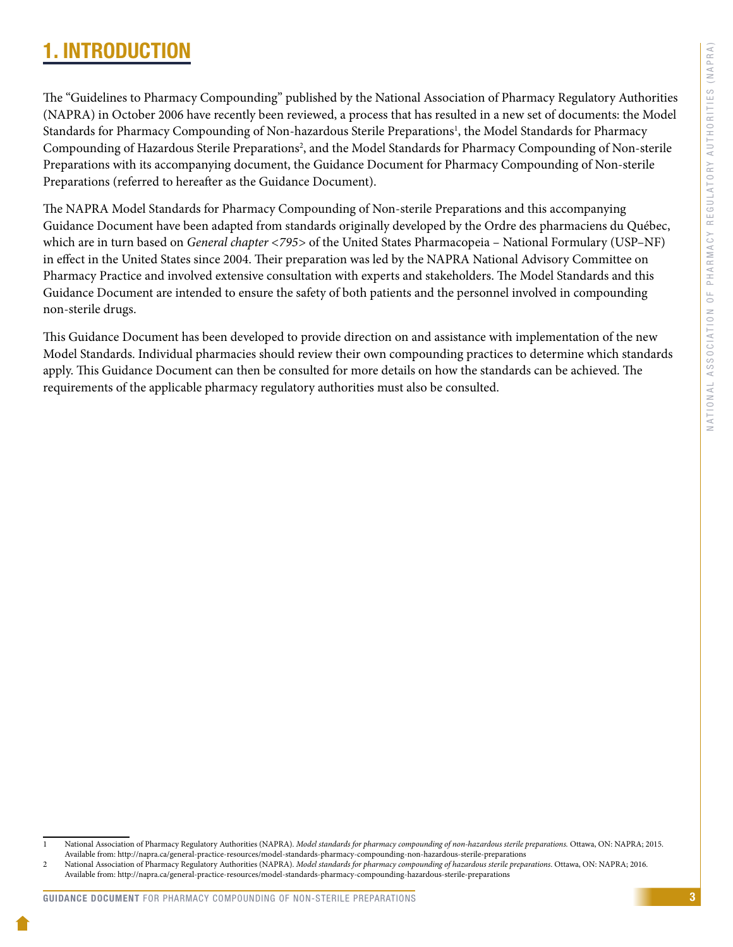# <span id="page-5-0"></span>1. INTRODUCTION

The "Guidelines to Pharmacy Compounding" published by the National Association of Pharmacy Regulatory Authorities (NAPRA) in October 2006 have recently been reviewed, a process that has resulted in a new set of documents: the Model Standards for Pharmacy Compounding of Non-hazardous Sterile Preparations<sup>1</sup>, the Model Standards for Pharmacy Compounding of Hazardous Sterile Preparations<sup>2</sup>, and the Model Standards for Pharmacy Compounding of Non-sterile Preparations with its accompanying document, the Guidance Document for Pharmacy Compounding of Non-sterile Preparations (referred to hereafter as the Guidance Document).

The NAPRA Model Standards for Pharmacy Compounding of Non-sterile Preparations and this accompanying Guidance Document have been adapted from standards originally developed by the Ordre des pharmaciens du Québec, which are in turn based on *General chapter <795>* of the United States Pharmacopeia – National Formulary (USP–NF) in effect in the United States since 2004. Their preparation was led by the NAPRA National Advisory Committee on Pharmacy Practice and involved extensive consultation with experts and stakeholders. The Model Standards and this Guidance Document are intended to ensure the safety of both patients and the personnel involved in compounding non-sterile drugs.

This Guidance Document has been developed to provide direction on and assistance with implementation of the new Model Standards. Individual pharmacies should review their own compounding practices to determine which standards apply. This Guidance Document can then be consulted for more details on how the standards can be achieved. The requirements of the applicable pharmacy regulatory authorities must also be consulted.

<sup>1</sup> National Association of Pharmacy Regulatory Authorities (NAPRA). *Model standards for pharmacy compounding of non-hazardous sterile preparations.* Ottawa, ON: NAPRA; 2015. Available from: http://napra.ca/general-practice-resources/model-standards-pharmacy-compounding-non-hazardous-sterile-preparations

<sup>2</sup> National Association of Pharmacy Regulatory Authorities (NAPRA). *Model standards for pharmacy compounding of hazardous sterile preparations*. Ottawa, ON: NAPRA; 2016. Available from: http://napra.ca/general-practice-resources/model-standards-pharmacy-compounding-hazardous-sterile-preparations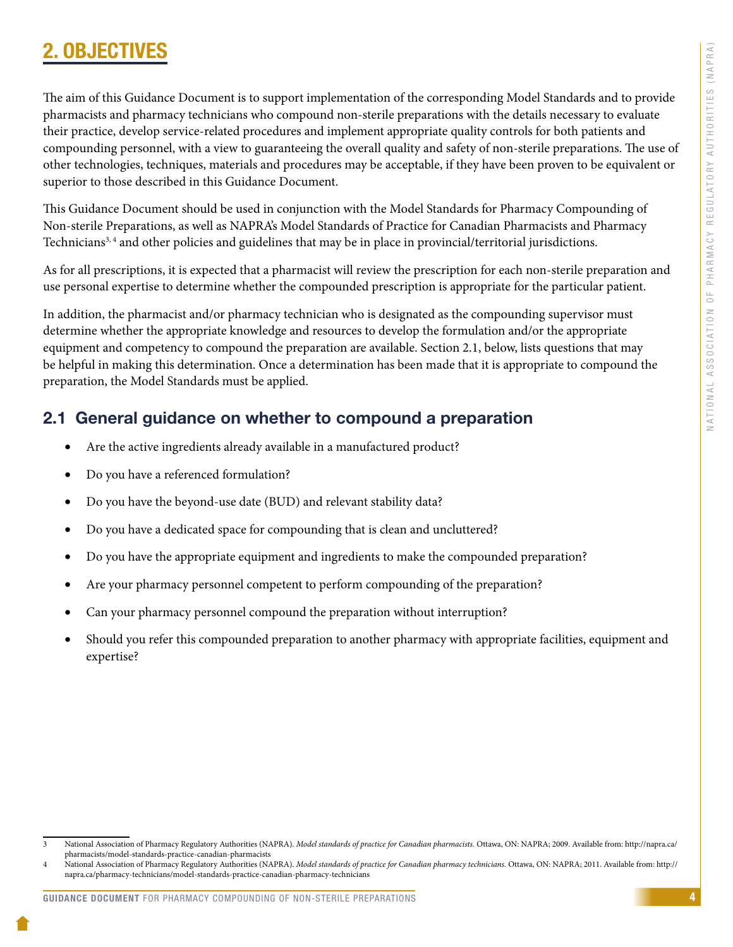# <span id="page-6-0"></span>2. OBJECTIV

The aim of this Guidance Document is to support implementation of the corresponding Model Standards and to provide pharmacists and pharmacy technicians who compound non-sterile preparations with the details necessary to evaluate their practice, develop service-related procedures and implement appropriate quality controls for both patients and compounding personnel, with a view to guaranteeing the overall quality and safety of non-sterile preparations. The use of other technologies, techniques, materials and procedures may be acceptable, if they have been proven to be equivalent or superior to those described in this Guidance Document.

This Guidance Document should be used in conjunction with the Model Standards for Pharmacy Compounding of Non-sterile Preparations, as well as NAPRA's Model Standards of Practice for Canadian Pharmacists and Pharmacy Technicians<sup>3, 4</sup> and other policies and guidelines that may be in place in provincial/territorial jurisdictions.

As for all prescriptions, it is expected that a pharmacist will review the prescription for each non-sterile preparation and use personal expertise to determine whether the compounded prescription is appropriate for the particular patient.

In addition, the pharmacist and/or pharmacy technician who is designated as the compounding supervisor must determine whether the appropriate knowledge and resources to develop the formulation and/or the appropriate equipment and competency to compound the preparation are available. Section 2.1, below, lists questions that may be helpful in making this determination. Once a determination has been made that it is appropriate to compound the preparation, the Model Standards must be applied.

### 2.1 General guidance on whether to compound a preparation

- Are the active ingredients already available in a manufactured product?
- Do you have a referenced formulation?
- Do you have the beyond-use date (BUD) and relevant stability data?
- Do you have a dedicated space for compounding that is clean and uncluttered?
- Do you have the appropriate equipment and ingredients to make the compounded preparation?
- Are your pharmacy personnel competent to perform compounding of the preparation?
- Can your pharmacy personnel compound the preparation without interruption?
- Should you refer this compounded preparation to another pharmacy with appropriate facilities, equipment and expertise?

<sup>3</sup> National Association of Pharmacy Regulatory Authorities (NAPRA). *Model standards of practice for Canadian pharmacists.* Ottawa, ON: NAPRA; 2009. Available from: [http://napra.ca/](http://napra.ca/pharmacists/model-standards-practice-canadian-pharmacists) [pharmacists/model-standards-practice-canadian-pharmacists](http://napra.ca/pharmacists/model-standards-practice-canadian-pharmacists)

<sup>4</sup> National Association of Pharmacy Regulatory Authorities (NAPRA). *Model standards of practice for Canadian pharmacy technicians.* Ottawa, ON: NAPRA; 2011. Available from: http:// napra.ca/pharmacy-technicians/model-standards-practice-canadian-pharmacy-technicians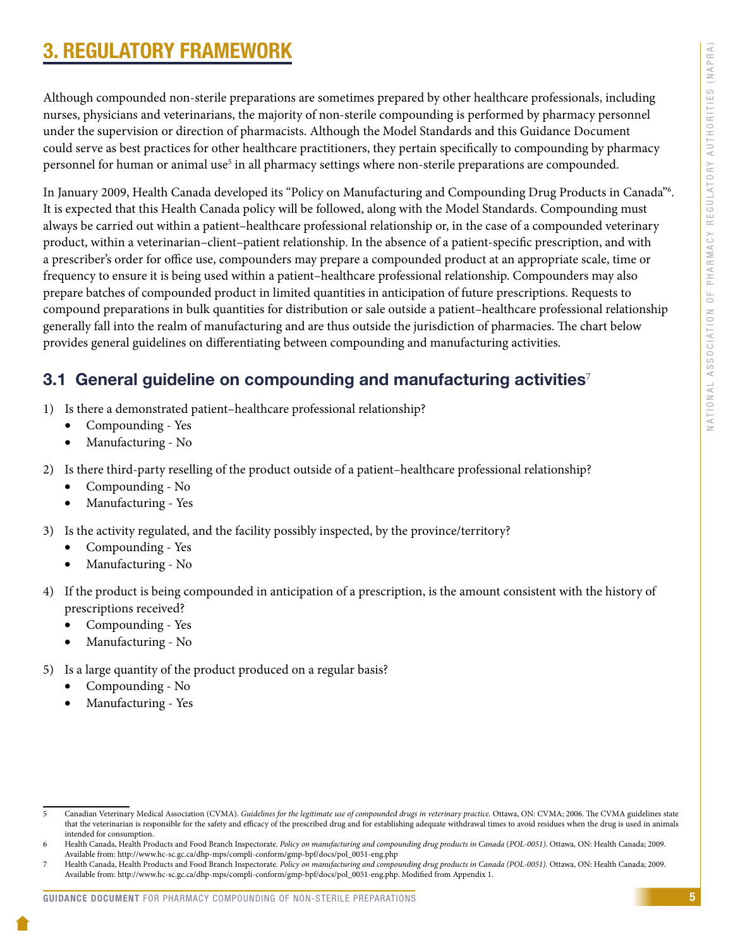# <span id="page-7-0"></span>3. REGULATORY FRAMEWORK

Although compounded non-sterile preparations are sometimes prepared by other healthcare professionals, including nurses, physicians and veterinarians, the majority of non-sterile compounding is performed by pharmacy personnel under the supervision or direction of pharmacists. Although the Model Standards and this Guidance Document could serve as best practices for other healthcare practitioners, they pertain specifically to compounding by pharmacy personnel for human or animal use<sup>5</sup> in all pharmacy settings where non-sterile preparations are compounded.

In January 2009, Health Canada developed its "Policy on Manufacturing and Compounding Drug Products in Canada"6 . It is expected that this Health Canada policy will be followed, along with the Model Standards. Compounding must always be carried out within a patient–healthcare professional relationship or, in the case of a compounded veterinary product, within a veterinarian–client–patient relationship. In the absence of a patient-specific prescription, and with a prescriber's order for office use, compounders may prepare a compounded product at an appropriate scale, time or frequency to ensure it is being used within a patient–healthcare professional relationship. Compounders may also prepare batches of compounded product in limited quantities in anticipation of future prescriptions. Requests to compound preparations in bulk quantities for distribution or sale outside a patient–healthcare professional relationship generally fall into the realm of manufacturing and are thus outside the jurisdiction of pharmacies. The chart below provides general guidelines on differentiating between compounding and manufacturing activities.

### 3.1 General guideline on compounding and manufacturing activities<sup>7</sup>

- 1) Is there a demonstrated patient–healthcare professional relationship?
	- Compounding Yes
	- Manufacturing No
- 2) Is there third-party reselling of the product outside of a patient–healthcare professional relationship?
	- Compounding No
	- Manufacturing Yes
- 3) Is the activity regulated, and the facility possibly inspected, by the province/territory?
	- Compounding Yes
	- Manufacturing No
- 4) If the product is being compounded in anticipation of a prescription, is the amount consistent with the history of prescriptions received?
	- Compounding Yes
	- Manufacturing No
- 5) Is a large quantity of the product produced on a regular basis?
	- Compounding No
	- Manufacturing Yes

<sup>5</sup> Canadian Veterinary Medical Association (CVMA). *Guidelines for the legitimate use of compounded drugs in veterinary practice.* Ottawa, ON: CVMA; 2006. The CVMA guidelines state that the veterinarian is responsible for the safety and efficacy of the prescribed drug and for establishing adequate withdrawal times to avoid residues when the drug is used in animals intended for consumption.

<sup>6</sup> Health Canada, Health Products and Food Branch Inspectorate. *Policy on manufacturing and compounding drug products in Canada* (*POL-0051)*. Ottawa, ON: Health Canada; 2009. Available from: http://www.hc-sc.gc.ca/dhp-mps/compli-conform/gmp-bpf/docs/pol\_0051-eng.php

<sup>7</sup> Health Canada, Health Products and Food Branch Inspectorate. *Policy on manufacturing and compounding drug products in Canada (POL-0051).* Ottawa, ON: Health Canada; 2009. Available from: http://www.hc-sc.gc.ca/dhp-mps/compli-conform/gmp-bpf/docs/pol\_0051-eng.php. Modified from Appendix 1.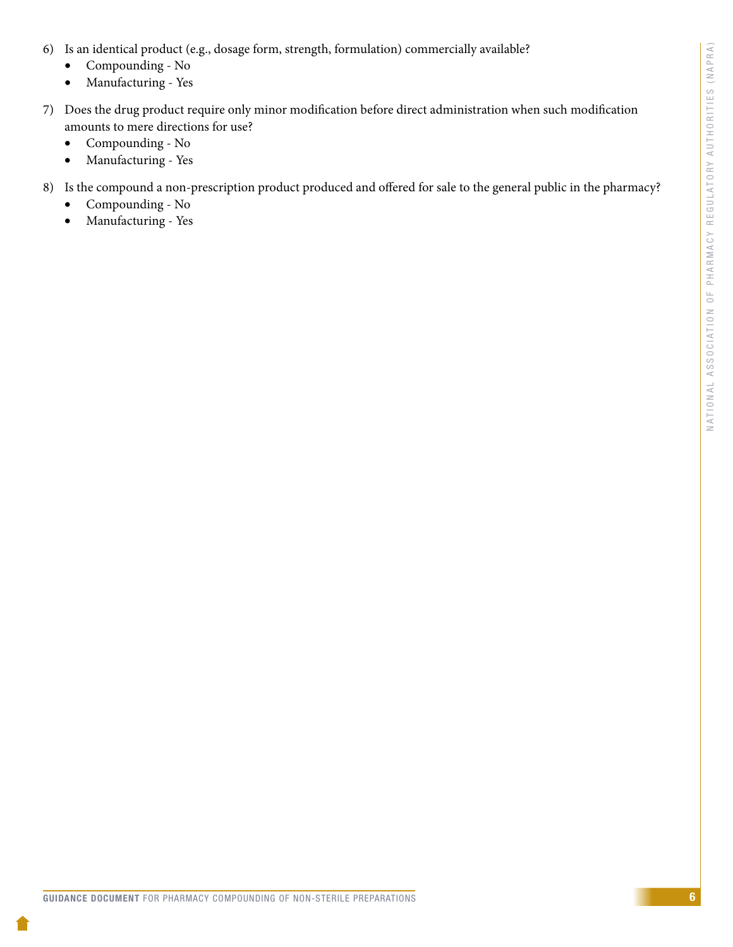- 6) Is an identical product (e.g., dosage form, strength, formulation) commercially available?
	- Compounding No
	- • Manufacturing Yes
- 7) Does the drug product require only minor modification before direct administration when such modification amounts to mere directions for use?
	- Compounding No
	- Manufacturing Yes
- 8) Is the compound a non-prescription product produced and offered for sale to the general public in the pharmacy?
	- Compounding No
	- • Manufacturing Yes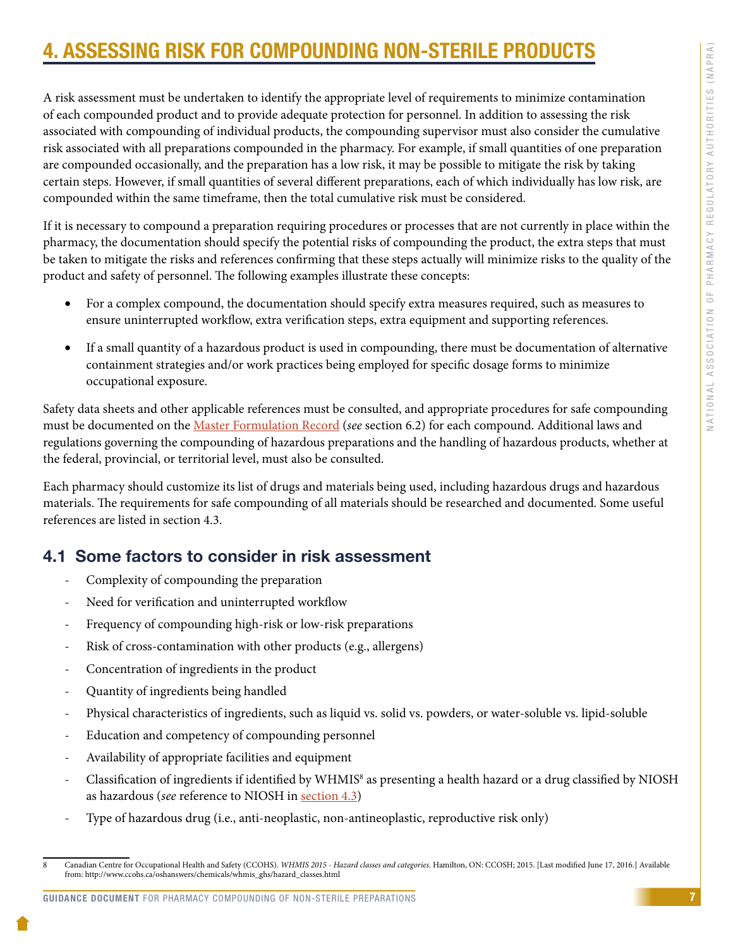# <span id="page-9-0"></span>4. ASSESSING RISK FOR COMPOUNDING NON-STERILE PRODUCTS

A risk assessment must be undertaken to identify the appropriate level of requirements to minimize contamination of each compounded product and to provide adequate protection for personnel. In addition to assessing the risk associated with compounding of individual products, the compounding supervisor must also consider the cumulative risk associated with all preparations compounded in the pharmacy. For example, if small quantities of one preparation are compounded occasionally, and the preparation has a low risk, it may be possible to mitigate the risk by taking certain steps. However, if small quantities of several different preparations, each of which individually has low risk, are compounded within the same timeframe, then the total cumulative risk must be considered.

If it is necessary to compound a preparation requiring procedures or processes that are not currently in place within the pharmacy, the documentation should specify the potential risks of compounding the product, the extra steps that must be taken to mitigate the risks and references confirming that these steps actually will minimize risks to the quality of the product and safety of personnel. The following examples illustrate these concepts:

- For a complex compound, the documentation should specify extra measures required, such as measures to ensure uninterrupted workflow, extra verification steps, extra equipment and supporting references.
- If a small quantity of a hazardous product is used in compounding, there must be documentation of alternative containment strategies and/or work practices being employed for specific dosage forms to minimize occupational exposure.

Safety data sheets and other applicable references must be consulted, and appropriate procedures for safe compounding must be documented on the [Master Formulation Record](#page-26-0) (*see* section 6.2) for each compound. Additional laws and regulations governing the compounding of hazardous preparations and the handling of hazardous products, whether at the federal, provincial, or territorial level, must also be consulted.

Each pharmacy should customize its list of drugs and materials being used, including hazardous drugs and hazardous materials. The requirements for safe compounding of all materials should be researched and documented. Some useful references are listed in section 4.3.

### 4.1 Some factors to consider in risk assessment

- Complexity of compounding the preparation
- Need for verification and uninterrupted workflow
- Frequency of compounding high-risk or low-risk preparations
- Risk of cross-contamination with other products (e.g., allergens)
- Concentration of ingredients in the product
- Quantity of ingredients being handled
- Physical characteristics of ingredients, such as liquid vs. solid vs. powders, or water-soluble vs. lipid-soluble
- Education and competency of compounding personnel
- Availability of appropriate facilities and equipment
- Classification of ingredients if identified by WHMIS<sup>8</sup> as presenting a health hazard or a drug classified by NIOSH as hazardous (*see* reference to NIOSH in [section 4.3](#page-11-0))
- Type of hazardous drug (i.e., anti-neoplastic, non-antineoplastic, reproductive risk only)

<sup>8</sup> Canadian Centre for Occupational Health and Safety (CCOHS). *WHMIS 2015 - Hazard classes and categories.* Hamilton, ON: CCOSH; 2015. [Last modified June 17, 2016.] Available from: http://www.ccohs.ca/oshanswers/chemicals/whmis\_ghs/hazard\_classes.html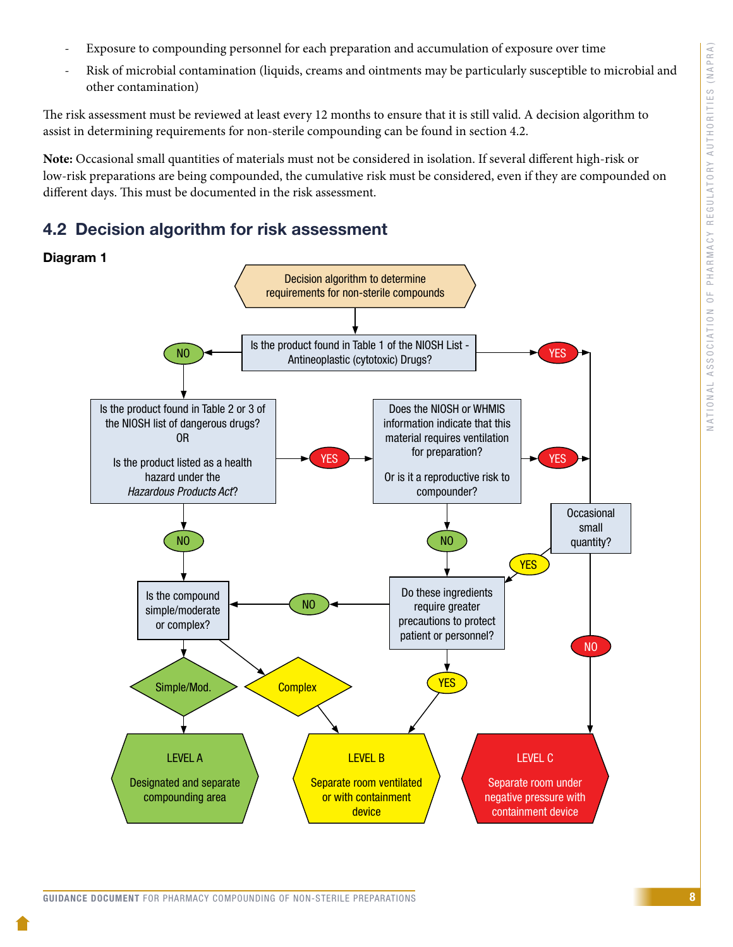- <span id="page-10-0"></span>- Exposure to compounding personnel for each preparation and accumulation of exposure over time
- Risk of microbial contamination (liquids, creams and ointments may be particularly susceptible to microbial and other contamination)

The risk assessment must be reviewed at least every 12 months to ensure that it is still valid. A decision algorithm to assist in determining requirements for non-sterile compounding can be found in section 4.2.

**Note:** Occasional small quantities of materials must not be considered in isolation. If several different high-risk or low-risk preparations are being compounded, the cumulative risk must be considered, even if they are compounded on different days. This must be documented in the risk assessment.

### 4.2 Decision algorithm for risk assessment

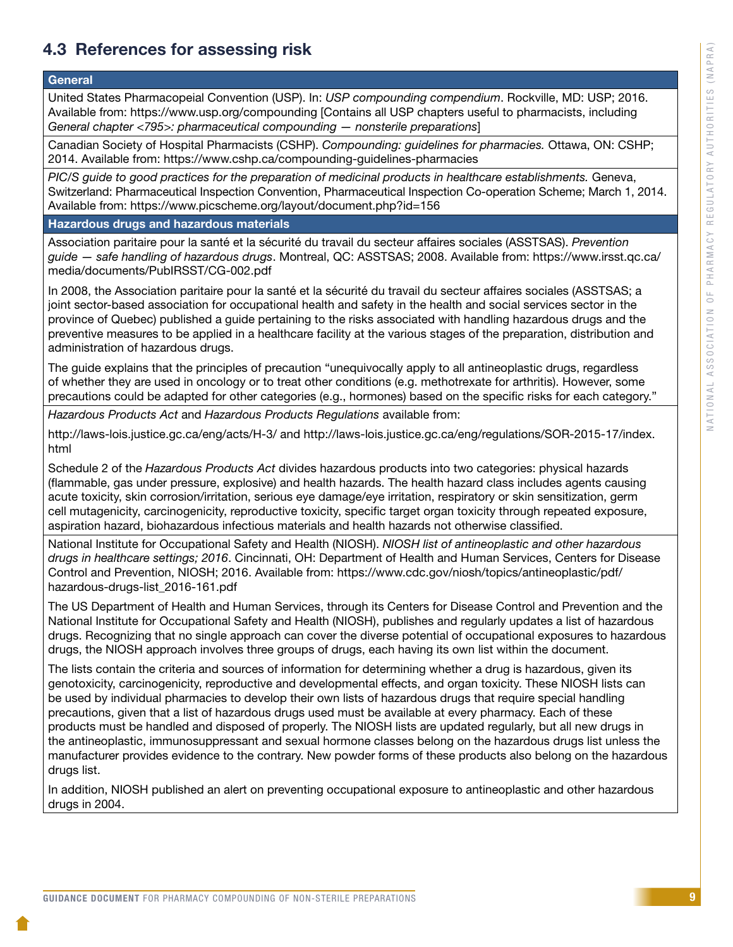# <span id="page-11-0"></span>4.3 References for assessing risk

#### **General**

United States Pharmacopeial Convention (USP). In: *USP compounding compendium*. Rockville, MD: USP; 2016. Available from: https://www.usp.org/compounding [Contains all USP chapters useful to pharmacists, including *General chapter <795>: pharmaceutical compounding — nonsterile preparations*]

Canadian Society of Hospital Pharmacists (CSHP). *Compounding: guidelines for pharmacies.* Ottawa, ON: CSHP; 2014. Available from: https://www.cshp.ca/compounding-guidelines-pharmacies

*PIC/S guide to good practices for the preparation of medicinal products in healthcare establishments.* Geneva, Switzerland: Pharmaceutical Inspection Convention, Pharmaceutical Inspection Co-operation Scheme; March 1, 2014. Available from: https://www.picscheme.org/layout/document.php?id=156

Hazardous drugs and hazardous materials

Association paritaire pour la santé et la sécurité du travail du secteur affaires sociales (ASSTSAS). *Prevention guide — safe handling of hazardous drugs*. Montreal, QC: ASSTSAS; 2008. Available from: [https://www.irsst.qc.ca/](https://www.irsst.qc.ca/media/documents/PubIRSST/CG-002.pdf) [media/documents/PubIRSST/CG-002.pdf](https://www.irsst.qc.ca/media/documents/PubIRSST/CG-002.pdf) 

In 2008, the Association paritaire pour la santé et la sécurité du travail du secteur affaires sociales (ASSTSAS; a joint sector-based association for occupational health and safety in the health and social services sector in the province of Quebec) published a guide pertaining to the risks associated with handling hazardous drugs and the preventive measures to be applied in a healthcare facility at the various stages of the preparation, distribution and administration of hazardous drugs.

The guide explains that the principles of precaution "unequivocally apply to all antineoplastic drugs, regardless of whether they are used in oncology or to treat other conditions (e.g. methotrexate for arthritis). However, some precautions could be adapted for other categories (e.g., hormones) based on the specific risks for each category."

*Hazardous Products Act* and *Hazardous Products Regulations* available from:

http://laws-lois.justice.gc.ca/eng/acts/H-3/ and [http://laws-lois.justice.gc.ca/eng/regulations/SOR-2015-17/index.](http://laws-lois.justice.gc.ca/eng/regulations/SOR-2015-17/index.html) [html](http://laws-lois.justice.gc.ca/eng/regulations/SOR-2015-17/index.html)

Schedule 2 of the *Hazardous Products Act* divides hazardous products into two categories: physical hazards (flammable, gas under pressure, explosive) and health hazards. The health hazard class includes agents causing acute toxicity, skin corrosion/irritation, serious eye damage/eye irritation, respiratory or skin sensitization, germ cell mutagenicity, carcinogenicity, reproductive toxicity, specific target organ toxicity through repeated exposure, aspiration hazard, biohazardous infectious materials and health hazards not otherwise classified.

National Institute for Occupational Safety and Health (NIOSH). *NIOSH list of antineoplastic and other hazardous drugs in healthcare settings; 2016*. Cincinnati, OH: Department of Health and Human Services, Centers for Disease Control and Prevention, NIOSH; 2016. Available from: [https://www.cdc.gov/niosh/topics/antineoplastic/pdf/](https://www.cdc.gov/niosh/topics/antineoplastic/pdf/hazardous-drugs-list_2016-161.pdf) [hazardous-drugs-list\\_2016-161.pdf](https://www.cdc.gov/niosh/topics/antineoplastic/pdf/hazardous-drugs-list_2016-161.pdf)

The US Department of Health and Human Services, through its Centers for Disease Control and Prevention and the National Institute for Occupational Safety and Health (NIOSH), publishes and regularly updates a list of hazardous drugs. Recognizing that no single approach can cover the diverse potential of occupational exposures to hazardous drugs, the NIOSH approach involves three groups of drugs, each having its own list within the document.

The lists contain the criteria and sources of information for determining whether a drug is hazardous, given its genotoxicity, carcinogenicity, reproductive and developmental effects, and organ toxicity. These NIOSH lists can be used by individual pharmacies to develop their own lists of hazardous drugs that require special handling precautions, given that a list of hazardous drugs used must be available at every pharmacy. Each of these products must be handled and disposed of properly. The NIOSH lists are updated regularly, but all new drugs in the antineoplastic, immunosuppressant and sexual hormone classes belong on the hazardous drugs list unless the manufacturer provides evidence to the contrary. New powder forms of these products also belong on the hazardous drugs list.

In addition, NIOSH published an alert on preventing occupational exposure to antineoplastic and other hazardous drugs in 2004.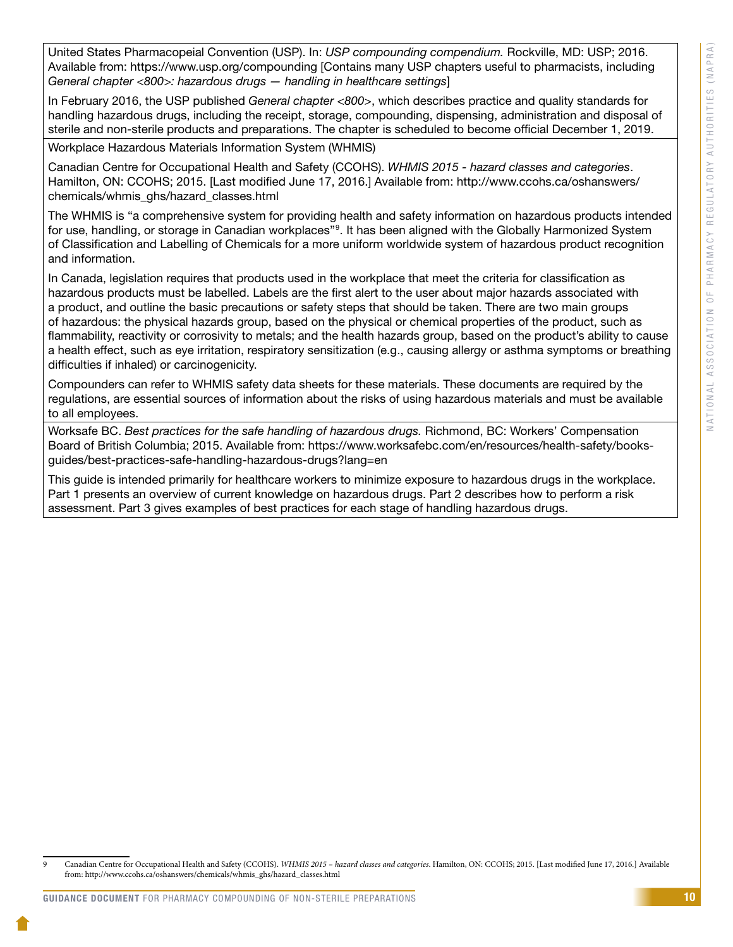United States Pharmacopeial Convention (USP). In: *USP compounding compendium.* Rockville, MD: USP; 2016. Available from: https://www.usp.org/compounding [Contains many USP chapters useful to pharmacists, including *General chapter <800>: hazardous drugs — handling in healthcare settings*]

In February 2016, the USP published *General chapter <800>*, which describes practice and quality standards for handling hazardous drugs, including the receipt, storage, compounding, dispensing, administration and disposal of sterile and non-sterile products and preparations. The chapter is scheduled to become official December 1, 2019.

Workplace Hazardous Materials Information System (WHMIS)

Canadian Centre for Occupational Health and Safety (CCOHS). *WHMIS 2015 - hazard classes and categories*. Hamilton, ON: CCOHS; 2015. [Last modified June 17, 2016.] Available from: [http://www.ccohs.ca/oshanswers/](http://www.ccohs.ca/oshanswers/chemicals/whmis_ghs/hazard_classes.html) [chemicals/whmis\\_ghs/hazard\\_classes.html](http://www.ccohs.ca/oshanswers/chemicals/whmis_ghs/hazard_classes.html) 

The WHMIS is "a comprehensive system for providing health and safety information on hazardous products intended for use, handling, or storage in Canadian workplaces"<sup>9</sup>. It has been aligned with the Globally Harmonized System of Classification and Labelling of Chemicals for a more uniform worldwide system of hazardous product recognition and information.

In Canada, legislation requires that products used in the workplace that meet the criteria for classification as hazardous products must be labelled. Labels are the first alert to the user about major hazards associated with a product, and outline the basic precautions or safety steps that should be taken. There are two main groups of hazardous: the physical hazards group, based on the physical or chemical properties of the product, such as flammability, reactivity or corrosivity to metals; and the health hazards group, based on the product's ability to cause a health effect, such as eye irritation, respiratory sensitization (e.g., causing allergy or asthma symptoms or breathing difficulties if inhaled) or carcinogenicity.

Compounders can refer to WHMIS safety data sheets for these materials. These documents are required by the regulations, are essential sources of information about the risks of using hazardous materials and must be available to all employees.

Worksafe BC. *Best practices for the safe handling of hazardous drugs.* Richmond, BC: Workers' Compensation Board of British Columbia; 2015. Available from: https://www.worksafebc.com/en/resources/health-safety/booksguides/best-practices-safe-handling-hazardous-drugs?lang=en

This guide is intended primarily for healthcare workers to minimize exposure to hazardous drugs in the workplace. Part 1 presents an overview of current knowledge on hazardous drugs. Part 2 describes how to perform a risk assessment. Part 3 gives examples of best practices for each stage of handling hazardous drugs.

<sup>9</sup> Canadian Centre for Occupational Health and Safety (CCOHS). *WHMIS 2015 – hazard classes and categories*. Hamilton, ON: CCOHS; 2015. [Last modified June 17, 2016.] Available from: http://www.ccohs.ca/oshanswers/chemicals/whmis\_ghs/hazard\_classes.html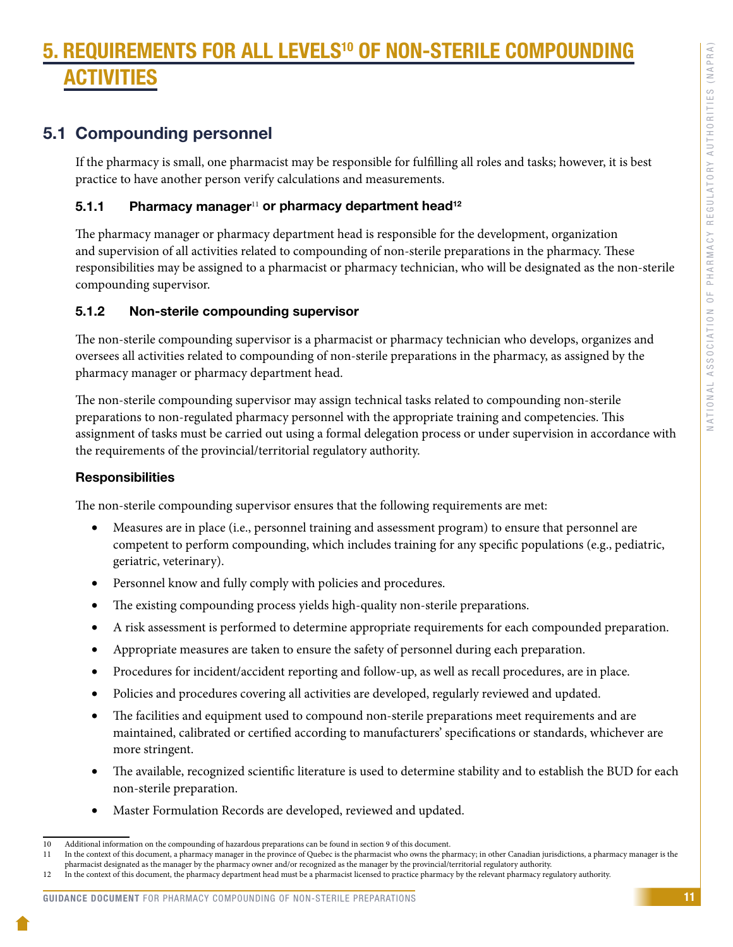# <span id="page-13-0"></span>5. REQUIREMENTS FOR ALL LEVELS10 OF NON-STERILE COMPOUNDING TIVITIES

### 5.1 Compounding personnel

If the pharmacy is small, one pharmacist may be responsible for fulfilling all roles and tasks; however, it is best practice to have another person verify calculations and measurements.

### 5.1.1 Pharmacy manager<sup>11</sup> or pharmacy department head<sup>12</sup>

The pharmacy manager or pharmacy department head is responsible for the development, organization and supervision of all activities related to compounding of non-sterile preparations in the pharmacy. These responsibilities may be assigned to a pharmacist or pharmacy technician, who will be designated as the non-sterile compounding supervisor.

### 5.1.2 Non-sterile compounding supervisor

The non-sterile compounding supervisor is a pharmacist or pharmacy technician who develops, organizes and oversees all activities related to compounding of non-sterile preparations in the pharmacy, as assigned by the pharmacy manager or pharmacy department head.

The non-sterile compounding supervisor may assign technical tasks related to compounding non-sterile preparations to non-regulated pharmacy personnel with the appropriate training and competencies. This assignment of tasks must be carried out using a formal delegation process or under supervision in accordance with the requirements of the provincial/territorial regulatory authority.

### **Responsibilities**

The non-sterile compounding supervisor ensures that the following requirements are met:

- Measures are in place (i.e., personnel training and assessment program) to ensure that personnel are competent to perform compounding, which includes training for any specific populations (e.g., pediatric, geriatric, veterinary).
- Personnel know and fully comply with policies and procedures.
- The existing compounding process yields high-quality non-sterile preparations.
- • A risk assessment is performed to determine appropriate requirements for each compounded preparation.
- • Appropriate measures are taken to ensure the safety of personnel during each preparation.
- Procedures for incident/accident reporting and follow-up, as well as recall procedures, are in place.
- Policies and procedures covering all activities are developed, regularly reviewed and updated.
- The facilities and equipment used to compound non-sterile preparations meet requirements and are maintained, calibrated or certified according to manufacturers' specifications or standards, whichever are more stringent.
- The available, recognized scientific literature is used to determine stability and to establish the BUD for each non-sterile preparation.
- Master Formulation Records are developed, reviewed and updated.

#### GUIDANCE DOCUMENT FOR PHARMACY COMPOUNDING OF NON-STERILE PREPARATIONS

<sup>10</sup> Additional information on the compounding of hazardous preparations can be found in section 9 of this document.

<sup>11</sup> In the context of this document, a pharmacy manager in the province of Quebec is the pharmacist who owns the pharmacy; in other Canadian jurisdictions, a pharmacy manager is the pharmacist designated as the manager by the pharmacy owner and/or recognized as the manager by the provincial/territorial regulatory authority.

<sup>12</sup> In the context of this document, the pharmacy department head must be a pharmacist licensed to practice pharmacy by the relevant pharmacy regulatory authority.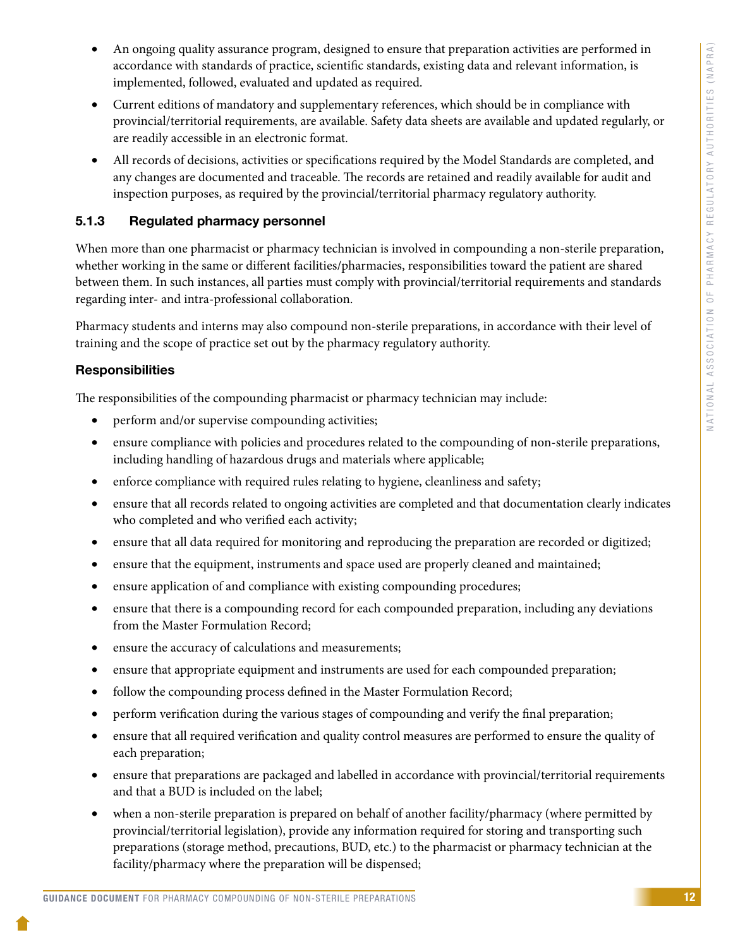- <span id="page-14-0"></span>• An ongoing quality assurance program, designed to ensure that preparation activities are performed in accordance with standards of practice, scientific standards, existing data and relevant information, is implemented, followed, evaluated and updated as required.
- • Current editions of mandatory and supplementary references, which should be in compliance with provincial/territorial requirements, are available. Safety data sheets are available and updated regularly, or are readily accessible in an electronic format.
- • All records of decisions, activities or specifications required by the Model Standards are completed, and any changes are documented and traceable. The records are retained and readily available for audit and inspection purposes, as required by the provincial/territorial pharmacy regulatory authority.

### 5.1.3 Regulated pharmacy personnel

When more than one pharmacist or pharmacy technician is involved in compounding a non-sterile preparation, whether working in the same or different facilities/pharmacies, responsibilities toward the patient are shared between them. In such instances, all parties must comply with provincial/territorial requirements and standards regarding inter- and intra-professional collaboration.

Pharmacy students and interns may also compound non-sterile preparations, in accordance with their level of training and the scope of practice set out by the pharmacy regulatory authority.

### **Responsibilities**

The responsibilities of the compounding pharmacist or pharmacy technician may include:

- perform and/or supervise compounding activities;
- ensure compliance with policies and procedures related to the compounding of non-sterile preparations, including handling of hazardous drugs and materials where applicable;
- enforce compliance with required rules relating to hygiene, cleanliness and safety;
- • ensure that all records related to ongoing activities are completed and that documentation clearly indicates who completed and who verified each activity;
- ensure that all data required for monitoring and reproducing the preparation are recorded or digitized;
- ensure that the equipment, instruments and space used are properly cleaned and maintained;
- ensure application of and compliance with existing compounding procedures;
- ensure that there is a compounding record for each compounded preparation, including any deviations from the Master Formulation Record;
- ensure the accuracy of calculations and measurements;
- ensure that appropriate equipment and instruments are used for each compounded preparation;
- follow the compounding process defined in the Master Formulation Record;
- perform verification during the various stages of compounding and verify the final preparation;
- ensure that all required verification and quality control measures are performed to ensure the quality of each preparation;
- ensure that preparations are packaged and labelled in accordance with provincial/territorial requirements and that a BUD is included on the label;
- when a non-sterile preparation is prepared on behalf of another facility/pharmacy (where permitted by provincial/territorial legislation), provide any information required for storing and transporting such preparations (storage method, precautions, BUD, etc.) to the pharmacist or pharmacy technician at the facility/pharmacy where the preparation will be dispensed;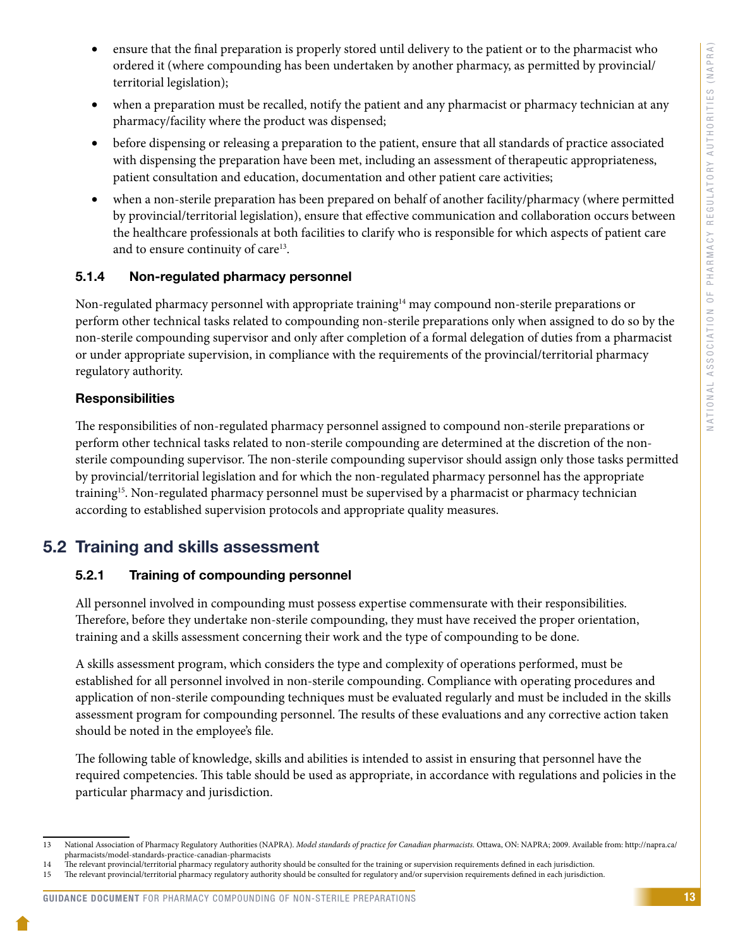- <span id="page-15-0"></span>• ensure that the final preparation is properly stored until delivery to the patient or to the pharmacist who ordered it (where compounding has been undertaken by another pharmacy, as permitted by provincial/ territorial legislation);
- when a preparation must be recalled, notify the patient and any pharmacist or pharmacy technician at any pharmacy/facility where the product was dispensed;
- • before dispensing or releasing a preparation to the patient, ensure that all standards of practice associated with dispensing the preparation have been met, including an assessment of therapeutic appropriateness, patient consultation and education, documentation and other patient care activities;
- when a non-sterile preparation has been prepared on behalf of another facility/pharmacy (where permitted by provincial/territorial legislation), ensure that effective communication and collaboration occurs between the healthcare professionals at both facilities to clarify who is responsible for which aspects of patient care and to ensure continuity of care<sup>13</sup>.

#### 5.1.4 Non-regulated pharmacy personnel

Non-regulated pharmacy personnel with appropriate training<sup>14</sup> may compound non-sterile preparations or perform other technical tasks related to compounding non-sterile preparations only when assigned to do so by the non-sterile compounding supervisor and only after completion of a formal delegation of duties from a pharmacist or under appropriate supervision, in compliance with the requirements of the provincial/territorial pharmacy regulatory authority.

#### **Responsibilities**

The responsibilities of non-regulated pharmacy personnel assigned to compound non-sterile preparations or perform other technical tasks related to non-sterile compounding are determined at the discretion of the nonsterile compounding supervisor. The non-sterile compounding supervisor should assign only those tasks permitted by provincial/territorial legislation and for which the non-regulated pharmacy personnel has the appropriate training<sup>15</sup>. Non-regulated pharmacy personnel must be supervised by a pharmacist or pharmacy technician according to established supervision protocols and appropriate quality measures.

### 5.2 Training and skills assessment

#### 5.2.1 Training of compounding personnel

All personnel involved in compounding must possess expertise commensurate with their responsibilities. Therefore, before they undertake non-sterile compounding, they must have received the proper orientation, training and a skills assessment concerning their work and the type of compounding to be done.

A skills assessment program, which considers the type and complexity of operations performed, must be established for all personnel involved in non-sterile compounding. Compliance with operating procedures and application of non-sterile compounding techniques must be evaluated regularly and must be included in the skills assessment program for compounding personnel. The results of these evaluations and any corrective action taken should be noted in the employee's file.

The following table of knowledge, skills and abilities is intended to assist in ensuring that personnel have the required competencies. This table should be used as appropriate, in accordance with regulations and policies in the particular pharmacy and jurisdiction.

<sup>13</sup> National Association of Pharmacy Regulatory Authorities (NAPRA). *Model standards of practice for Canadian pharmacists.* Ottawa, ON: NAPRA; 2009. Available from: [http://napra.ca/](http://napra.ca/pharmacists/model-standards-practice-canadian-pharmacists) [pharmacists/model-standards-practice-canadian-pharmacists](http://napra.ca/pharmacists/model-standards-practice-canadian-pharmacists)

<sup>14</sup> The relevant provincial/territorial pharmacy regulatory authority should be consulted for the training or supervision requirements defined in each jurisdiction.<br>15 The relevant provincial/territorial pharmacy regulatory

<sup>15</sup> The relevant provincial/territorial pharmacy regulatory authority should be consulted for regulatory and/or supervision requirements defined in each jurisdiction.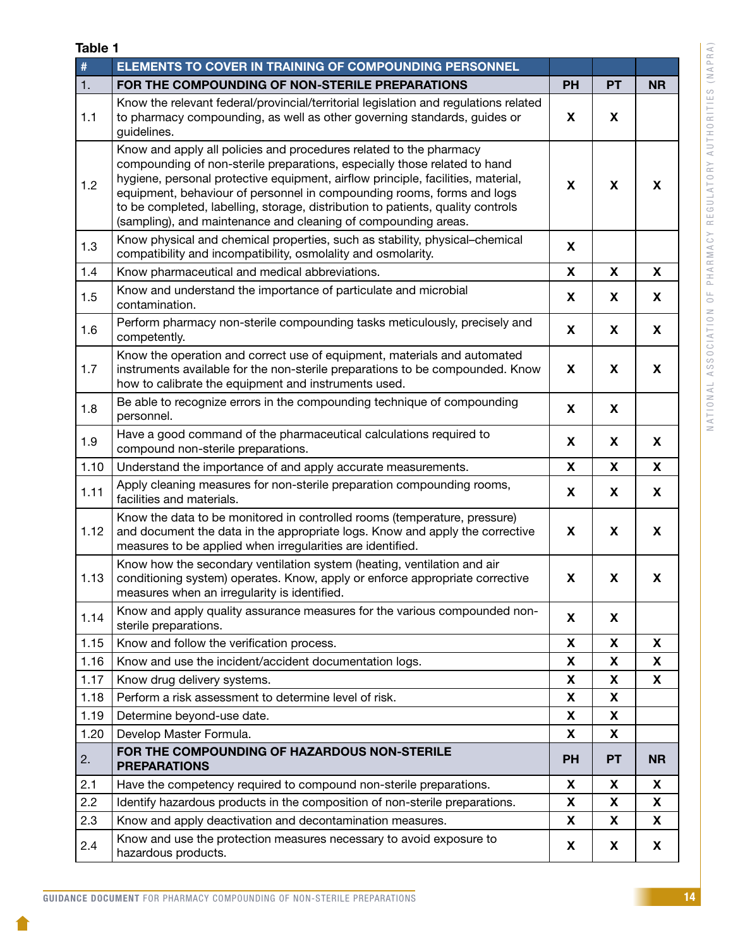| L.<br>ı |  |
|---------|--|
| ۹       |  |

| $\#$ | ELEMENTS TO COVER IN TRAINING OF COMPOUNDING PERSONNEL                                                                                                                                                                                                                                                                                                                                                                                                             |           |                           |           |
|------|--------------------------------------------------------------------------------------------------------------------------------------------------------------------------------------------------------------------------------------------------------------------------------------------------------------------------------------------------------------------------------------------------------------------------------------------------------------------|-----------|---------------------------|-----------|
| 1.   | FOR THE COMPOUNDING OF NON-STERILE PREPARATIONS                                                                                                                                                                                                                                                                                                                                                                                                                    | <b>PH</b> | <b>PT</b>                 | <b>NR</b> |
| 1.1  | Know the relevant federal/provincial/territorial legislation and regulations related<br>to pharmacy compounding, as well as other governing standards, guides or<br>guidelines.                                                                                                                                                                                                                                                                                    | X         | X                         |           |
| 1.2  | Know and apply all policies and procedures related to the pharmacy<br>compounding of non-sterile preparations, especially those related to hand<br>hygiene, personal protective equipment, airflow principle, facilities, material,<br>equipment, behaviour of personnel in compounding rooms, forms and logs<br>to be completed, labelling, storage, distribution to patients, quality controls<br>(sampling), and maintenance and cleaning of compounding areas. |           |                           | X         |
| 1.3  | Know physical and chemical properties, such as stability, physical-chemical<br>compatibility and incompatibility, osmolality and osmolarity.                                                                                                                                                                                                                                                                                                                       | X         |                           |           |
| 1.4  | Know pharmaceutical and medical abbreviations.                                                                                                                                                                                                                                                                                                                                                                                                                     | X         | X                         | X         |
| 1.5  | Know and understand the importance of particulate and microbial<br>contamination.                                                                                                                                                                                                                                                                                                                                                                                  | X         | X                         | X         |
| 1.6  | Perform pharmacy non-sterile compounding tasks meticulously, precisely and<br>competently.                                                                                                                                                                                                                                                                                                                                                                         | X         | X                         | X         |
| 1.7  | Know the operation and correct use of equipment, materials and automated<br>instruments available for the non-sterile preparations to be compounded. Know<br>how to calibrate the equipment and instruments used.                                                                                                                                                                                                                                                  |           | X                         | X         |
| 1.8  | Be able to recognize errors in the compounding technique of compounding<br>personnel.                                                                                                                                                                                                                                                                                                                                                                              |           |                           |           |
| 1.9  | Have a good command of the pharmaceutical calculations required to<br>compound non-sterile preparations.                                                                                                                                                                                                                                                                                                                                                           | X         | X                         | X         |
| 1.10 | Understand the importance of and apply accurate measurements.                                                                                                                                                                                                                                                                                                                                                                                                      | X         | $\boldsymbol{\mathsf{X}}$ | X         |
| 1.11 | Apply cleaning measures for non-sterile preparation compounding rooms,<br>facilities and materials.                                                                                                                                                                                                                                                                                                                                                                | X         | X                         | X         |
| 1.12 | Know the data to be monitored in controlled rooms (temperature, pressure)<br>and document the data in the appropriate logs. Know and apply the corrective<br>measures to be applied when irregularities are identified.                                                                                                                                                                                                                                            | X         | X                         | X         |
| 1.13 | Know how the secondary ventilation system (heating, ventilation and air<br>conditioning system) operates. Know, apply or enforce appropriate corrective<br>measures when an irregularity is identified.                                                                                                                                                                                                                                                            | X         | X                         | X         |
| 1.14 | Know and apply quality assurance measures for the various compounded non-<br>sterile preparations.                                                                                                                                                                                                                                                                                                                                                                 | X         | X                         |           |
| 1.15 | Know and follow the verification process.                                                                                                                                                                                                                                                                                                                                                                                                                          | X         | X                         | X         |
| 1.16 | Know and use the incident/accident documentation logs.                                                                                                                                                                                                                                                                                                                                                                                                             | X         | X                         | X         |
| 1.17 | Know drug delivery systems.                                                                                                                                                                                                                                                                                                                                                                                                                                        | X         | X                         | X         |
| 1.18 | Perform a risk assessment to determine level of risk.                                                                                                                                                                                                                                                                                                                                                                                                              | X         | X                         |           |
| 1.19 | Determine beyond-use date.                                                                                                                                                                                                                                                                                                                                                                                                                                         | X         | X                         |           |
| 1.20 | Develop Master Formula.                                                                                                                                                                                                                                                                                                                                                                                                                                            | X         | X                         |           |
| 2.   | FOR THE COMPOUNDING OF HAZARDOUS NON-STERILE<br><b>PREPARATIONS</b>                                                                                                                                                                                                                                                                                                                                                                                                | <b>PH</b> | <b>PT</b>                 | <b>NR</b> |
| 2.1  | Have the competency required to compound non-sterile preparations.                                                                                                                                                                                                                                                                                                                                                                                                 | X         | X                         | X         |
| 2.2  | Identify hazardous products in the composition of non-sterile preparations.                                                                                                                                                                                                                                                                                                                                                                                        | X         | X                         | X         |
| 2.3  | Know and apply deactivation and decontamination measures.                                                                                                                                                                                                                                                                                                                                                                                                          | X         | X                         | X         |
| 2.4  | Know and use the protection measures necessary to avoid exposure to<br>hazardous products.                                                                                                                                                                                                                                                                                                                                                                         | X         | X                         | X         |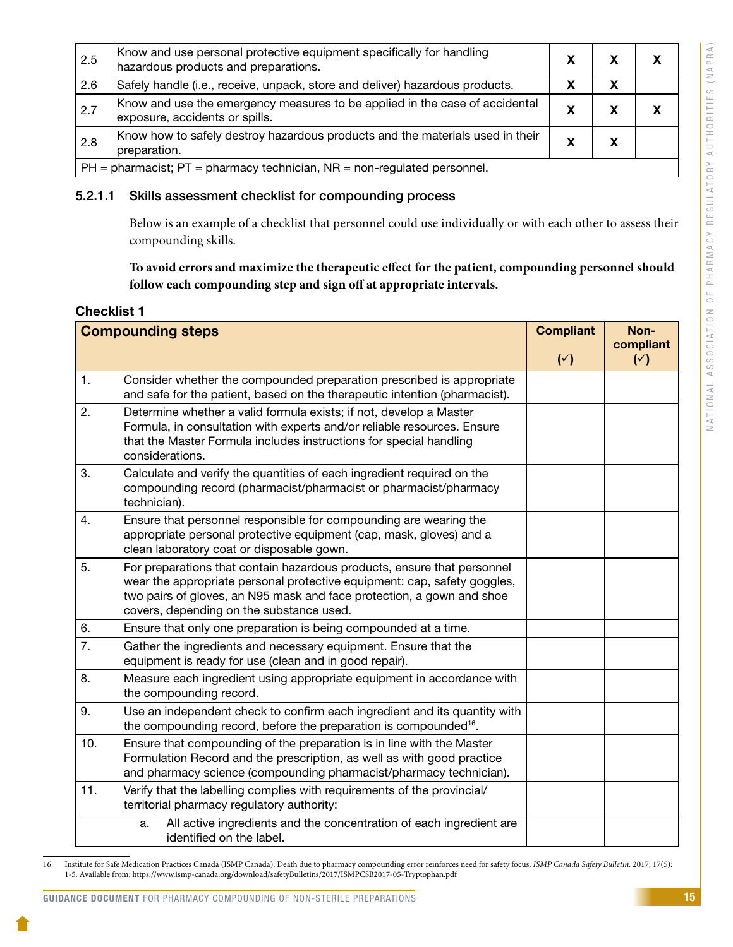| 2.5                                                                             | Know and use personal protective equipment specifically for handling<br>hazardous products and preparations.  |   |  |  |  |
|---------------------------------------------------------------------------------|---------------------------------------------------------------------------------------------------------------|---|--|--|--|
| 2.6                                                                             | Safely handle (i.e., receive, unpack, store and deliver) hazardous products.                                  |   |  |  |  |
| 2.7                                                                             | Know and use the emergency measures to be applied in the case of accidental<br>exposure, accidents or spills. | х |  |  |  |
| 2.8                                                                             | Know how to safely destroy hazardous products and the materials used in their<br>preparation.                 |   |  |  |  |
| $ PH =$ pharmacist; $PT =$ pharmacy technician, $NR =$ non-regulated personnel. |                                                                                                               |   |  |  |  |

#### 5.2.1.1 Skills assessment checklist for compounding process

Below is an example of a checklist that personnel could use individually or with each other to assess their compounding skills.

**To avoid errors and maximize the therapeutic effect for the patient, compounding personnel should follow each compounding step and sign off at appropriate intervals.** 

### **Checklist 1**

| <b>Compounding steps</b> |                                                                                                                                                                                                                                                                          |  | Non-<br>compliant<br>$(\vee)$ |
|--------------------------|--------------------------------------------------------------------------------------------------------------------------------------------------------------------------------------------------------------------------------------------------------------------------|--|-------------------------------|
| 1.                       | Consider whether the compounded preparation prescribed is appropriate<br>and safe for the patient, based on the therapeutic intention (pharmacist).                                                                                                                      |  |                               |
| 2.                       | Determine whether a valid formula exists; if not, develop a Master<br>Formula, in consultation with experts and/or reliable resources. Ensure<br>that the Master Formula includes instructions for special handling<br>considerations.                                   |  |                               |
| 3.                       | Calculate and verify the quantities of each ingredient required on the<br>compounding record (pharmacist/pharmacist or pharmacist/pharmacy<br>technician).                                                                                                               |  |                               |
| 4.                       | Ensure that personnel responsible for compounding are wearing the<br>appropriate personal protective equipment (cap, mask, gloves) and a<br>clean laboratory coat or disposable gown.                                                                                    |  |                               |
| 5.                       | For preparations that contain hazardous products, ensure that personnel<br>wear the appropriate personal protective equipment: cap, safety goggles,<br>two pairs of gloves, an N95 mask and face protection, a gown and shoe<br>covers, depending on the substance used. |  |                               |
| 6.                       | Ensure that only one preparation is being compounded at a time.                                                                                                                                                                                                          |  |                               |
| 7.                       | Gather the ingredients and necessary equipment. Ensure that the<br>equipment is ready for use (clean and in good repair).                                                                                                                                                |  |                               |
| 8.                       | Measure each ingredient using appropriate equipment in accordance with<br>the compounding record.                                                                                                                                                                        |  |                               |
| 9.                       | Use an independent check to confirm each ingredient and its quantity with<br>the compounding record, before the preparation is compounded <sup>16</sup> .                                                                                                                |  |                               |
| 10.                      | Ensure that compounding of the preparation is in line with the Master<br>Formulation Record and the prescription, as well as with good practice<br>and pharmacy science (compounding pharmacist/pharmacy technician).                                                    |  |                               |
| 11.                      | Verify that the labelling complies with requirements of the provincial/<br>territorial pharmacy regulatory authority:                                                                                                                                                    |  |                               |
|                          | All active ingredients and the concentration of each ingredient are<br>a.<br>identified on the label.                                                                                                                                                                    |  |                               |

<sup>16</sup> Institute for Safe Medication Practices Canada (ISMP Canada). Death due to pharmacy compounding error reinforces need for safety focus. *ISMP Canada Safety Bulletin.* 2017; 17(5): 1-5. Available from: https://www.ismp-canada.org/download/safetyBulletins/2017/ISMPCSB2017-05-Tryptophan.pdf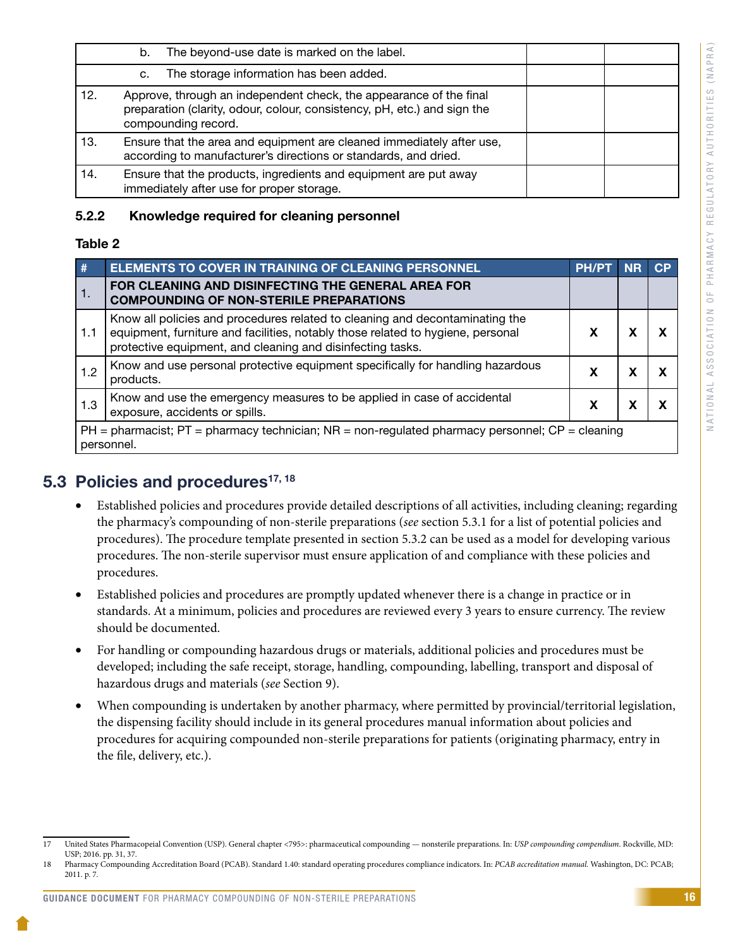| $\overline{\mathcal{A}}$<br>$\alpha$ |
|--------------------------------------|
|                                      |
|                                      |
| $\Box$                               |
|                                      |
| d                                    |
|                                      |
| Z                                    |
|                                      |
|                                      |
|                                      |
|                                      |
| S                                    |
|                                      |
| J<br>Ц                               |
|                                      |
|                                      |
| H                                    |
|                                      |
|                                      |
| $\alpha$                             |
|                                      |
| Ć<br>J                               |
|                                      |
| j                                    |
|                                      |
|                                      |
| Н                                    |
|                                      |
| ⊃                                    |
|                                      |
| $\prec$                              |
|                                      |
|                                      |
| $\geq$                               |
|                                      |
| $\approx$                            |
|                                      |
|                                      |
| $\overline{a}$<br>⊃                  |
|                                      |
| н                                    |
|                                      |
| ä                                    |
|                                      |
| ┙                                    |
|                                      |
| $\Rightarrow$                        |
|                                      |
|                                      |
| Ġ                                    |
|                                      |
| Ш                                    |
|                                      |
| $\approx$                            |
|                                      |
|                                      |
| $\geq$                               |
|                                      |
| نَ                                   |
|                                      |
| ₫                                    |
|                                      |
|                                      |
|                                      |
|                                      |
| Σ                                    |
|                                      |
| $\sim$                               |
|                                      |
| ₫                                    |
|                                      |
|                                      |
| H                                    |
|                                      |
| $\sim$                               |
|                                      |
|                                      |
| Щ                                    |
|                                      |
| ō                                    |
|                                      |
|                                      |
|                                      |
| $\geq$                               |
|                                      |
| ⊃                                    |
| Ċ                                    |
|                                      |
| ⊢                                    |
|                                      |
| ₫                                    |
|                                      |
|                                      |
|                                      |
| Ō                                    |
|                                      |
| Ċ                                    |
| $\overline{a}$                       |
| Ù,<br>J                              |
|                                      |
| Ù                                    |
| $\overline{a}$                       |
|                                      |
| ₫                                    |
|                                      |
|                                      |
| ┙                                    |
|                                      |
| ā                                    |
|                                      |
| $\geq$                               |
|                                      |
|                                      |
| $\circ$                              |
|                                      |
|                                      |
| É                                    |
|                                      |
| d                                    |
|                                      |
|                                      |
| $\geq$                               |

<span id="page-18-0"></span>

|     | The beyond-use date is marked on the label.<br>b.                                                                                                                     |  |
|-----|-----------------------------------------------------------------------------------------------------------------------------------------------------------------------|--|
|     | The storage information has been added.<br>c.                                                                                                                         |  |
| 12. | Approve, through an independent check, the appearance of the final<br>preparation (clarity, odour, colour, consistency, pH, etc.) and sign the<br>compounding record. |  |
| 13. | Ensure that the area and equipment are cleaned immediately after use,<br>according to manufacturer's directions or standards, and dried.                              |  |
| 14. | Ensure that the products, ingredients and equipment are put away<br>immediately after use for proper storage.                                                         |  |

### 5.2.2 Knowledge required for cleaning personnel

#### Table 2

| #   | ELEMENTS TO COVER IN TRAINING OF CLEANING PERSONNEL                                                                                                                                                                           | <b>PH/PT</b> |   | СP |  |
|-----|-------------------------------------------------------------------------------------------------------------------------------------------------------------------------------------------------------------------------------|--------------|---|----|--|
| 1.  | FOR CLEANING AND DISINFECTING THE GENERAL AREA FOR<br><b>COMPOUNDING OF NON-STERILE PREPARATIONS</b>                                                                                                                          |              |   |    |  |
| 1.1 | Know all policies and procedures related to cleaning and decontaminating the<br>equipment, furniture and facilities, notably those related to hygiene, personal<br>protective equipment, and cleaning and disinfecting tasks. | x            | х |    |  |
| 1.2 | Know and use personal protective equipment specifically for handling hazardous<br>products.                                                                                                                                   | х            | x |    |  |
| 1.3 | Know and use the emergency measures to be applied in case of accidental<br>exposure, accidents or spills.                                                                                                                     | X            | х |    |  |
|     | $PH =$ pharmacist; PT = pharmacy technician; NR = non-regulated pharmacy personnel; CP = cleaning<br>personnel.                                                                                                               |              |   |    |  |

### 5.3 Policies and procedures<sup>17, 18</sup>

- Established policies and procedures provide detailed descriptions of all activities, including cleaning; regarding the pharmacy's compounding of non-sterile preparations (*see* section 5.3.1 for a list of potential policies and procedures). The procedure template presented in section 5.3.2 can be used as a model for developing various procedures. The non-sterile supervisor must ensure application of and compliance with these policies and procedures.
- Established policies and procedures are promptly updated whenever there is a change in practice or in standards. At a minimum, policies and procedures are reviewed every 3 years to ensure currency. The review should be documented.
- For handling or compounding hazardous drugs or materials, additional policies and procedures must be developed; including the safe receipt, storage, handling, compounding, labelling, transport and disposal of hazardous drugs and materials (*see* Section 9).
- When compounding is undertaken by another pharmacy, where permitted by provincial/territorial legislation, the dispensing facility should include in its general procedures manual information about policies and procedures for acquiring compounded non-sterile preparations for patients (originating pharmacy, entry in the file, delivery, etc.).

#### GUIDANCE DOCUMENT FOR PHARMACY COMPOUNDING OF NON-STERILE PREPARATIONS

<sup>17</sup> United States Pharmacopeial Convention (USP). General chapter <795>: pharmaceutical compounding — nonsterile preparations. In: *USP compounding compendium*. Rockville, MD: USP; 2016. pp. 31, 37.

<sup>18</sup> Pharmacy Compounding Accreditation Board (PCAB). Standard 1.40: standard operating procedures compliance indicators. In: *PCAB accreditation manual.* Washington, DC: PCAB; 2011. p. 7.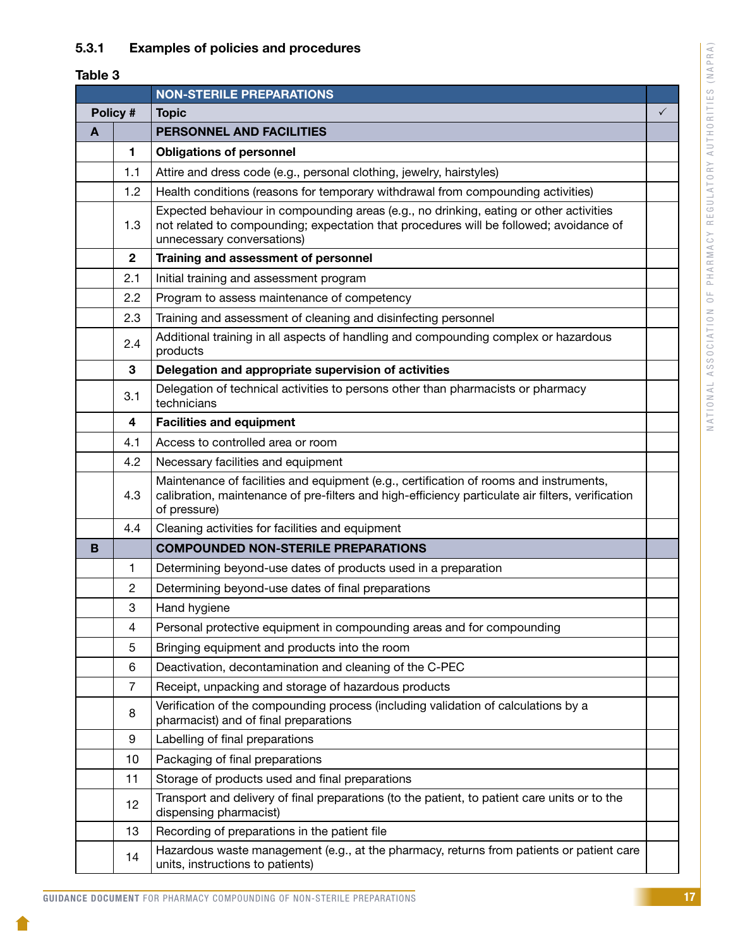### <span id="page-19-0"></span>5.3.1 Examples of policies and procedures

### Table 3

|   |                                                                                                                                                                                                                    | <b>NON-STERILE PREPARATIONS</b>                                                                                                                                                                                |              |
|---|--------------------------------------------------------------------------------------------------------------------------------------------------------------------------------------------------------------------|----------------------------------------------------------------------------------------------------------------------------------------------------------------------------------------------------------------|--------------|
|   | Policy #                                                                                                                                                                                                           | <b>Topic</b>                                                                                                                                                                                                   | $\checkmark$ |
| A |                                                                                                                                                                                                                    | PERSONNEL AND FACILITIES                                                                                                                                                                                       |              |
|   | 1                                                                                                                                                                                                                  | <b>Obligations of personnel</b>                                                                                                                                                                                |              |
|   | 1.1                                                                                                                                                                                                                | Attire and dress code (e.g., personal clothing, jewelry, hairstyles)                                                                                                                                           |              |
|   | Health conditions (reasons for temporary withdrawal from compounding activities)<br>1.2                                                                                                                            |                                                                                                                                                                                                                |              |
|   | 1.3                                                                                                                                                                                                                | Expected behaviour in compounding areas (e.g., no drinking, eating or other activities<br>not related to compounding; expectation that procedures will be followed; avoidance of<br>unnecessary conversations) |              |
|   | $\mathbf{2}$                                                                                                                                                                                                       | Training and assessment of personnel                                                                                                                                                                           |              |
|   | 2.1                                                                                                                                                                                                                | Initial training and assessment program                                                                                                                                                                        |              |
|   | 2.2                                                                                                                                                                                                                | Program to assess maintenance of competency                                                                                                                                                                    |              |
|   | 2.3                                                                                                                                                                                                                | Training and assessment of cleaning and disinfecting personnel                                                                                                                                                 |              |
|   | 2.4                                                                                                                                                                                                                | Additional training in all aspects of handling and compounding complex or hazardous<br>products                                                                                                                |              |
|   | 3                                                                                                                                                                                                                  | Delegation and appropriate supervision of activities                                                                                                                                                           |              |
|   | 3.1                                                                                                                                                                                                                | Delegation of technical activities to persons other than pharmacists or pharmacy<br>technicians                                                                                                                |              |
|   | 4                                                                                                                                                                                                                  | <b>Facilities and equipment</b>                                                                                                                                                                                |              |
|   | 4.1                                                                                                                                                                                                                | Access to controlled area or room                                                                                                                                                                              |              |
|   | 4.2                                                                                                                                                                                                                | Necessary facilities and equipment                                                                                                                                                                             |              |
|   | Maintenance of facilities and equipment (e.g., certification of rooms and instruments,<br>calibration, maintenance of pre-filters and high-efficiency particulate air filters, verification<br>4.3<br>of pressure) |                                                                                                                                                                                                                |              |
|   | 4.4                                                                                                                                                                                                                | Cleaning activities for facilities and equipment                                                                                                                                                               |              |
| B |                                                                                                                                                                                                                    | <b>COMPOUNDED NON-STERILE PREPARATIONS</b>                                                                                                                                                                     |              |
|   | 1                                                                                                                                                                                                                  | Determining beyond-use dates of products used in a preparation                                                                                                                                                 |              |
|   | $\overline{2}$                                                                                                                                                                                                     | Determining beyond-use dates of final preparations                                                                                                                                                             |              |
|   | 3                                                                                                                                                                                                                  | Hand hygiene                                                                                                                                                                                                   |              |
|   | 4                                                                                                                                                                                                                  | Personal protective equipment in compounding areas and for compounding                                                                                                                                         |              |
|   | 5                                                                                                                                                                                                                  | Bringing equipment and products into the room                                                                                                                                                                  |              |
|   | 6                                                                                                                                                                                                                  | Deactivation, decontamination and cleaning of the C-PEC                                                                                                                                                        |              |
|   | 7                                                                                                                                                                                                                  | Receipt, unpacking and storage of hazardous products                                                                                                                                                           |              |
|   | 8                                                                                                                                                                                                                  | Verification of the compounding process (including validation of calculations by a<br>pharmacist) and of final preparations                                                                                    |              |
|   | 9                                                                                                                                                                                                                  | Labelling of final preparations                                                                                                                                                                                |              |
|   | 10                                                                                                                                                                                                                 | Packaging of final preparations                                                                                                                                                                                |              |
|   | 11                                                                                                                                                                                                                 | Storage of products used and final preparations                                                                                                                                                                |              |
|   | 12                                                                                                                                                                                                                 | Transport and delivery of final preparations (to the patient, to patient care units or to the<br>dispensing pharmacist)                                                                                        |              |
|   | 13                                                                                                                                                                                                                 | Recording of preparations in the patient file                                                                                                                                                                  |              |
|   | 14                                                                                                                                                                                                                 | Hazardous waste management (e.g., at the pharmacy, returns from patients or patient care<br>units, instructions to patients)                                                                                   |              |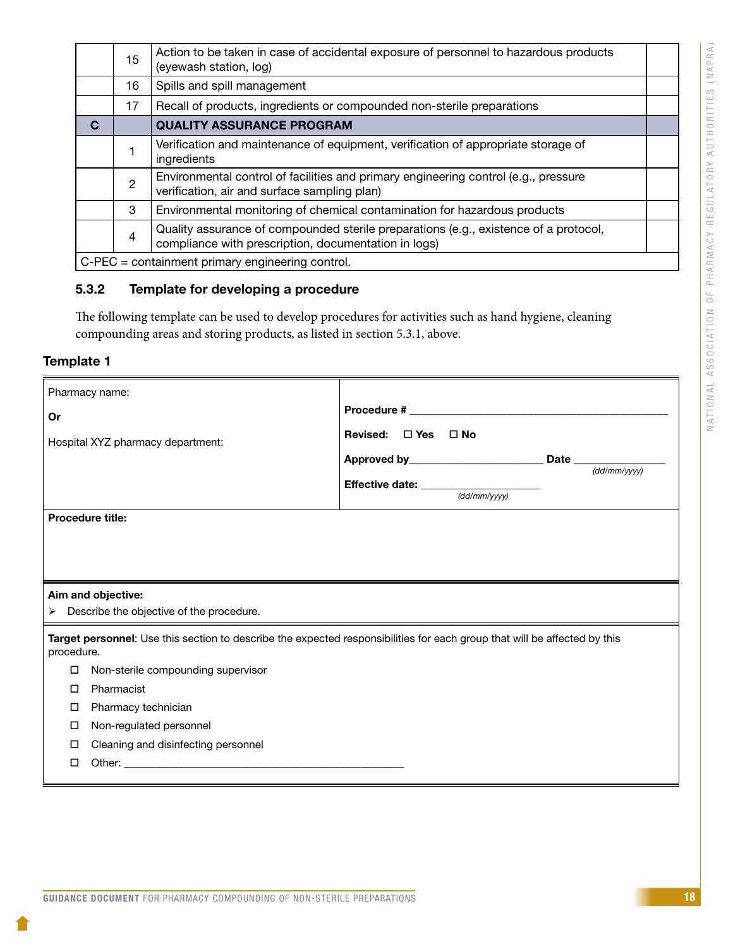<span id="page-20-0"></span>

|   | 15                                               | Action to be taken in case of accidental exposure of personnel to hazardous products<br>(eyewash station, log)                               |  |  |
|---|--------------------------------------------------|----------------------------------------------------------------------------------------------------------------------------------------------|--|--|
|   | 16                                               | Spills and spill management                                                                                                                  |  |  |
|   | 17                                               | Recall of products, ingredients or compounded non-sterile preparations                                                                       |  |  |
| C |                                                  | <b>QUALITY ASSURANCE PROGRAM</b>                                                                                                             |  |  |
|   |                                                  | Verification and maintenance of equipment, verification of appropriate storage of<br>ingredients                                             |  |  |
|   | $\overline{2}$                                   | Environmental control of facilities and primary engineering control (e.g., pressure<br>verification, air and surface sampling plan)          |  |  |
|   | 3                                                | Environmental monitoring of chemical contamination for hazardous products                                                                    |  |  |
|   | $\overline{4}$                                   | Quality assurance of compounded sterile preparations (e.g., existence of a protocol,<br>compliance with prescription, documentation in logs) |  |  |
|   | C-PEC = containment primary engineering control. |                                                                                                                                              |  |  |

### 5.3.2 Template for developing a procedure

The following template can be used to develop procedures for activities such as hand hygiene, cleaning compounding areas and storing products, as listed in section 5.3.1, above.

### Template 1

| Pharmacy name:                                |                                                                                                                           |              |  |  |  |
|-----------------------------------------------|---------------------------------------------------------------------------------------------------------------------------|--------------|--|--|--|
| Or                                            |                                                                                                                           |              |  |  |  |
| Hospital XYZ pharmacy department:             | Revised: $\Box$ Yes $\Box$ No                                                                                             |              |  |  |  |
|                                               |                                                                                                                           | (dd/mm/yyyy) |  |  |  |
|                                               | Effective date: $\frac{1}{\text{(dd/mm/yyyy)}}$                                                                           |              |  |  |  |
|                                               |                                                                                                                           |              |  |  |  |
| <b>Procedure title:</b>                       |                                                                                                                           |              |  |  |  |
|                                               |                                                                                                                           |              |  |  |  |
|                                               |                                                                                                                           |              |  |  |  |
|                                               |                                                                                                                           |              |  |  |  |
| Aim and objective:                            |                                                                                                                           |              |  |  |  |
| Describe the objective of the procedure.<br>➤ |                                                                                                                           |              |  |  |  |
| procedure.                                    | Target personnel: Use this section to describe the expected responsibilities for each group that will be affected by this |              |  |  |  |
| Non-sterile compounding supervisor<br>□       |                                                                                                                           |              |  |  |  |
| Pharmacist<br>П                               |                                                                                                                           |              |  |  |  |
| Pharmacy technician<br>□                      |                                                                                                                           |              |  |  |  |
| Non-regulated personnel<br>□                  |                                                                                                                           |              |  |  |  |
| Cleaning and disinfecting personnel<br>ப      |                                                                                                                           |              |  |  |  |
| П                                             |                                                                                                                           |              |  |  |  |
|                                               |                                                                                                                           |              |  |  |  |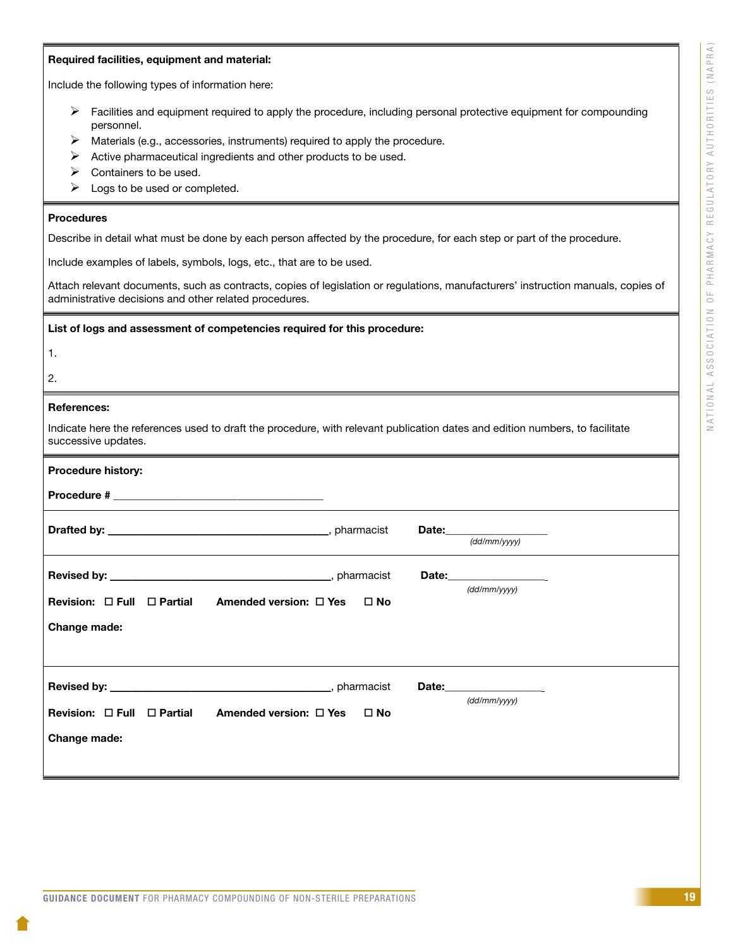#### Required facilities, equipment and material:

Include the following types of information here:

- $\triangleright$  Facilities and equipment required to apply the procedure, including personal protective equipment for compounding personnel.
- $\triangleright$  Materials (e.g., accessories, instruments) required to apply the procedure.
- $\triangleright$  Active pharmaceutical ingredients and other products to be used.
- $\triangleright$  Containers to be used.
- $\triangleright$  Logs to be used or completed.

#### Procedures

Describe in detail what must be done by each person affected by the procedure, for each step or part of the procedure.

Include examples of labels, symbols, logs, etc., that are to be used.

Attach relevant documents, such as contracts, copies of legislation or regulations, manufacturers' instruction manuals, copies of administrative decisions and other related procedures.

List of logs and assessment of competencies required for this procedure:

- 1.
- 
- 2.

#### References:

Indicate here the references used to draft the procedure, with relevant publication dates and edition numbers, to facilitate successive updates.

| Procedure history:                                                                         |                                             |
|--------------------------------------------------------------------------------------------|---------------------------------------------|
|                                                                                            |                                             |
|                                                                                            | Date: _____________________<br>(dd/mm/vvvv) |
| Revision: $\Box$ Full $\Box$ Partial Amended version: $\Box$ Yes $\Box$ No<br>Change made: | Date: ___________________<br>(dd/mm/vvvv)   |
| Revision: $\Box$ Full $\Box$ Partial Amended version: $\Box$ Yes $\Box$ No<br>Change made: | Date:___________________<br>(dd/mm/vvvv)    |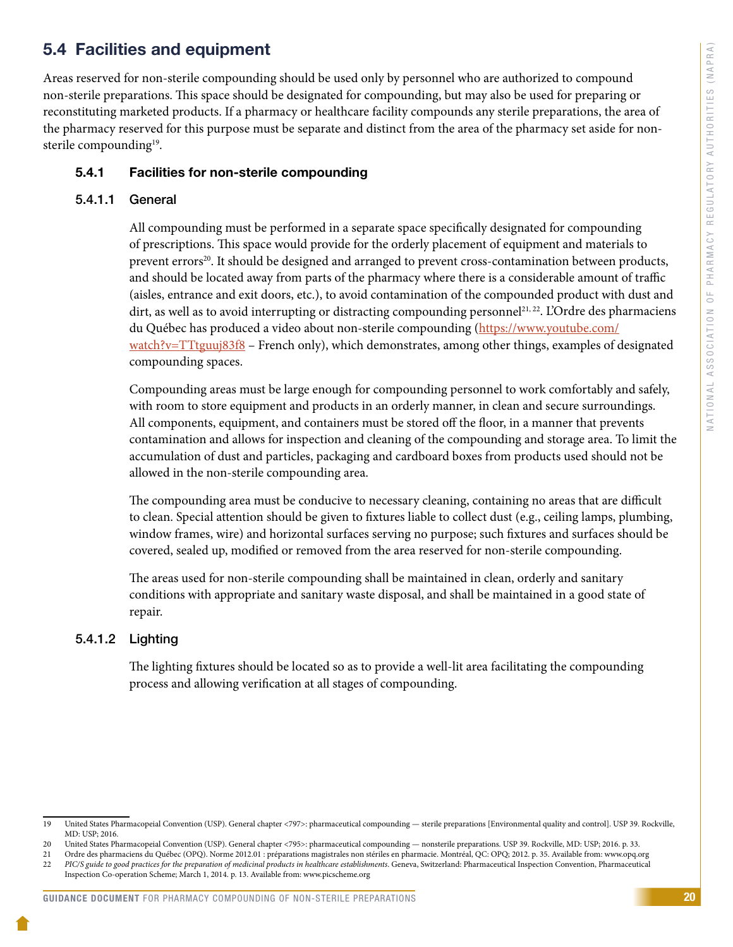### <span id="page-22-0"></span>5.4 Facilities and equipment

Areas reserved for non-sterile compounding should be used only by personnel who are authorized to compound non-sterile preparations. This space should be designated for compounding, but may also be used for preparing or reconstituting marketed products. If a pharmacy or healthcare facility compounds any sterile preparations, the area of the pharmacy reserved for this purpose must be separate and distinct from the area of the pharmacy set aside for nonsterile compounding<sup>19</sup>.

### 5.4.1 Facilities for non-sterile compounding

### 5.4.1.1 General

All compounding must be performed in a separate space specifically designated for compounding of prescriptions. This space would provide for the orderly placement of equipment and materials to prevent errors<sup>20</sup>. It should be designed and arranged to prevent cross-contamination between products, and should be located away from parts of the pharmacy where there is a considerable amount of traffic (aisles, entrance and exit doors, etc.), to avoid contamination of the compounded product with dust and dirt, as well as to avoid interrupting or distracting compounding personnel<sup>21, 22</sup>. L'Ordre des pharmaciens du Québec has produced a video about non-sterile compounding [\(https://www.youtube.com/](https://www.youtube.com/watch?v=TTtguuj83f8) [watch?v=TTtguuj83f8](https://www.youtube.com/watch?v=TTtguuj83f8) – French only), which demonstrates, among other things, examples of designated compounding spaces.

Compounding areas must be large enough for compounding personnel to work comfortably and safely, with room to store equipment and products in an orderly manner, in clean and secure surroundings. All components, equipment, and containers must be stored off the floor, in a manner that prevents contamination and allows for inspection and cleaning of the compounding and storage area. To limit the accumulation of dust and particles, packaging and cardboard boxes from products used should not be allowed in the non-sterile compounding area.

The compounding area must be conducive to necessary cleaning, containing no areas that are difficult to clean. Special attention should be given to fixtures liable to collect dust (e.g., ceiling lamps, plumbing, window frames, wire) and horizontal surfaces serving no purpose; such fixtures and surfaces should be covered, sealed up, modified or removed from the area reserved for non-sterile compounding.

The areas used for non-sterile compounding shall be maintained in clean, orderly and sanitary conditions with appropriate and sanitary waste disposal, and shall be maintained in a good state of repair.

### 5.4.1.2 Lighting

The lighting fixtures should be located so as to provide a well-lit area facilitating the compounding process and allowing verification at all stages of compounding.

<sup>19</sup> United States Pharmacopeial Convention (USP). General chapter <797>: pharmaceutical compounding — sterile preparations [Environmental quality and control]. USP 39. Rockville, MD: USP; 2016.

<sup>20</sup> United States Pharmacopeial Convention (USP). General chapter <795>: pharmaceutical compounding — nonsterile preparations. USP 39. Rockville, MD: USP; 2016. p. 33.

<sup>21</sup> Ordre des pharmaciens du Québec (OPQ). Norme 2012.01 : préparations magistrales non stériles en pharmacie. Montréal, QC: OPQ; 2012. p. 35. Available from: www.opq.org 22 *PIC/S guide to good practices for the preparation of medicinal products in healthcare establishments*. Geneva, Switzerland: Pharmaceutical Inspection Convention, Pharmaceutical

Inspection Co-operation Scheme; March 1, 2014. p. 13. Available from: www.picscheme.org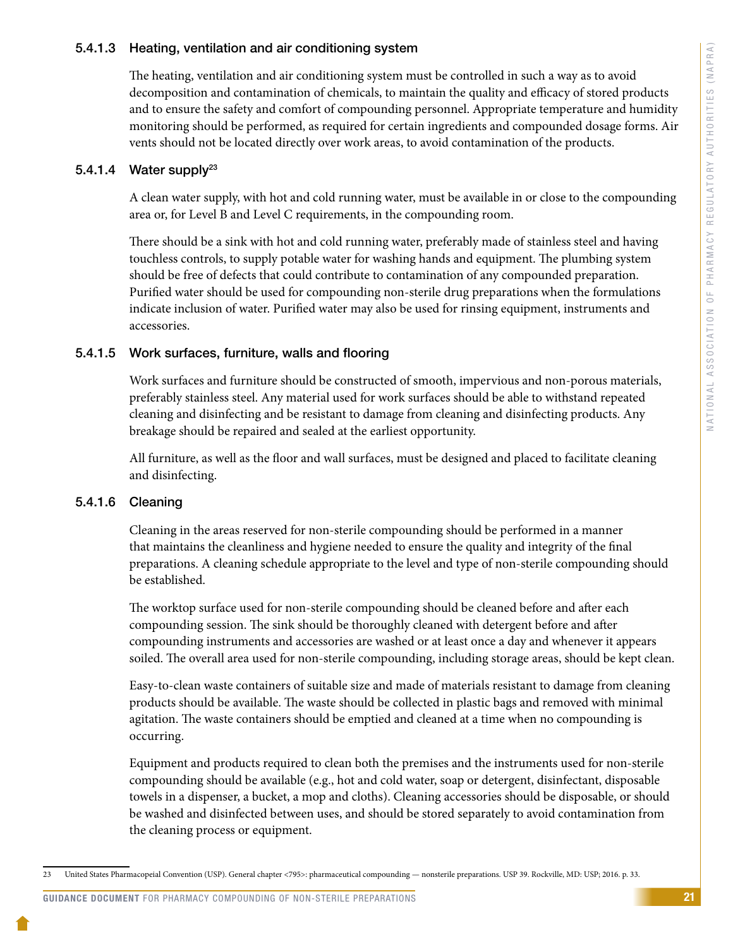#### 5.4.1.3 Heating, ventilation and air conditioning system

The heating, ventilation and air conditioning system must be controlled in such a way as to avoid decomposition and contamination of chemicals, to maintain the quality and efficacy of stored products and to ensure the safety and comfort of compounding personnel. Appropriate temperature and humidity monitoring should be performed, as required for certain ingredients and compounded dosage forms. Air vents should not be located directly over work areas, to avoid contamination of the products.

#### 5.4.1.4 Water supply<sup>23</sup>

A clean water supply, with hot and cold running water, must be available in or close to the compounding area or, for Level B and Level C requirements, in the compounding room.

There should be a sink with hot and cold running water, preferably made of stainless steel and having touchless controls, to supply potable water for washing hands and equipment. The plumbing system should be free of defects that could contribute to contamination of any compounded preparation. Purified water should be used for compounding non-sterile drug preparations when the formulations indicate inclusion of water. Purified water may also be used for rinsing equipment, instruments and accessories.

#### 5.4.1.5 Work surfaces, furniture, walls and flooring

Work surfaces and furniture should be constructed of smooth, impervious and non-porous materials, preferably stainless steel. Any material used for work surfaces should be able to withstand repeated cleaning and disinfecting and be resistant to damage from cleaning and disinfecting products. Any breakage should be repaired and sealed at the earliest opportunity.

All furniture, as well as the floor and wall surfaces, must be designed and placed to facilitate cleaning and disinfecting.

#### 5.4.1.6 Cleaning

Cleaning in the areas reserved for non-sterile compounding should be performed in a manner that maintains the cleanliness and hygiene needed to ensure the quality and integrity of the final preparations. A cleaning schedule appropriate to the level and type of non-sterile compounding should be established.

The worktop surface used for non-sterile compounding should be cleaned before and after each compounding session. The sink should be thoroughly cleaned with detergent before and after compounding instruments and accessories are washed or at least once a day and whenever it appears soiled. The overall area used for non-sterile compounding, including storage areas, should be kept clean.

Easy-to-clean waste containers of suitable size and made of materials resistant to damage from cleaning products should be available. The waste should be collected in plastic bags and removed with minimal agitation. The waste containers should be emptied and cleaned at a time when no compounding is occurring.

Equipment and products required to clean both the premises and the instruments used for non-sterile compounding should be available (e.g., hot and cold water, soap or detergent, disinfectant, disposable towels in a dispenser, a bucket, a mop and cloths). Cleaning accessories should be disposable, or should be washed and disinfected between uses, and should be stored separately to avoid contamination from the cleaning process or equipment.

<sup>23</sup> United States Pharmacopeial Convention (USP). General chapter <795>: pharmaceutical compounding — nonsterile preparations. USP 39. Rockville, MD: USP; 2016. p. 33.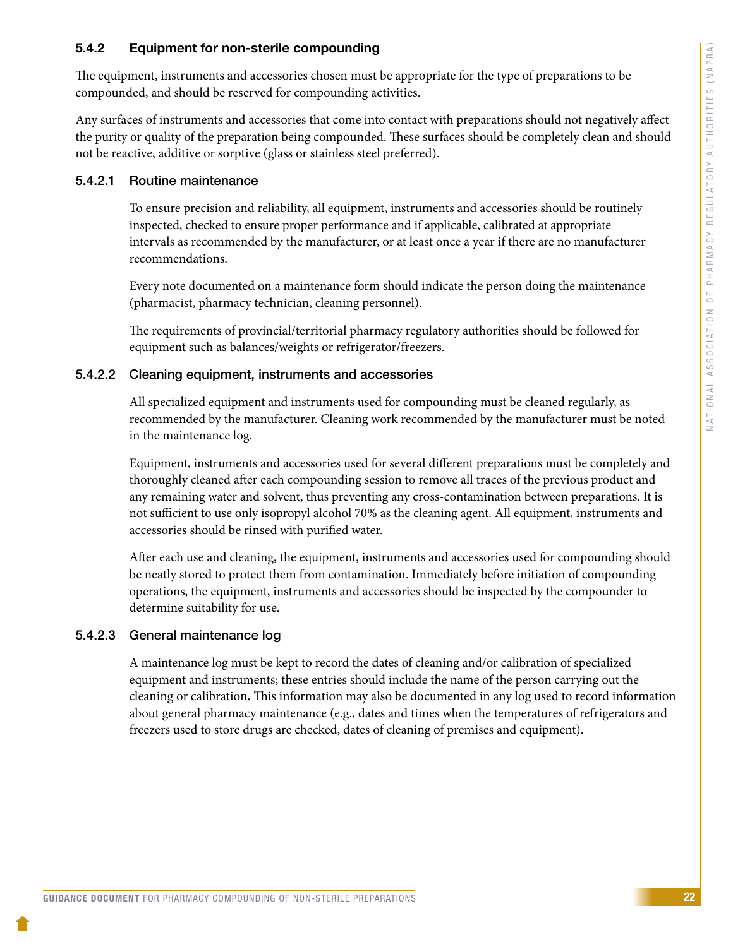### <span id="page-24-0"></span>5.4.2 Equipment for non-sterile compounding

The equipment, instruments and accessories chosen must be appropriate for the type of preparations to be compounded, and should be reserved for compounding activities.

Any surfaces of instruments and accessories that come into contact with preparations should not negatively affect the purity or quality of the preparation being compounded. These surfaces should be completely clean and should not be reactive, additive or sorptive (glass or stainless steel preferred).

#### 5.4.2.1 Routine maintenance

To ensure precision and reliability, all equipment, instruments and accessories should be routinely inspected, checked to ensure proper performance and if applicable, calibrated at appropriate intervals as recommended by the manufacturer, or at least once a year if there are no manufacturer recommendations.

Every note documented on a maintenance form should indicate the person doing the maintenance (pharmacist, pharmacy technician, cleaning personnel).

The requirements of provincial/territorial pharmacy regulatory authorities should be followed for equipment such as balances/weights or refrigerator/freezers.

#### 5.4.2.2 Cleaning equipment, instruments and accessories

All specialized equipment and instruments used for compounding must be cleaned regularly, as recommended by the manufacturer. Cleaning work recommended by the manufacturer must be noted in the maintenance log.

Equipment, instruments and accessories used for several different preparations must be completely and thoroughly cleaned after each compounding session to remove all traces of the previous product and any remaining water and solvent, thus preventing any cross-contamination between preparations. It is not sufficient to use only isopropyl alcohol 70% as the cleaning agent. All equipment, instruments and accessories should be rinsed with purified water.

After each use and cleaning, the equipment, instruments and accessories used for compounding should be neatly stored to protect them from contamination. Immediately before initiation of compounding operations, the equipment, instruments and accessories should be inspected by the compounder to determine suitability for use.

#### 5.4.2.3 General maintenance log

A maintenance log must be kept to record the dates of cleaning and/or calibration of specialized equipment and instruments; these entries should include the name of the person carrying out the cleaning or calibration**.** This information may also be documented in any log used to record information about general pharmacy maintenance (e.g., dates and times when the temperatures of refrigerators and freezers used to store drugs are checked, dates of cleaning of premises and equipment).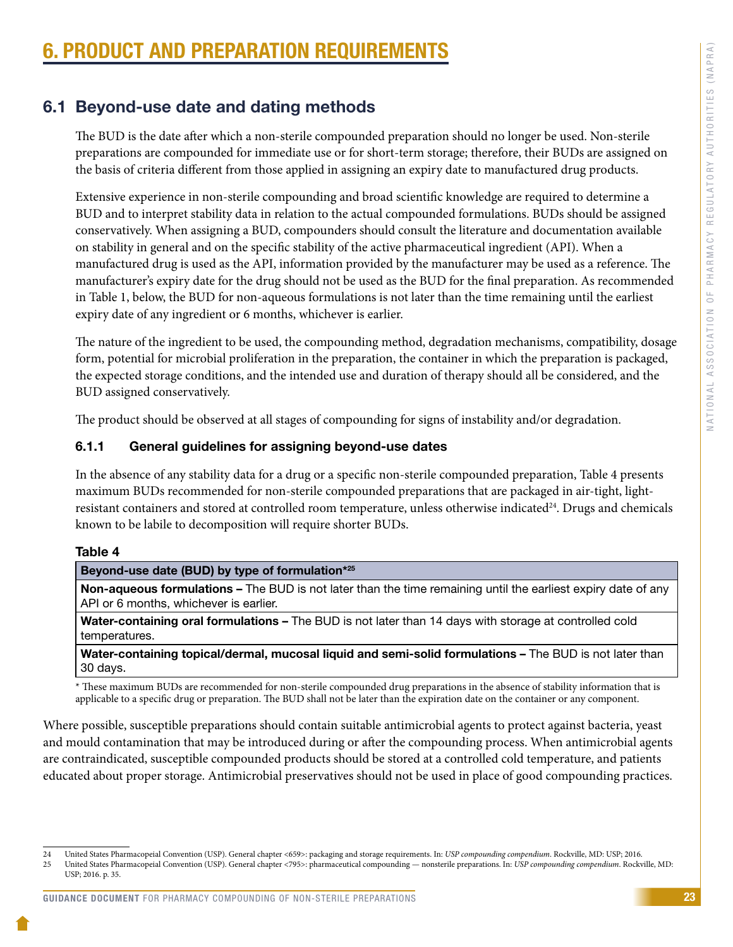# <span id="page-25-0"></span>**PRODUCT AND PREPARATION REQUIREMENT**

### 6.1 Beyond-use date and dating methods

The BUD is the date after which a non-sterile compounded preparation should no longer be used. Non-sterile preparations are compounded for immediate use or for short-term storage; therefore, their BUDs are assigned on the basis of criteria different from those applied in assigning an expiry date to manufactured drug products.

Extensive experience in non-sterile compounding and broad scientific knowledge are required to determine a BUD and to interpret stability data in relation to the actual compounded formulations. BUDs should be assigned conservatively. When assigning a BUD, compounders should consult the literature and documentation available on stability in general and on the specific stability of the active pharmaceutical ingredient (API). When a manufactured drug is used as the API, information provided by the manufacturer may be used as a reference. The manufacturer's expiry date for the drug should not be used as the BUD for the final preparation. As recommended in Table 1, below, the BUD for non-aqueous formulations is not later than the time remaining until the earliest expiry date of any ingredient or 6 months, whichever is earlier.

The nature of the ingredient to be used, the compounding method, degradation mechanisms, compatibility, dosage form, potential for microbial proliferation in the preparation, the container in which the preparation is packaged, the expected storage conditions, and the intended use and duration of therapy should all be considered, and the BUD assigned conservatively.

The product should be observed at all stages of compounding for signs of instability and/or degradation.

### 6.1.1 General guidelines for assigning beyond-use dates

In the absence of any stability data for a drug or a specific non-sterile compounded preparation, Table 4 presents maximum BUDs recommended for non-sterile compounded preparations that are packaged in air-tight, lightresistant containers and stored at controlled room temperature, unless otherwise indicated<sup>24</sup>. Drugs and chemicals known to be labile to decomposition will require shorter BUDs.

#### Table 4

#### Beyond-use date (BUD) by type of formulation\*25

Non-aqueous formulations – The BUD is not later than the time remaining until the earliest expiry date of any API or 6 months, whichever is earlier.

Water-containing oral formulations - The BUD is not later than 14 days with storage at controlled cold temperatures.

Water-containing topical/dermal, mucosal liquid and semi-solid formulations - The BUD is not later than 30 days.

\* These maximum BUDs are recommended for non-sterile compounded drug preparations in the absence of stability information that is applicable to a specific drug or preparation. The BUD shall not be later than the expiration date on the container or any component.

Where possible, susceptible preparations should contain suitable antimicrobial agents to protect against bacteria, yeast and mould contamination that may be introduced during or after the compounding process. When antimicrobial agents are contraindicated, susceptible compounded products should be stored at a controlled cold temperature, and patients educated about proper storage. Antimicrobial preservatives should not be used in place of good compounding practices.

<sup>24</sup> United States Pharmacopeial Convention (USP). General chapter <659>: packaging and storage requirements. In: *USP compounding compendium*. Rockville, MD: USP; 2016. 25 United States Pharmacopeial Convention (USP). General chapter <795>: pharmaceutical compounding — nonsterile preparations. In: *USP compounding compendium*. Rockville, MD: USP; 2016. p. 35.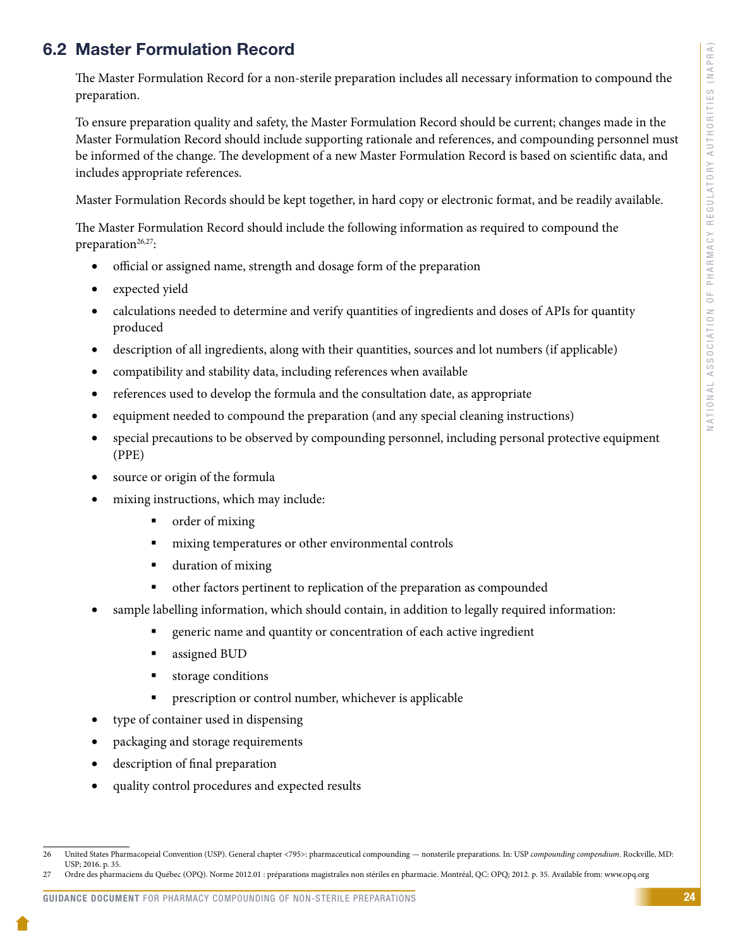### <span id="page-26-0"></span>6.2 Master Formulation Record

The Master Formulation Record for a non-sterile preparation includes all necessary information to compound the preparation.

To ensure preparation quality and safety, the Master Formulation Record should be current; changes made in the Master Formulation Record should include supporting rationale and references, and compounding personnel must be informed of the change. The development of a new Master Formulation Record is based on scientific data, and includes appropriate references.

Master Formulation Records should be kept together, in hard copy or electronic format, and be readily available.

The Master Formulation Record should include the following information as required to compound the preparation $26,27$ :

- official or assigned name, strength and dosage form of the preparation
- expected yield
- calculations needed to determine and verify quantities of ingredients and doses of APIs for quantity produced
- description of all ingredients, along with their quantities, sources and lot numbers (if applicable)
- compatibility and stability data, including references when available
- references used to develop the formula and the consultation date, as appropriate
- equipment needed to compound the preparation (and any special cleaning instructions)
- special precautions to be observed by compounding personnel, including personal protective equipment (PPE)
- source or origin of the formula
- mixing instructions, which may include:
	- order of mixing
	- mixing temperatures or other environmental controls
	- **duration of mixing**
	- other factors pertinent to replication of the preparation as compounded
- sample labelling information, which should contain, in addition to legally required information:
	- generic name and quantity or concentration of each active ingredient
	- assigned BUD
	- **storage conditions**
	- **PEDIE:** prescription or control number, whichever is applicable
- type of container used in dispensing
- packaging and storage requirements
- • description of final preparation
- quality control procedures and expected results

<sup>26</sup> United States Pharmacopeial Convention (USP). General chapter <795>: pharmaceutical compounding — nonsterile preparations. In: USP *compounding compendium*. Rockville, MD: USP; 2016. p. 35.

<sup>27</sup> Ordre des pharmaciens du Québec (OPQ). Norme 2012.01 : préparations magistrales non stériles en pharmacie. Montréal, QC: OPQ; 2012. p. 35. Available from: www.opq.org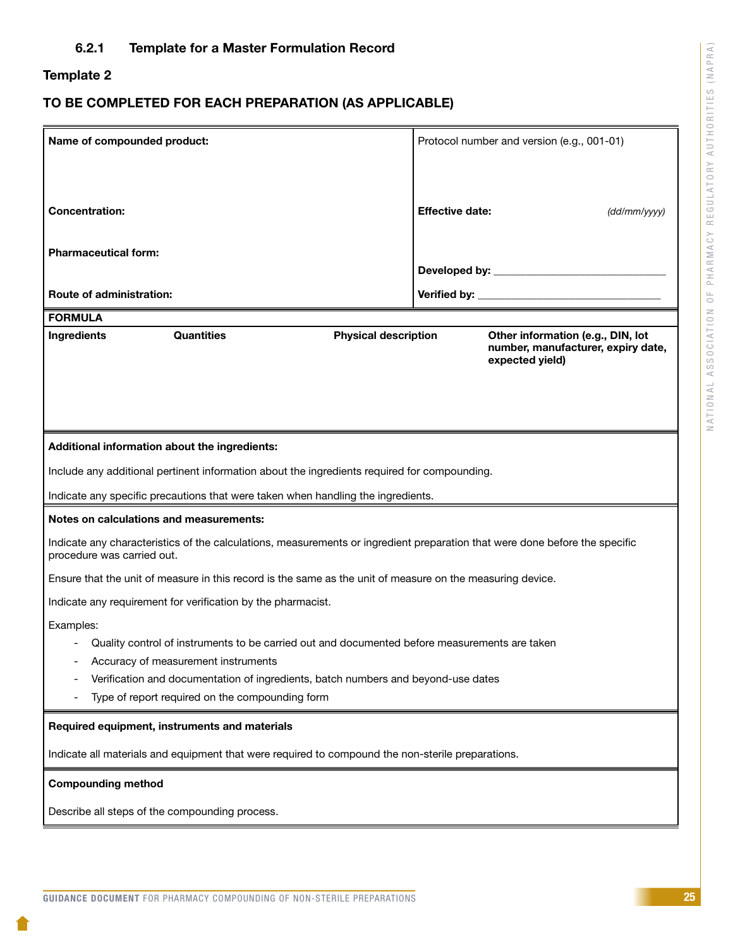### <span id="page-27-0"></span>Template 2

### TO BE COMPLETED FOR EACH PREPARATION (AS APPLICABLE)

| Name of compounded product:                                                                                                                               |                        | Protocol number and version (e.g., 001-01)                                                 |
|-----------------------------------------------------------------------------------------------------------------------------------------------------------|------------------------|--------------------------------------------------------------------------------------------|
|                                                                                                                                                           |                        |                                                                                            |
| <b>Concentration:</b>                                                                                                                                     | <b>Effective date:</b> | (dd/mm/yyy)                                                                                |
| <b>Pharmaceutical form:</b>                                                                                                                               |                        |                                                                                            |
| <b>Route of administration:</b>                                                                                                                           |                        |                                                                                            |
| <b>FORMULA</b>                                                                                                                                            |                        |                                                                                            |
| <b>Quantities</b><br>Ingredients<br><b>Physical description</b>                                                                                           |                        | Other information (e.g., DIN, lot<br>number, manufacturer, expiry date,<br>expected yield) |
|                                                                                                                                                           |                        |                                                                                            |
| Additional information about the ingredients:                                                                                                             |                        |                                                                                            |
| Include any additional pertinent information about the ingredients required for compounding.                                                              |                        |                                                                                            |
| Indicate any specific precautions that were taken when handling the ingredients.                                                                          |                        |                                                                                            |
| Notes on calculations and measurements:                                                                                                                   |                        |                                                                                            |
| Indicate any characteristics of the calculations, measurements or ingredient preparation that were done before the specific<br>procedure was carried out. |                        |                                                                                            |
| Ensure that the unit of measure in this record is the same as the unit of measure on the measuring device.                                                |                        |                                                                                            |
| Indicate any requirement for verification by the pharmacist.                                                                                              |                        |                                                                                            |
| Examples:                                                                                                                                                 |                        |                                                                                            |
| Quality control of instruments to be carried out and documented before measurements are taken                                                             |                        |                                                                                            |
| Accuracy of measurement instruments                                                                                                                       |                        |                                                                                            |
| Verification and documentation of ingredients, batch numbers and beyond-use dates                                                                         |                        |                                                                                            |
| Type of report required on the compounding form                                                                                                           |                        |                                                                                            |
| Required equipment, instruments and materials                                                                                                             |                        |                                                                                            |
| Indicate all materials and equipment that were required to compound the non-sterile preparations.                                                         |                        |                                                                                            |
| <b>Compounding method</b>                                                                                                                                 |                        |                                                                                            |
| Describe all steps of the compounding process.                                                                                                            |                        |                                                                                            |
|                                                                                                                                                           |                        |                                                                                            |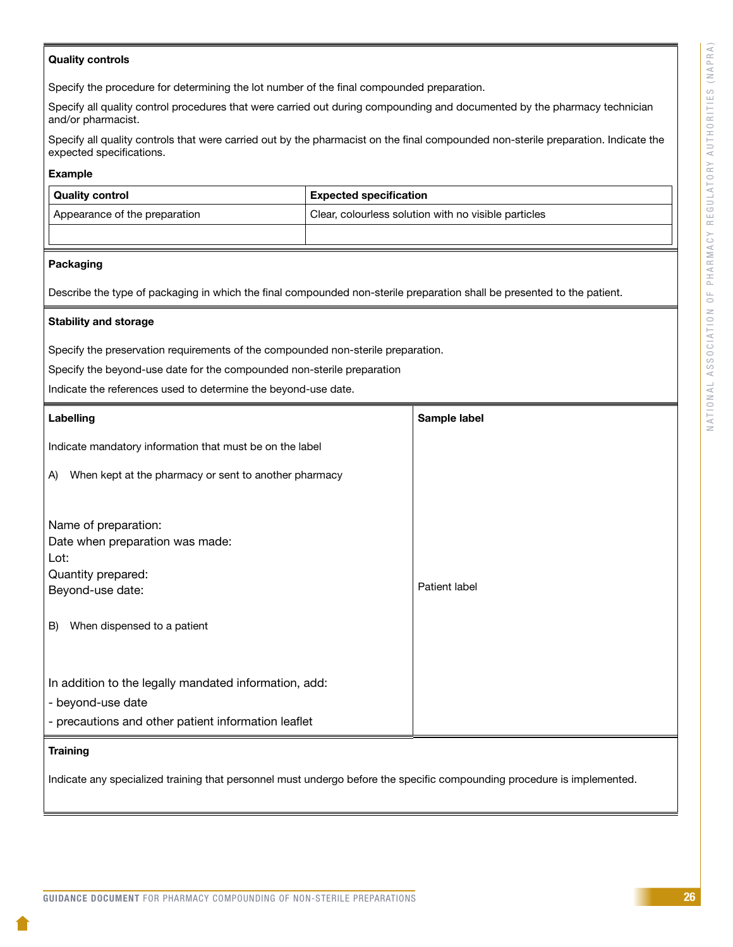#### Quality controls

Specify the procedure for determining the lot number of the final compounded preparation.

Specify all quality control procedures that were carried out during compounding and documented by the pharmacy technician and/or pharmacist.

Specify all quality controls that were carried out by the pharmacist on the final compounded non-sterile preparation. Indicate the expected specifications.

#### Example

| <b>Quality control</b>        |  | <b>Expected specification</b>                        |
|-------------------------------|--|------------------------------------------------------|
| Appearance of the preparation |  | Clear, colourless solution with no visible particles |
|                               |  |                                                      |

#### Packaging

Describe the type of packaging in which the final compounded non-sterile preparation shall be presented to the patient.

#### Stability and storage

Specify the preservation requirements of the compounded non-sterile preparation.

Specify the beyond-use date for the compounded non-sterile preparation

Indicate the references used to determine the beyond-use date.

| Labelling                                                                                                                                      | Sample label  |
|------------------------------------------------------------------------------------------------------------------------------------------------|---------------|
| Indicate mandatory information that must be on the label                                                                                       |               |
| When kept at the pharmacy or sent to another pharmacy<br>A)                                                                                    |               |
| Name of preparation:<br>Date when preparation was made:<br>Lot:<br>Quantity prepared:<br>Beyond-use date:<br>When dispensed to a patient<br>B) | Patient label |
| In addition to the legally mandated information, add:<br>- beyond-use date<br>- precautions and other patient information leaflet              |               |

#### **Training**

Indicate any specialized training that personnel must undergo before the specific compounding procedure is implemented.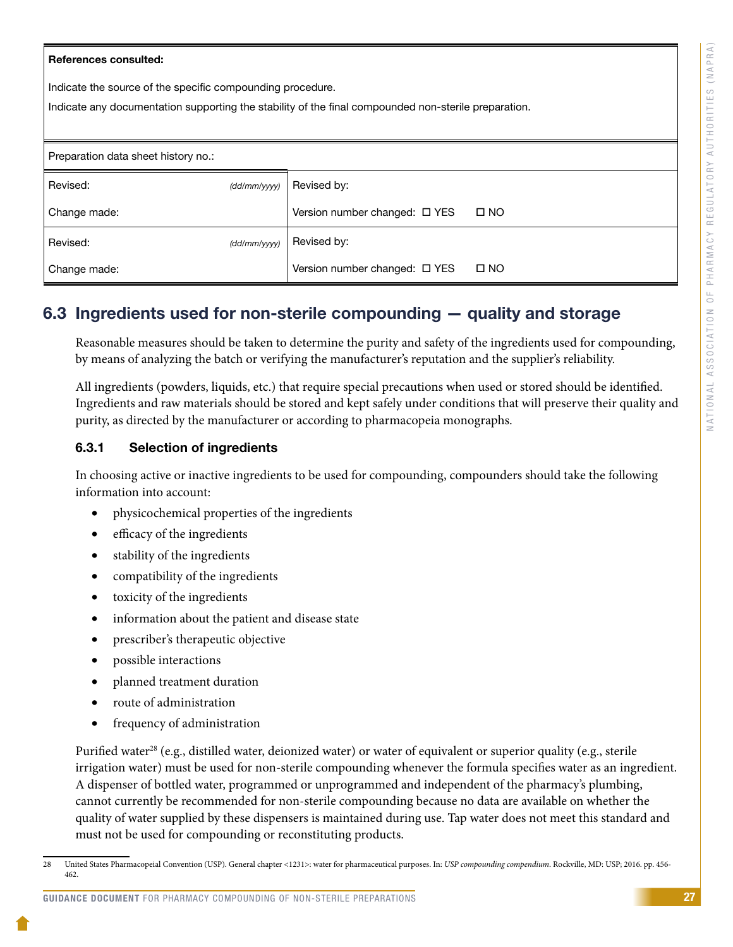#### <span id="page-29-0"></span>References consulted:

Indicate the source of the specific compounding procedure.

Indicate any documentation supporting the stability of the final compounded non-sterile preparation.

| Preparation data sheet history no.: |              |                                    |              |
|-------------------------------------|--------------|------------------------------------|--------------|
| Revised:                            | (dd/mm/yyyy) | Revised by:                        |              |
| Change made:                        |              | Version number changed: $\Box$ YES | $\Box$ NO    |
| Revised:                            | (dd/mm/yyyy) | Revised by:                        |              |
| Change made:                        |              | Version number changed: □ YES      | $\square$ NO |

### 6.3 Ingredients used for non-sterile compounding — quality and storage

Reasonable measures should be taken to determine the purity and safety of the ingredients used for compounding, by means of analyzing the batch or verifying the manufacturer's reputation and the supplier's reliability.

All ingredients (powders, liquids, etc.) that require special precautions when used or stored should be identified. Ingredients and raw materials should be stored and kept safely under conditions that will preserve their quality and purity, as directed by the manufacturer or according to pharmacopeia monographs.

#### 6.3.1 Selection of ingredients

In choosing active or inactive ingredients to be used for compounding, compounders should take the following information into account:

- • physicochemical properties of the ingredients
- efficacy of the ingredients
- stability of the ingredients
- compatibility of the ingredients
- toxicity of the ingredients
- information about the patient and disease state
- prescriber's therapeutic objective
- possible interactions
- planned treatment duration
- route of administration
- frequency of administration

Purified water<sup>28</sup> (e.g., distilled water, deionized water) or water of equivalent or superior quality (e.g., sterile irrigation water) must be used for non-sterile compounding whenever the formula specifies water as an ingredient. A dispenser of bottled water, programmed or unprogrammed and independent of the pharmacy's plumbing, cannot currently be recommended for non-sterile compounding because no data are available on whether the quality of water supplied by these dispensers is maintained during use. Tap water does not meet this standard and must not be used for compounding or reconstituting products.

#### GUIDANCE DOCUMENT FOR PHARMACY COMPOUNDING OF NON-STERILE PREPARATIONS

<sup>28</sup> United States Pharmacopeial Convention (USP). General chapter <1231>: water for pharmaceutical purposes. In: *USP compounding compendium*. Rockville, MD: USP; 2016. pp. 456- 462.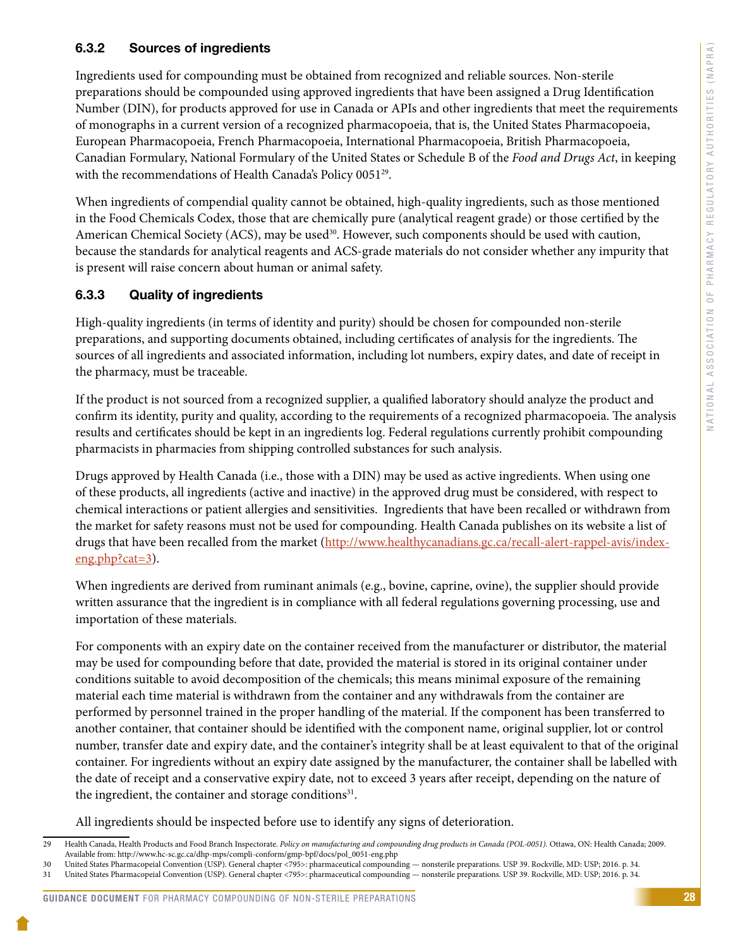### <span id="page-30-0"></span>6.3.2 Sources of ingredients

Ingredients used for compounding must be obtained from recognized and reliable sources. Non-sterile preparations should be compounded using approved ingredients that have been assigned a Drug Identification Number (DIN), for products approved for use in Canada or APIs and other ingredients that meet the requirements of monographs in a current version of a recognized pharmacopoeia, that is, the United States Pharmacopoeia, European Pharmacopoeia, French Pharmacopoeia, International Pharmacopoeia, British Pharmacopoeia, Canadian Formulary, National Formulary of the United States or Schedule B of the *Food and Drugs Act*, in keeping with the recommendations of Health Canada's Policy 0051<sup>29</sup>.

When ingredients of compendial quality cannot be obtained, high-quality ingredients, such as those mentioned in the Food Chemicals Codex, those that are chemically pure (analytical reagent grade) or those certified by the American Chemical Society (ACS), may be used<sup>30</sup>. However, such components should be used with caution, because the standards for analytical reagents and ACS-grade materials do not consider whether any impurity that is present will raise concern about human or animal safety.

### 6.3.3 Quality of ingredients

High-quality ingredients (in terms of identity and purity) should be chosen for compounded non-sterile preparations, and supporting documents obtained, including certificates of analysis for the ingredients. The sources of all ingredients and associated information, including lot numbers, expiry dates, and date of receipt in the pharmacy, must be traceable.

If the product is not sourced from a recognized supplier, a qualified laboratory should analyze the product and confirm its identity, purity and quality, according to the requirements of a recognized pharmacopoeia. The analysis results and certificates should be kept in an ingredients log. Federal regulations currently prohibit compounding pharmacists in pharmacies from shipping controlled substances for such analysis.

Drugs approved by Health Canada (i.e., those with a DIN) may be used as active ingredients. When using one of these products, all ingredients (active and inactive) in the approved drug must be considered, with respect to chemical interactions or patient allergies and sensitivities. Ingredients that have been recalled or withdrawn from the market for safety reasons must not be used for compounding. Health Canada publishes on its website a list of drugs that have been recalled from the market ([http://www.healthycanadians.gc.ca/recall-alert-rappel-avis/index](http://www.healthycanadians.gc.ca/recall-alert-rappel-avis/index-eng.php?cat=3)[eng.php?cat=3\)](http://www.healthycanadians.gc.ca/recall-alert-rappel-avis/index-eng.php?cat=3).

When ingredients are derived from ruminant animals (e.g., bovine, caprine, ovine), the supplier should provide written assurance that the ingredient is in compliance with all federal regulations governing processing, use and importation of these materials.

For components with an expiry date on the container received from the manufacturer or distributor, the material may be used for compounding before that date, provided the material is stored in its original container under conditions suitable to avoid decomposition of the chemicals; this means minimal exposure of the remaining material each time material is withdrawn from the container and any withdrawals from the container are performed by personnel trained in the proper handling of the material. If the component has been transferred to another container, that container should be identified with the component name, original supplier, lot or control number, transfer date and expiry date, and the container's integrity shall be at least equivalent to that of the original container. For ingredients without an expiry date assigned by the manufacturer, the container shall be labelled with the date of receipt and a conservative expiry date, not to exceed 3 years after receipt, depending on the nature of the ingredient, the container and storage conditions<sup>31</sup>.

All ingredients should be inspected before use to identify any signs of deterioration.

<sup>29</sup> Health Canada, Health Products and Food Branch Inspectorate. *Policy on manufacturing and compounding drug products in Canada (POL-0051).* Ottawa, ON: Health Canada; 2009. Available from: http://www.hc-sc.gc.ca/dhp-mps/compli-conform/gmp-bpf/docs/pol\_0051-eng.php

<sup>30</sup> United States Pharmacopeial Convention (USP). General chapter <795>: pharmaceutical compounding — nonsterile preparations. USP 39. Rockville, MD: USP; 2016. p. 34.

<sup>31</sup> United States Pharmacopeial Convention (USP). General chapter <795>: pharmaceutical compounding — nonsterile preparations. USP 39. Rockville, MD: USP; 2016. p. 34.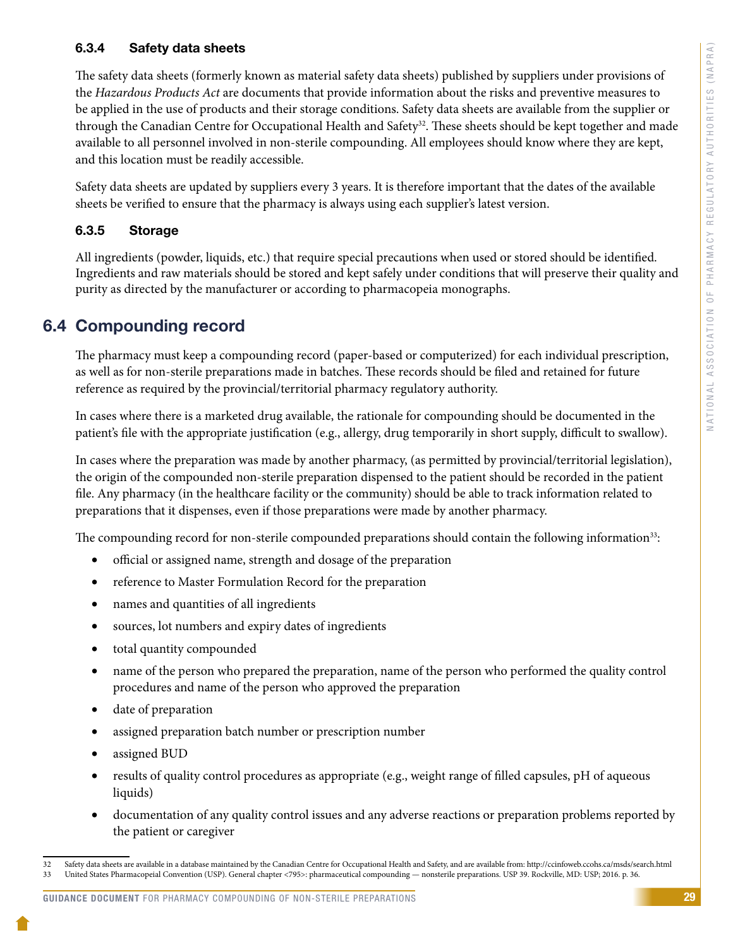### <span id="page-31-0"></span>6.3.4 Safety data sheets

The safety data sheets (formerly known as material safety data sheets) published by suppliers under provisions of the *Hazardous Products Act* are documents that provide information about the risks and preventive measures to be applied in the use of products and their storage conditions. Safety data sheets are available from the supplier or through the Canadian Centre for Occupational Health and Safety<sup>32</sup>. These sheets should be kept together and made available to all personnel involved in non-sterile compounding. All employees should know where they are kept, and this location must be readily accessible.

Safety data sheets are updated by suppliers every 3 years. It is therefore important that the dates of the available sheets be verified to ensure that the pharmacy is always using each supplier's latest version.

### 6.3.5 Storage

All ingredients (powder, liquids, etc.) that require special precautions when used or stored should be identified. Ingredients and raw materials should be stored and kept safely under conditions that will preserve their quality and purity as directed by the manufacturer or according to pharmacopeia monographs.

### 6.4 Compounding record

The pharmacy must keep a compounding record (paper-based or computerized) for each individual prescription, as well as for non-sterile preparations made in batches. These records should be filed and retained for future reference as required by the provincial/territorial pharmacy regulatory authority.

In cases where there is a marketed drug available, the rationale for compounding should be documented in the patient's file with the appropriate justification (e.g., allergy, drug temporarily in short supply, difficult to swallow).

In cases where the preparation was made by another pharmacy, (as permitted by provincial/territorial legislation), the origin of the compounded non-sterile preparation dispensed to the patient should be recorded in the patient file. Any pharmacy (in the healthcare facility or the community) should be able to track information related to preparations that it dispenses, even if those preparations were made by another pharmacy.

The compounding record for non-sterile compounded preparations should contain the following information<sup>33</sup>:

- official or assigned name, strength and dosage of the preparation
- reference to Master Formulation Record for the preparation
- names and quantities of all ingredients
- sources, lot numbers and expiry dates of ingredients
- total quantity compounded
- name of the person who prepared the preparation, name of the person who performed the quality control procedures and name of the person who approved the preparation
- date of preparation
- assigned preparation batch number or prescription number
- assigned BUD
- results of quality control procedures as appropriate (e.g., weight range of filled capsules, pH of aqueous liquids)
- • documentation of any quality control issues and any adverse reactions or preparation problems reported by the patient or caregiver

<sup>32</sup> Safety data sheets are available in a database maintained by the Canadian Centre for Occupational Health and Safety, and are available from: http://ccinfoweb.ccohs.ca/msds/search.html<br>33 United States Pharmacopeial Conv 33 United States Pharmacopeial Convention (USP). General chapter <795>: pharmaceutical compounding — nonsterile preparations. USP 39. Rockville, MD: USP; 2016. p. 36.

GUIDANCE DOCUMENT FOR PHARMACY COMPOUNDING OF NON-STERILE PREPARATIONS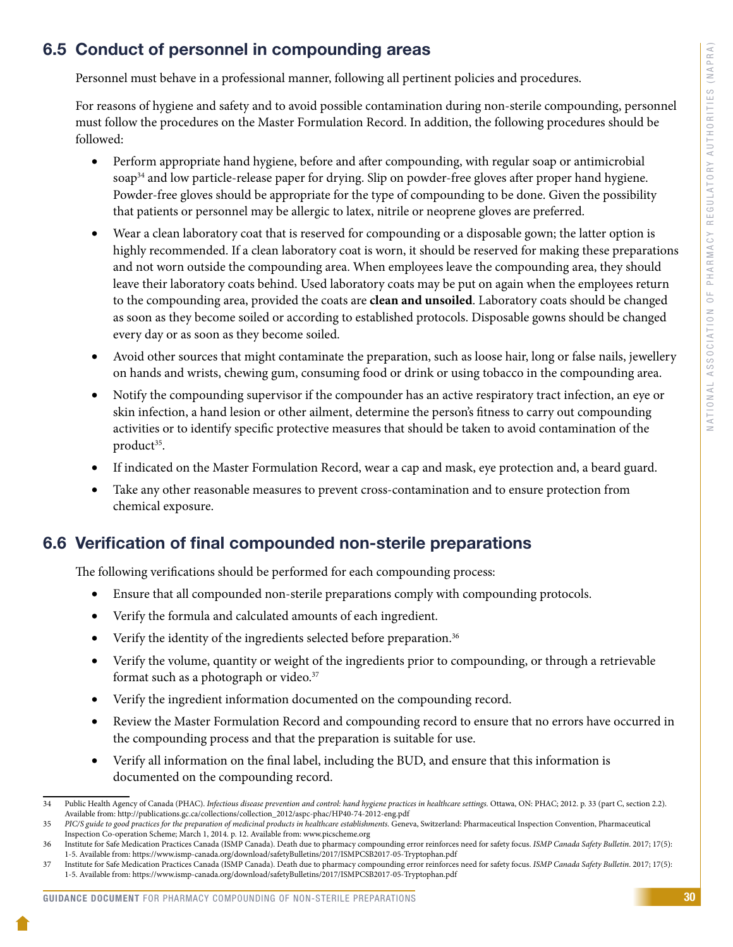### <span id="page-32-0"></span>6.5 Conduct of personnel in compounding areas

Personnel must behave in a professional manner, following all pertinent policies and procedures.

For reasons of hygiene and safety and to avoid possible contamination during non-sterile compounding, personnel must follow the procedures on the Master Formulation Record. In addition, the following procedures should be followed:

- Perform appropriate hand hygiene, before and after compounding, with regular soap or antimicrobial soap<sup>34</sup> and low particle-release paper for drying. Slip on powder-free gloves after proper hand hygiene. Powder-free gloves should be appropriate for the type of compounding to be done. Given the possibility that patients or personnel may be allergic to latex, nitrile or neoprene gloves are preferred.
- Wear a clean laboratory coat that is reserved for compounding or a disposable gown; the latter option is highly recommended. If a clean laboratory coat is worn, it should be reserved for making these preparations and not worn outside the compounding area. When employees leave the compounding area, they should leave their laboratory coats behind. Used laboratory coats may be put on again when the employees return to the compounding area, provided the coats are **clean and unsoiled**. Laboratory coats should be changed as soon as they become soiled or according to established protocols. Disposable gowns should be changed every day or as soon as they become soiled.
- Avoid other sources that might contaminate the preparation, such as loose hair, long or false nails, jewellery on hands and wrists, chewing gum, consuming food or drink or using tobacco in the compounding area.
- Notify the compounding supervisor if the compounder has an active respiratory tract infection, an eye or skin infection, a hand lesion or other ailment, determine the person's fitness to carry out compounding activities or to identify specific protective measures that should be taken to avoid contamination of the product $35$ .
- If indicated on the Master Formulation Record, wear a cap and mask, eye protection and, a beard guard.
- Take any other reasonable measures to prevent cross-contamination and to ensure protection from chemical exposure.

### 6.6 Verification of final compounded non-sterile preparations

The following verifications should be performed for each compounding process:

- Ensure that all compounded non-sterile preparations comply with compounding protocols.
- • Verify the formula and calculated amounts of each ingredient.
- Verify the identity of the ingredients selected before preparation.<sup>36</sup>
- Verify the volume, quantity or weight of the ingredients prior to compounding, or through a retrievable format such as a photograph or video.<sup>37</sup>
- Verify the ingredient information documented on the compounding record.
- Review the Master Formulation Record and compounding record to ensure that no errors have occurred in the compounding process and that the preparation is suitable for use.
- Verify all information on the final label, including the BUD, and ensure that this information is documented on the compounding record.

<sup>34</sup> Public Health Agency of Canada (PHAC). *Infectious disease prevention and control: hand hygiene practices in healthcare settings.* Ottawa, ON: PHAC; 2012. p. 33 (part C, section 2.2). Available from: http://publications.gc.ca/collections/collection\_2012/aspc-phac/HP40-74-2012-eng.pdf

<sup>35</sup> *PIC/S guide to good practices for the preparation of medicinal products in healthcare establishments.* Geneva, Switzerland: Pharmaceutical Inspection Convention, Pharmaceutical Inspection Co-operation Scheme; March 1, 2014. p. 12. Available from: www.picscheme.org

<sup>36</sup> Institute for Safe Medication Practices Canada (ISMP Canada). Death due to pharmacy compounding error reinforces need for safety focus. *ISMP Canada Safety Bulletin*. 2017; 17(5): 1-5. Available from: https://www.ismp-canada.org/download/safetyBulletins/2017/ISMPCSB2017-05-Tryptophan.pdf

<sup>37</sup> Institute for Safe Medication Practices Canada (ISMP Canada). Death due to pharmacy compounding error reinforces need for safety focus. *ISMP Canada Safety Bulletin*. 2017; 17(5): 1-5. Available from: https://www.ismp-canada.org/download/safetyBulletins/2017/ISMPCSB2017-05-Tryptophan.pdf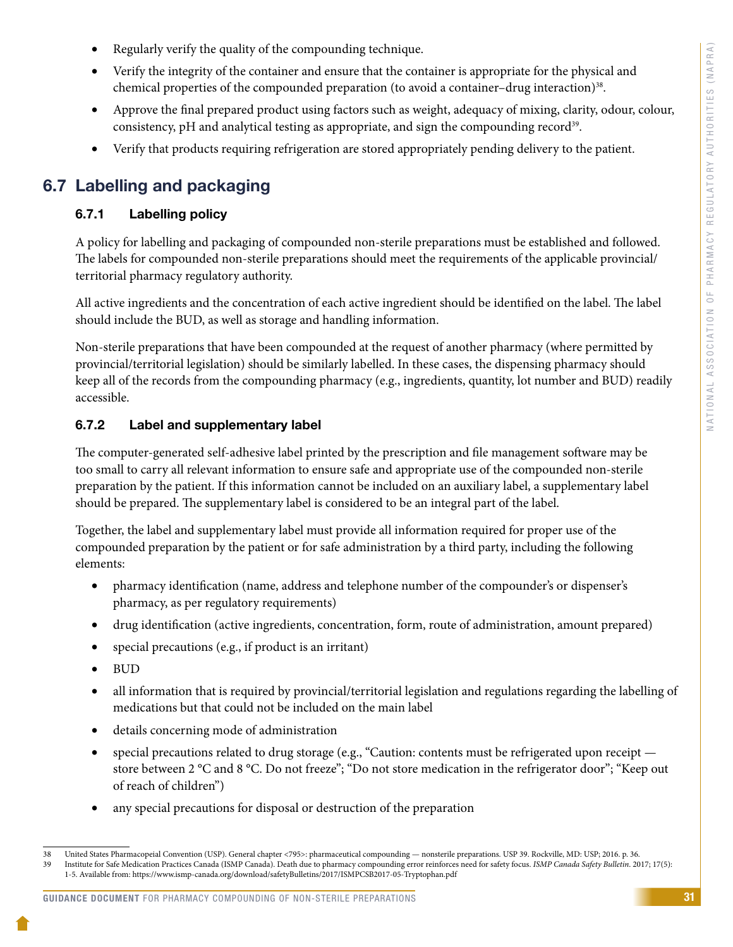- <span id="page-33-0"></span>Regularly verify the quality of the compounding technique.
- Verify the integrity of the container and ensure that the container is appropriate for the physical and chemical properties of the compounded preparation (to avoid a container–drug interaction)<sup>38</sup>.
- Approve the final prepared product using factors such as weight, adequacy of mixing, clarity, odour, colour, consistency, pH and analytical testing as appropriate, and sign the compounding record<sup>39</sup>.
- Verify that products requiring refrigeration are stored appropriately pending delivery to the patient.

### 6.7 Labelling and packaging

### 6.7.1 Labelling policy

A policy for labelling and packaging of compounded non-sterile preparations must be established and followed. The labels for compounded non-sterile preparations should meet the requirements of the applicable provincial/ territorial pharmacy regulatory authority.

All active ingredients and the concentration of each active ingredient should be identified on the label. The label should include the BUD, as well as storage and handling information.

Non-sterile preparations that have been compounded at the request of another pharmacy (where permitted by provincial/territorial legislation) should be similarly labelled. In these cases, the dispensing pharmacy should keep all of the records from the compounding pharmacy (e.g., ingredients, quantity, lot number and BUD) readily accessible.

### 6.7.2 Label and supplementary label

The computer-generated self-adhesive label printed by the prescription and file management software may be too small to carry all relevant information to ensure safe and appropriate use of the compounded non-sterile preparation by the patient. If this information cannot be included on an auxiliary label, a supplementary label should be prepared. The supplementary label is considered to be an integral part of the label.

Together, the label and supplementary label must provide all information required for proper use of the compounded preparation by the patient or for safe administration by a third party, including the following elements:

- • pharmacy identification (name, address and telephone number of the compounder's or dispenser's pharmacy, as per regulatory requirements)
- • drug identification (active ingredients, concentration, form, route of administration, amount prepared)
- special precautions (e.g., if product is an irritant)
- • BUD
- • all information that is required by provincial/territorial legislation and regulations regarding the labelling of medications but that could not be included on the main label
- • details concerning mode of administration
- special precautions related to drug storage (e.g., "Caution: contents must be refrigerated upon receipt store between 2 °C and 8 °C. Do not freeze"; "Do not store medication in the refrigerator door"; "Keep out of reach of children")
- any special precautions for disposal or destruction of the preparation

<sup>38</sup> United States Pharmacopeial Convention (USP). General chapter <795>: pharmaceutical compounding — nonsterile preparations. USP 39. Rockville, MD: USP; 2016. p. 36. 39 Institute for Safe Medication Practices Canada (ISMP Canada). Death due to pharmacy compounding error reinforces need for safety focus. *ISMP Canada Safety Bulletin*. 2017; 17(5): 1-5. Available from: https://www.ismp-canada.org/download/safetyBulletins/2017/ISMPCSB2017-05-Tryptophan.pdf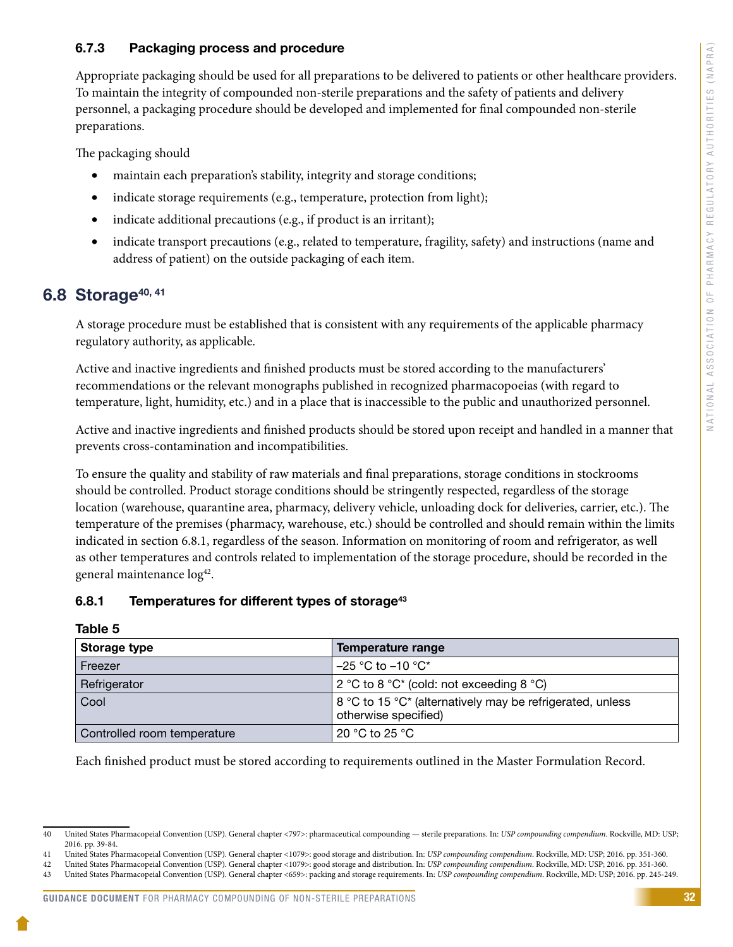### <span id="page-34-0"></span>6.7.3 Packaging process and procedure

Appropriate packaging should be used for all preparations to be delivered to patients or other healthcare providers. To maintain the integrity of compounded non-sterile preparations and the safety of patients and delivery personnel, a packaging procedure should be developed and implemented for final compounded non-sterile preparations.

The packaging should

- maintain each preparation's stability, integrity and storage conditions;
- indicate storage requirements (e.g., temperature, protection from light);
- indicate additional precautions (e.g., if product is an irritant);
- indicate transport precautions (e.g., related to temperature, fragility, safety) and instructions (name and address of patient) on the outside packaging of each item.

### 6.8 Storage $40, 41$

A storage procedure must be established that is consistent with any requirements of the applicable pharmacy regulatory authority, as applicable.

Active and inactive ingredients and finished products must be stored according to the manufacturers' recommendations or the relevant monographs published in recognized pharmacopoeias (with regard to temperature, light, humidity, etc.) and in a place that is inaccessible to the public and unauthorized personnel.

Active and inactive ingredients and finished products should be stored upon receipt and handled in a manner that prevents cross-contamination and incompatibilities.

To ensure the quality and stability of raw materials and final preparations, storage conditions in stockrooms should be controlled. Product storage conditions should be stringently respected, regardless of the storage location (warehouse, quarantine area, pharmacy, delivery vehicle, unloading dock for deliveries, carrier, etc.). The temperature of the premises (pharmacy, warehouse, etc.) should be controlled and should remain within the limits indicated in section 6.8.1, regardless of the season. Information on monitoring of room and refrigerator, as well as other temperatures and controls related to implementation of the storage procedure, should be recorded in the general maintenance log<sup>42</sup>.

### 6.8.1 Temperatures for different types of storage<sup>43</sup>

Table 5

| Storage type                | Temperature range                                                                 |
|-----------------------------|-----------------------------------------------------------------------------------|
| Freezer                     | $-25$ °C to $-10$ °C*                                                             |
| Refrigerator                | 2 °C to 8 °C* (cold: not exceeding 8 °C)                                          |
| Cool                        | 8 °C to 15 °C* (alternatively may be refrigerated, unless<br>otherwise specified) |
| Controlled room temperature | 20 °C to 25 °C                                                                    |

Each finished product must be stored according to requirements outlined in the Master Formulation Record.

<sup>40</sup> United States Pharmacopeial Convention (USP). General chapter <797>: pharmaceutical compounding — sterile preparations. In: *USP compounding compendium*. Rockville, MD: USP; 2016. pp. 39-84.

<sup>41</sup> United States Pharmacopeial Convention (USP). General chapter <1079>: good storage and distribution. In: *USP compounding compendium*. Rockville, MD: USP; 2016. pp. 351-360.

<sup>42</sup> United States Pharmacopeial Convention (USP). General chapter <1079>: good storage and distribution. In: *USP compounding compendium*. Rockville, MD: USP; 2016. pp. 351-360.

<sup>43</sup> United States Pharmacopeial Convention (USP). General chapter <659>: packing and storage requirements. In: *USP compounding compendium*. Rockville, MD: USP; 2016. pp. 245-249.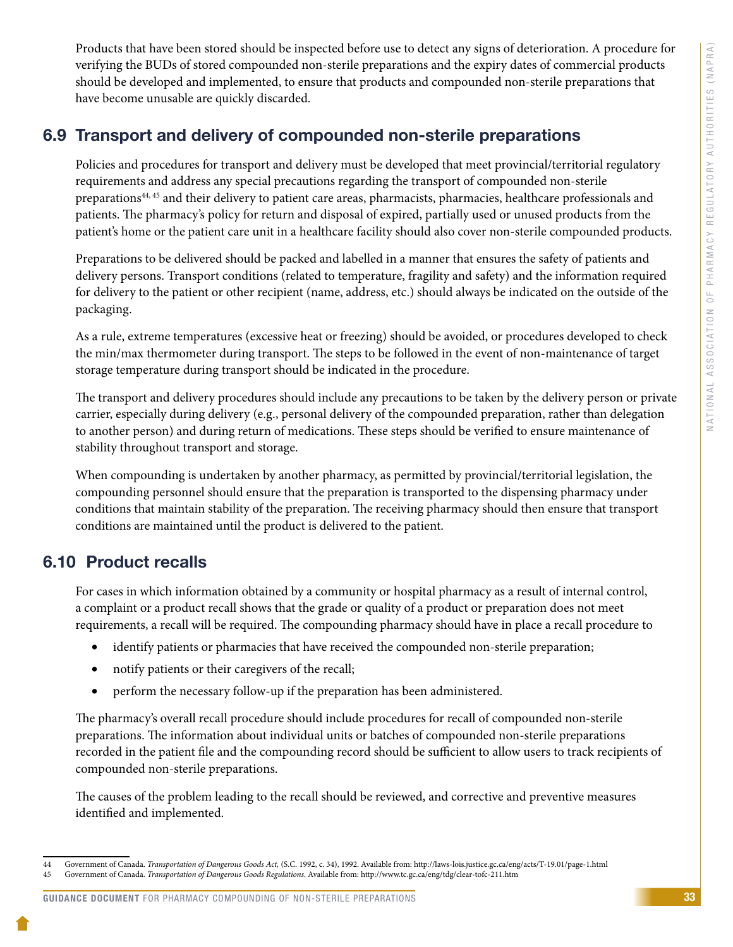<span id="page-35-0"></span>Products that have been stored should be inspected before use to detect any signs of deterioration. A procedure for verifying the BUDs of stored compounded non-sterile preparations and the expiry dates of commercial products should be developed and implemented, to ensure that products and compounded non-sterile preparations that have become unusable are quickly discarded.

### 6.9 Transport and delivery of compounded non-sterile preparations

Policies and procedures for transport and delivery must be developed that meet provincial/territorial regulatory requirements and address any special precautions regarding the transport of compounded non-sterile preparations44, 45 and their delivery to patient care areas, pharmacists, pharmacies, healthcare professionals and patients. The pharmacy's policy for return and disposal of expired, partially used or unused products from the patient's home or the patient care unit in a healthcare facility should also cover non-sterile compounded products.

Preparations to be delivered should be packed and labelled in a manner that ensures the safety of patients and delivery persons. Transport conditions (related to temperature, fragility and safety) and the information required for delivery to the patient or other recipient (name, address, etc.) should always be indicated on the outside of the packaging.

As a rule, extreme temperatures (excessive heat or freezing) should be avoided, or procedures developed to check the min/max thermometer during transport. The steps to be followed in the event of non-maintenance of target storage temperature during transport should be indicated in the procedure.

The transport and delivery procedures should include any precautions to be taken by the delivery person or private carrier, especially during delivery (e.g., personal delivery of the compounded preparation, rather than delegation to another person) and during return of medications. These steps should be verified to ensure maintenance of stability throughout transport and storage.

When compounding is undertaken by another pharmacy, as permitted by provincial/territorial legislation, the compounding personnel should ensure that the preparation is transported to the dispensing pharmacy under conditions that maintain stability of the preparation. The receiving pharmacy should then ensure that transport conditions are maintained until the product is delivered to the patient.

### 6.10 Product recalls

For cases in which information obtained by a community or hospital pharmacy as a result of internal control, a complaint or a product recall shows that the grade or quality of a product or preparation does not meet requirements, a recall will be required. The compounding pharmacy should have in place a recall procedure to

- identify patients or pharmacies that have received the compounded non-sterile preparation;
- notify patients or their caregivers of the recall;
- perform the necessary follow-up if the preparation has been administered.

The pharmacy's overall recall procedure should include procedures for recall of compounded non-sterile preparations. The information about individual units or batches of compounded non-sterile preparations recorded in the patient file and the compounding record should be sufficient to allow users to track recipients of compounded non-sterile preparations.

The causes of the problem leading to the recall should be reviewed, and corrective and preventive measures identified and implemented.

GUIDANCE DOCUMENT FOR PHARMACY COMPOUNDING OF NON-STERILE PREPARATIONS

<sup>44</sup> Government of Canada. *Transportation of Dangerous Goods Act,* (S.C. 1992, c. 34), 1992. Available from: http://laws-lois.justice.gc.ca/eng/acts/T-19.01/page-1.html

<sup>45</sup> Government of Canada. *Transportation of Dangerous Goods Regulations*. Available from: http://www.tc.gc.ca/eng/tdg/clear-tofc-211.htm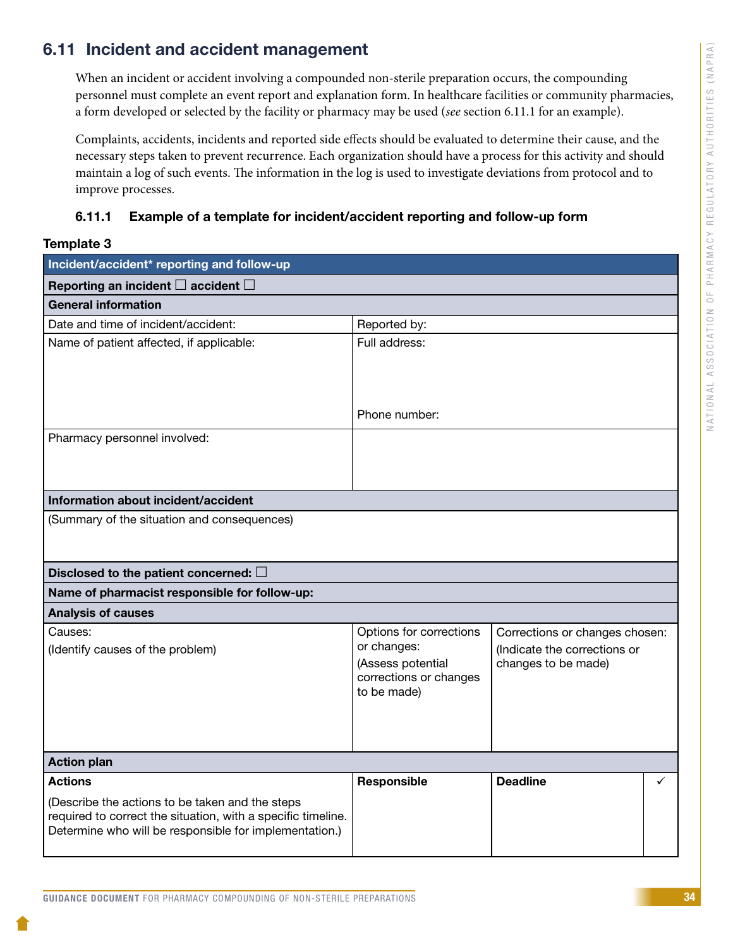### <span id="page-36-0"></span>6.11 Incident and accident management

When an incident or accident involving a compounded non-sterile preparation occurs, the compounding personnel must complete an event report and explanation form. In healthcare facilities or community pharmacies, a form developed or selected by the facility or pharmacy may be used (*see* section 6.11.1 for an example).

Complaints, accidents, incidents and reported side effects should be evaluated to determine their cause, and the necessary steps taken to prevent recurrence. Each organization should have a process for this activity and should maintain a log of such events. The information in the log is used to investigate deviations from protocol and to improve processes.

### 6.11.1 Example of a template for incident/accident reporting and follow-up form

#### Template 3

| Incident/accident* reporting and follow-up                                                                      |                                       |                                |   |  |
|-----------------------------------------------------------------------------------------------------------------|---------------------------------------|--------------------------------|---|--|
| Reporting an incident $\square$ accident $\square$                                                              |                                       |                                |   |  |
| <b>General information</b>                                                                                      |                                       |                                |   |  |
| Date and time of incident/accident:                                                                             | Reported by:                          |                                |   |  |
| Name of patient affected, if applicable:                                                                        | Full address:                         |                                |   |  |
|                                                                                                                 |                                       |                                |   |  |
|                                                                                                                 | Phone number:                         |                                |   |  |
| Pharmacy personnel involved:                                                                                    |                                       |                                |   |  |
|                                                                                                                 |                                       |                                |   |  |
|                                                                                                                 |                                       |                                |   |  |
| Information about incident/accident                                                                             |                                       |                                |   |  |
| (Summary of the situation and consequences)                                                                     |                                       |                                |   |  |
|                                                                                                                 |                                       |                                |   |  |
|                                                                                                                 |                                       |                                |   |  |
| Disclosed to the patient concerned: $\square$<br>Name of pharmacist responsible for follow-up:                  |                                       |                                |   |  |
| <b>Analysis of causes</b>                                                                                       |                                       |                                |   |  |
| Causes:                                                                                                         | Options for corrections               | Corrections or changes chosen: |   |  |
| (Identify causes of the problem)                                                                                | or changes:                           | (Indicate the corrections or   |   |  |
|                                                                                                                 | (Assess potential                     | changes to be made)            |   |  |
|                                                                                                                 | corrections or changes<br>to be made) |                                |   |  |
|                                                                                                                 |                                       |                                |   |  |
|                                                                                                                 |                                       |                                |   |  |
|                                                                                                                 |                                       |                                |   |  |
| <b>Action plan</b>                                                                                              |                                       |                                |   |  |
| <b>Actions</b>                                                                                                  | Responsible                           | <b>Deadline</b>                | ✓ |  |
| (Describe the actions to be taken and the steps<br>required to correct the situation, with a specific timeline. |                                       |                                |   |  |
| Determine who will be responsible for implementation.)                                                          |                                       |                                |   |  |
|                                                                                                                 |                                       |                                |   |  |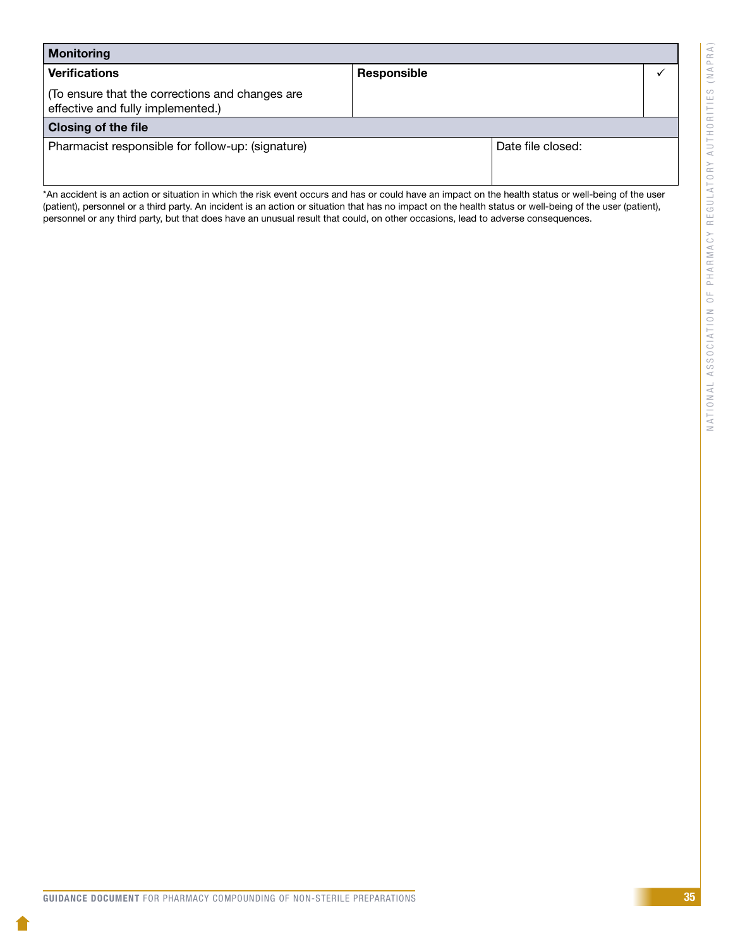| <b>Monitoring</b>                                                                    |             |                   |  |
|--------------------------------------------------------------------------------------|-------------|-------------------|--|
| <b>Verifications</b>                                                                 | Responsible |                   |  |
| (To ensure that the corrections and changes are<br>effective and fully implemented.) |             |                   |  |
| <b>Closing of the file</b>                                                           |             |                   |  |
| Pharmacist responsible for follow-up: (signature)                                    |             | Date file closed: |  |

\*An accident is an action or situation in which the risk event occurs and has or could have an impact on the health status or well-being of the user (patient), personnel or a third party. An incident is an action or situation that has no impact on the health status or well-being of the user (patient), personnel or any third party, but that does have an unusual result that could, on other occasions, lead to adverse consequences.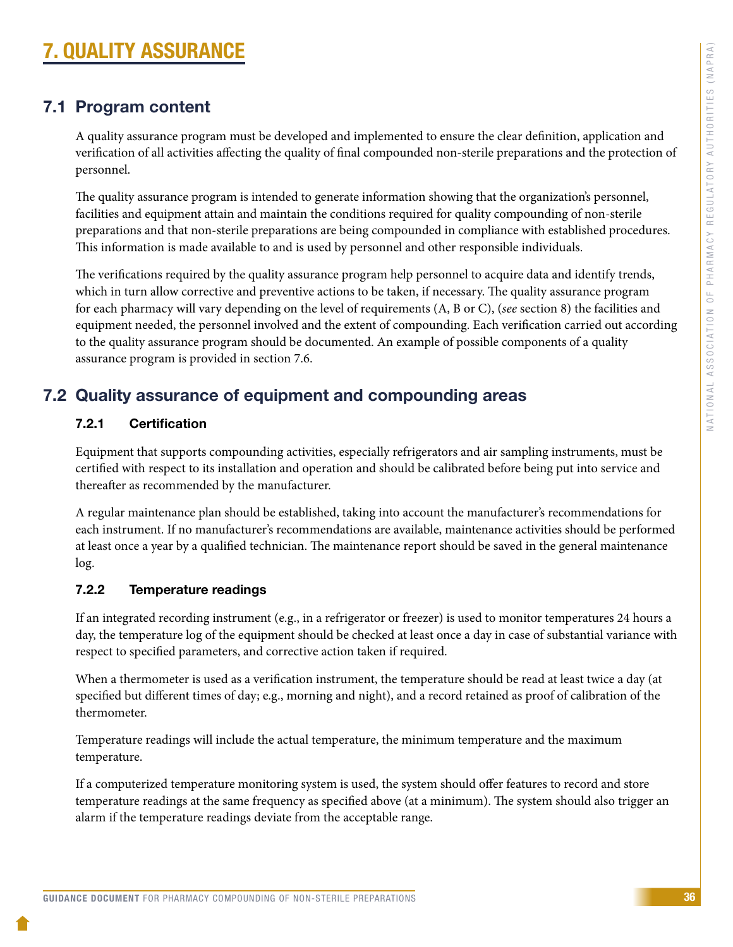# <span id="page-38-0"></span>7. QUALITY ASSURANCE

### 7.1 Program content

A quality assurance program must be developed and implemented to ensure the clear definition, application and verification of all activities affecting the quality of final compounded non-sterile preparations and the protection of personnel.

The quality assurance program is intended to generate information showing that the organization's personnel, facilities and equipment attain and maintain the conditions required for quality compounding of non-sterile preparations and that non-sterile preparations are being compounded in compliance with established procedures. This information is made available to and is used by personnel and other responsible individuals.

The verifications required by the quality assurance program help personnel to acquire data and identify trends, which in turn allow corrective and preventive actions to be taken, if necessary. The quality assurance program for each pharmacy will vary depending on the level of requirements (A, B or C), (*see* section 8) the facilities and equipment needed, the personnel involved and the extent of compounding. Each verification carried out according to the quality assurance program should be documented. An example of possible components of a quality assurance program is provided in section 7.6.

### 7.2 Quality assurance of equipment and compounding areas

### 7.2.1 Certification

Equipment that supports compounding activities, especially refrigerators and air sampling instruments, must be certified with respect to its installation and operation and should be calibrated before being put into service and thereafter as recommended by the manufacturer.

A regular maintenance plan should be established, taking into account the manufacturer's recommendations for each instrument. If no manufacturer's recommendations are available, maintenance activities should be performed at least once a year by a qualified technician. The maintenance report should be saved in the general maintenance log.

### 7.2.2 Temperature readings

If an integrated recording instrument (e.g., in a refrigerator or freezer) is used to monitor temperatures 24 hours a day, the temperature log of the equipment should be checked at least once a day in case of substantial variance with respect to specified parameters, and corrective action taken if required.

When a thermometer is used as a verification instrument, the temperature should be read at least twice a day (at specified but different times of day; e.g., morning and night), and a record retained as proof of calibration of the thermometer.

Temperature readings will include the actual temperature, the minimum temperature and the maximum temperature.

If a computerized temperature monitoring system is used, the system should offer features to record and store temperature readings at the same frequency as specified above (at a minimum). The system should also trigger an alarm if the temperature readings deviate from the acceptable range.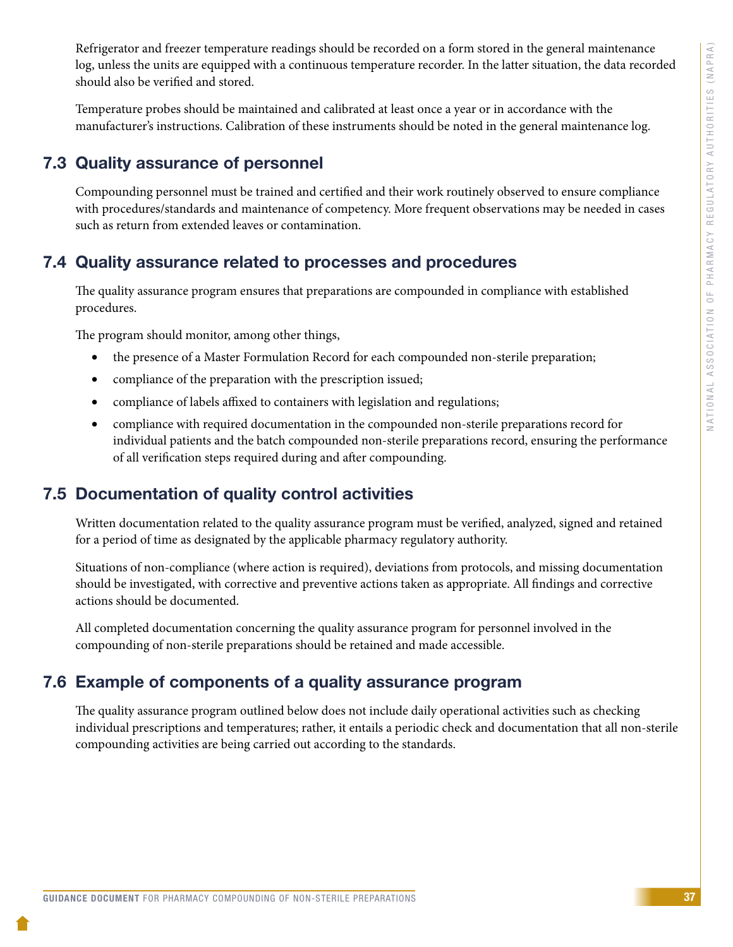<span id="page-39-0"></span>Refrigerator and freezer temperature readings should be recorded on a form stored in the general maintenance log, unless the units are equipped with a continuous temperature recorder. In the latter situation, the data recorded should also be verified and stored.

Temperature probes should be maintained and calibrated at least once a year or in accordance with the manufacturer's instructions. Calibration of these instruments should be noted in the general maintenance log.

### 7.3 Quality assurance of personnel

Compounding personnel must be trained and certified and their work routinely observed to ensure compliance with procedures/standards and maintenance of competency. More frequent observations may be needed in cases such as return from extended leaves or contamination.

### 7.4 Quality assurance related to processes and procedures

The quality assurance program ensures that preparations are compounded in compliance with established procedures.

The program should monitor, among other things,

- the presence of a Master Formulation Record for each compounded non-sterile preparation;
- compliance of the preparation with the prescription issued;
- compliance of labels affixed to containers with legislation and regulations;
- compliance with required documentation in the compounded non-sterile preparations record for individual patients and the batch compounded non-sterile preparations record, ensuring the performance of all verification steps required during and after compounding.

### 7.5 Documentation of quality control activities

Written documentation related to the quality assurance program must be verified, analyzed, signed and retained for a period of time as designated by the applicable pharmacy regulatory authority.

Situations of non-compliance (where action is required), deviations from protocols, and missing documentation should be investigated, with corrective and preventive actions taken as appropriate. All findings and corrective actions should be documented.

All completed documentation concerning the quality assurance program for personnel involved in the compounding of non-sterile preparations should be retained and made accessible.

### 7.6 Example of components of a quality assurance program

The quality assurance program outlined below does not include daily operational activities such as checking individual prescriptions and temperatures; rather, it entails a periodic check and documentation that all non-sterile compounding activities are being carried out according to the standards.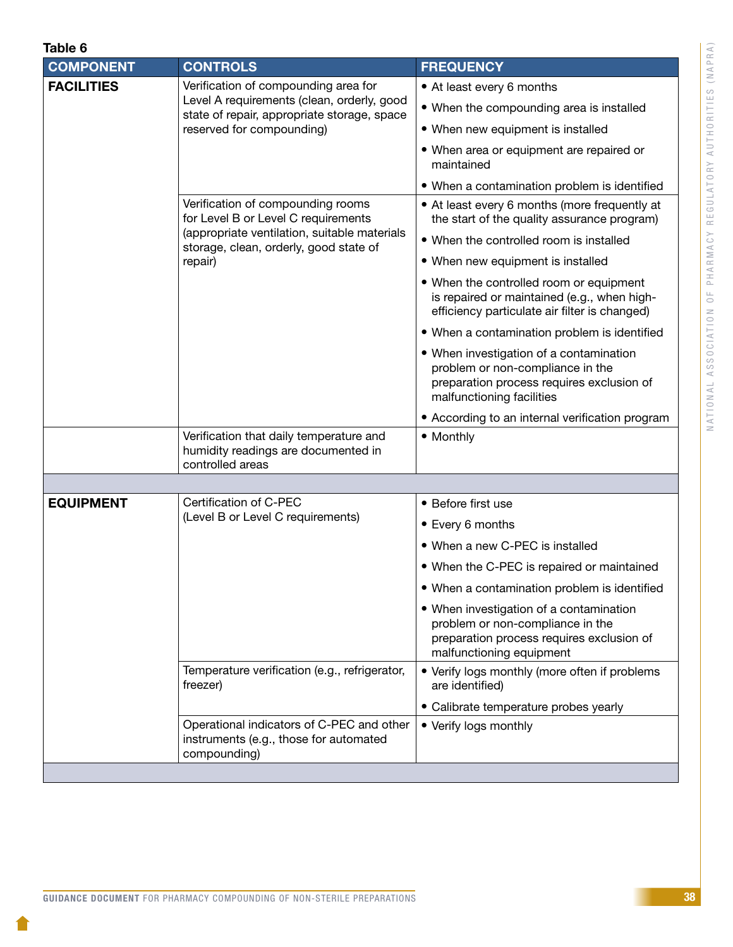| Table 6 |  |  |
|---------|--|--|

| <b>COMPONENT</b>  | <b>CONTROLS</b>                                                                                     | <b>FREQUENCY</b>                                                                                                                                      |
|-------------------|-----------------------------------------------------------------------------------------------------|-------------------------------------------------------------------------------------------------------------------------------------------------------|
| <b>FACILITIES</b> | Verification of compounding area for                                                                | • At least every 6 months                                                                                                                             |
|                   | Level A requirements (clean, orderly, good<br>state of repair, appropriate storage, space           | • When the compounding area is installed                                                                                                              |
|                   | reserved for compounding)                                                                           | • When new equipment is installed                                                                                                                     |
|                   |                                                                                                     | • When area or equipment are repaired or<br>maintained                                                                                                |
|                   |                                                                                                     | • When a contamination problem is identified                                                                                                          |
|                   | Verification of compounding rooms<br>for Level B or Level C requirements                            | • At least every 6 months (more frequently at<br>the start of the quality assurance program)                                                          |
|                   | (appropriate ventilation, suitable materials<br>storage, clean, orderly, good state of              | • When the controlled room is installed                                                                                                               |
|                   | repair)                                                                                             | • When new equipment is installed                                                                                                                     |
|                   |                                                                                                     | • When the controlled room or equipment<br>is repaired or maintained (e.g., when high-<br>efficiency particulate air filter is changed)               |
|                   |                                                                                                     | • When a contamination problem is identified                                                                                                          |
|                   |                                                                                                     | • When investigation of a contamination<br>problem or non-compliance in the<br>preparation process requires exclusion of<br>malfunctioning facilities |
|                   |                                                                                                     | • According to an internal verification program                                                                                                       |
|                   | Verification that daily temperature and<br>humidity readings are documented in<br>controlled areas  | • Monthly                                                                                                                                             |
|                   |                                                                                                     |                                                                                                                                                       |
| <b>EQUIPMENT</b>  | Certification of C-PEC                                                                              | • Before first use                                                                                                                                    |
|                   | (Level B or Level C requirements)                                                                   | • Every 6 months                                                                                                                                      |
|                   |                                                                                                     | • When a new C-PEC is installed                                                                                                                       |
|                   |                                                                                                     | . When the C-PEC is repaired or maintained                                                                                                            |
|                   |                                                                                                     | • When a contamination problem is identified                                                                                                          |
|                   |                                                                                                     | • When investigation of a contamination<br>problem or non-compliance in the<br>preparation process requires exclusion of<br>malfunctioning equipment  |
|                   | Temperature verification (e.g., refrigerator,<br>freezer)                                           | • Verify logs monthly (more often if problems<br>are identified)                                                                                      |
|                   |                                                                                                     | • Calibrate temperature probes yearly                                                                                                                 |
|                   | Operational indicators of C-PEC and other<br>instruments (e.g., those for automated<br>compounding) | • Verify logs monthly                                                                                                                                 |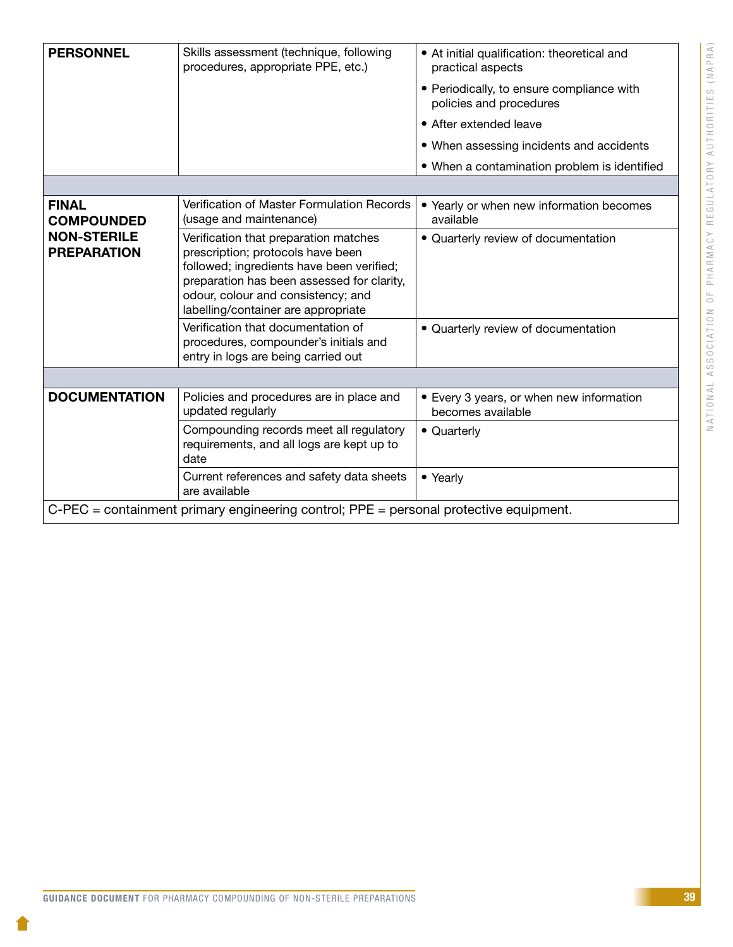| <b>PERSONNEL</b>                                                                      | Skills assessment (technique, following<br>procedures, appropriate PPE, etc.)                                                                                                                                                                      | • At initial qualification: theoretical and<br>practical aspects<br>• Periodically, to ensure compliance with<br>policies and procedures<br>• After extended leave<br>• When assessing incidents and accidents<br>• When a contamination problem is identified |  |  |
|---------------------------------------------------------------------------------------|----------------------------------------------------------------------------------------------------------------------------------------------------------------------------------------------------------------------------------------------------|----------------------------------------------------------------------------------------------------------------------------------------------------------------------------------------------------------------------------------------------------------------|--|--|
|                                                                                       |                                                                                                                                                                                                                                                    |                                                                                                                                                                                                                                                                |  |  |
| <b>FINAL</b><br><b>COMPOUNDED</b>                                                     | Verification of Master Formulation Records<br>(usage and maintenance)                                                                                                                                                                              | • Yearly or when new information becomes<br>available                                                                                                                                                                                                          |  |  |
| <b>NON-STERILE</b><br><b>PREPARATION</b>                                              | Verification that preparation matches<br>prescription; protocols have been<br>followed; ingredients have been verified;<br>preparation has been assessed for clarity,<br>odour, colour and consistency; and<br>labelling/container are appropriate | · Quarterly review of documentation                                                                                                                                                                                                                            |  |  |
|                                                                                       | Verification that documentation of<br>procedures, compounder's initials and<br>entry in logs are being carried out                                                                                                                                 | • Quarterly review of documentation                                                                                                                                                                                                                            |  |  |
|                                                                                       |                                                                                                                                                                                                                                                    |                                                                                                                                                                                                                                                                |  |  |
| <b>DOCUMENTATION</b>                                                                  | Policies and procedures are in place and<br>updated regularly                                                                                                                                                                                      | • Every 3 years, or when new information<br>becomes available                                                                                                                                                                                                  |  |  |
|                                                                                       | Compounding records meet all regulatory<br>requirements, and all logs are kept up to<br>date                                                                                                                                                       | • Quarterly                                                                                                                                                                                                                                                    |  |  |
|                                                                                       | Current references and safety data sheets<br>are available                                                                                                                                                                                         | • Yearly                                                                                                                                                                                                                                                       |  |  |
| C-PEC = containment primary engineering control; PPE = personal protective equipment. |                                                                                                                                                                                                                                                    |                                                                                                                                                                                                                                                                |  |  |

1.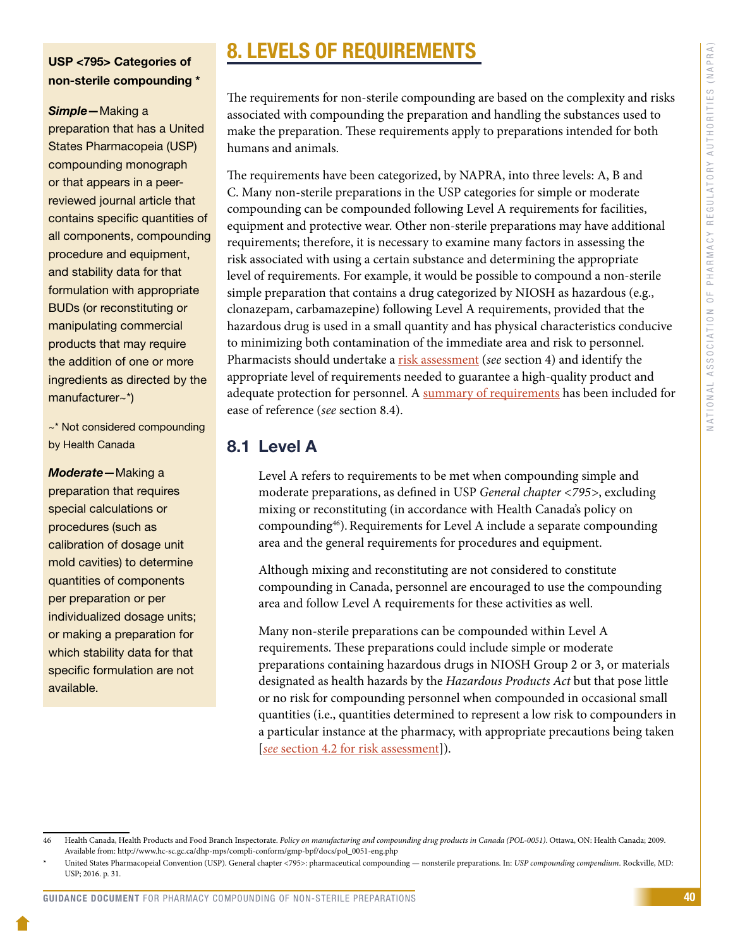### <span id="page-42-0"></span>USP <795> Categories of non-sterile compounding \*

#### *Simple*—Making a

preparation that has a United States Pharmacopeia (USP) compounding monograph or that appears in a peerreviewed journal article that contains specific quantities of all components, compounding procedure and equipment, and stability data for that formulation with appropriate BUDs (or reconstituting or manipulating commercial products that may require the addition of one or more ingredients as directed by the manufacturer~\*)

~\* Not considered compounding by Health Canada

*Moderate*—Making a preparation that requires special calculations or procedures (such as calibration of dosage unit mold cavities) to determine quantities of components per preparation or per individualized dosage units; or making a preparation for which stability data for that specific formulation are not available.

# 8. LEVELS OF REQUIREMENTS

The requirements for non-sterile compounding are based on the complexity and risks associated with compounding the preparation and handling the substances used to make the preparation. These requirements apply to preparations intended for both humans and animals.

The requirements have been categorized, by NAPRA, into three levels: A, B and C. Many non-sterile preparations in the USP categories for simple or moderate compounding can be compounded following Level A requirements for facilities, equipment and protective wear. Other non-sterile preparations may have additional requirements; therefore, it is necessary to examine many factors in assessing the risk associated with using a certain substance and determining the appropriate level of requirements. For example, it would be possible to compound a non-sterile simple preparation that contains a drug categorized by NIOSH as hazardous (e.g., clonazepam, carbamazepine) following Level A requirements, provided that the hazardous drug is used in a small quantity and has physical characteristics conducive to minimizing both contamination of the immediate area and risk to personnel. Pharmacists should undertake a **[risk assessment](#page-9-0)** (*see* section 4) and identify the appropriate level of requirements needed to guarantee a high-quality product and adequate protection for personnel. A [summary of requirements](#page-45-0) has been included for ease of reference (*see* section 8.4).

### 8.1 Level A

Level A refers to requirements to be met when compounding simple and moderate preparations, as defined in USP *General chapter <795>*, excluding mixing or reconstituting (in accordance with Health Canada's policy on compounding<sup>46</sup>). Requirements for Level A include a separate compounding area and the general requirements for procedures and equipment.

Although mixing and reconstituting are not considered to constitute compounding in Canada, personnel are encouraged to use the compounding area and follow Level A requirements for these activities as well.

Many non-sterile preparations can be compounded within Level A requirements. These preparations could include simple or moderate preparations containing hazardous drugs in NIOSH Group 2 or 3, or materials designated as health hazards by the *Hazardous Products Act* but that pose little or no risk for compounding personnel when compounded in occasional small quantities (i.e., quantities determined to represent a low risk to compounders in a particular instance at the pharmacy, with appropriate precautions being taken [*see* [section 4.2 for risk assessment\]](#page-10-0)).

<sup>46</sup> Health Canada, Health Products and Food Branch Inspectorate. *Policy on manufacturing and compounding drug products in Canada (POL-0051)*. Ottawa, ON: Health Canada; 2009. Available from: http://www.hc-sc.gc.ca/dhp-mps/compli-conform/gmp-bpf/docs/pol\_0051-eng.php

<sup>\*</sup> United States Pharmacopeial Convention (USP). General chapter <795>: pharmaceutical compounding — nonsterile preparations. In: *USP compounding compendium*. Rockville, MD: USP; 2016. p. 31.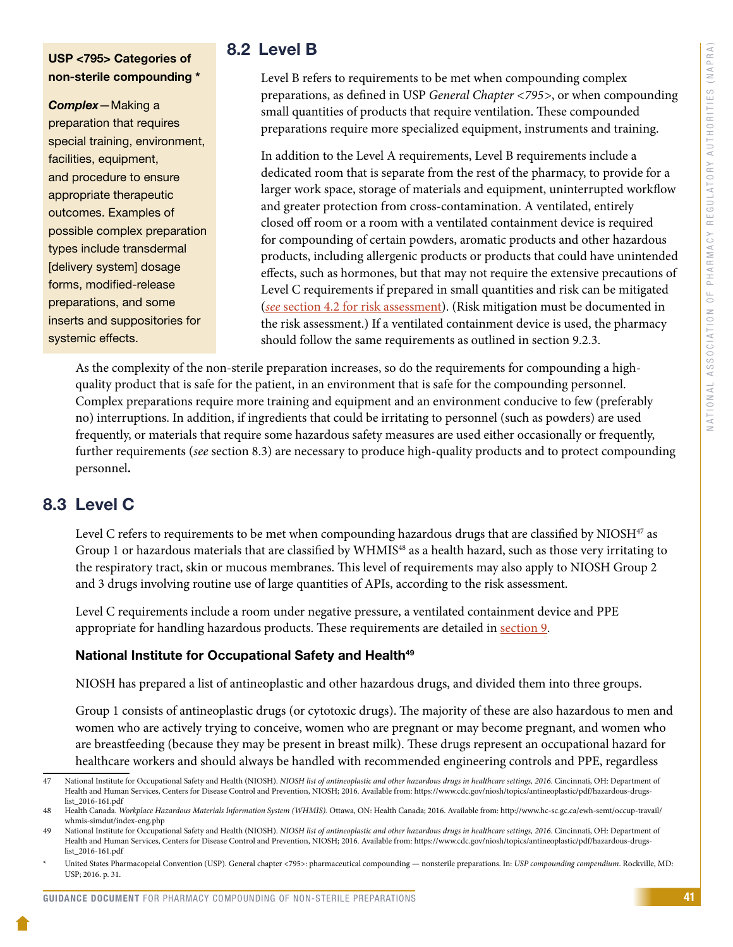### <span id="page-43-0"></span>USP <795> Categories of non-sterile compounding \*

*Complex*—Making a preparation that requires special training, environment, facilities, equipment, and procedure to ensure appropriate therapeutic outcomes. Examples of possible complex preparation types include transdermal [delivery system] dosage forms, modified-release preparations, and some inserts and suppositories for systemic effects.

### 8.2 Level B

Level B refers to requirements to be met when compounding complex preparations, as defined in USP *General Chapter <795>*, or when compounding small quantities of products that require ventilation. These compounded preparations require more specialized equipment, instruments and training.

In addition to the Level A requirements, Level B requirements include a dedicated room that is separate from the rest of the pharmacy, to provide for a larger work space, storage of materials and equipment, uninterrupted workflow and greater protection from cross-contamination. A ventilated, entirely closed off room or a room with a ventilated containment device is required for compounding of certain powders, aromatic products and other hazardous products, including allergenic products or products that could have unintended effects, such as hormones, but that may not require the extensive precautions of Level C requirements if prepared in small quantities and risk can be mitigated (*see* [section 4.2 for risk assessment\)](#page-10-0). (Risk mitigation must be documented in the risk assessment.) If a ventilated containment device is used, the pharmacy should follow the same requirements as outlined in section 9.2.3.

As the complexity of the non-sterile preparation increases, so do the requirements for compounding a highquality product that is safe for the patient, in an environment that is safe for the compounding personnel. Complex preparations require more training and equipment and an environment conducive to few (preferably no) interruptions. In addition, if ingredients that could be irritating to personnel (such as powders) are used frequently, or materials that require some hazardous safety measures are used either occasionally or frequently, further requirements (*see* section 8.3) are necessary to produce high-quality products and to protect compounding personnel**.**

### 8.3 Level C

Level C refers to requirements to be met when compounding hazardous drugs that are classified by NIOSH<sup>47</sup> as Group 1 or hazardous materials that are classified by WHMIS<sup>48</sup> as a health hazard, such as those very irritating to the respiratory tract, skin or mucous membranes. This level of requirements may also apply to NIOSH Group 2 and 3 drugs involving routine use of large quantities of APIs, according to the risk assessment.

Level C requirements include a room under negative pressure, a ventilated containment device and PPE appropriate for handling hazardous products. These requirements are detailed in [section 9](#page-46-0).

### National Institute for Occupational Safety and Health<sup>49</sup>

NIOSH has prepared a list of antineoplastic and other hazardous drugs, and divided them into three groups.

Group 1 consists of antineoplastic drugs (or cytotoxic drugs). The majority of these are also hazardous to men and women who are actively trying to conceive, women who are pregnant or may become pregnant, and women who are breastfeeding (because they may be present in breast milk). These drugs represent an occupational hazard for healthcare workers and should always be handled with recommended engineering controls and PPE, regardless

<sup>47</sup> National Institute for Occupational Safety and Health (NIOSH). *NIOSH list of antineoplastic and other hazardous drugs in healthcare settings, 2016*. Cincinnati, OH: Department of Health and Human Services, Centers for Disease Control and Prevention, NIOSH; 2016. Available from: https://www.cdc.gov/niosh/topics/antineoplastic/pdf/hazardous-drugslist\_2016-161.pdf

<sup>48</sup> Health Canada. *Workplace Hazardous Materials Information System (WHMIS).* Ottawa, ON: Health Canada; 2016. Available from: [http://www.hc-sc.gc.ca/ewh-semt/occup-travail/](http://www.hc-sc.gc.ca/ewh-semt/occup-travail/whmis-simdut/index-eng.php) [whmis-simdut/index-eng.php](http://www.hc-sc.gc.ca/ewh-semt/occup-travail/whmis-simdut/index-eng.php)

<sup>49</sup> National Institute for Occupational Safety and Health (NIOSH). *NIOSH list of antineoplastic and other hazardous drugs in healthcare settings*, 2016. Cincinnati, OH: Department of Health and Human Services, Centers for Disease Control and Prevention, NIOSH; 2016. Available from: https://www.cdc.gov/niosh/topics/antineoplastic/pdf/hazardous-drugslist\_2016-161.pdf

<sup>\*</sup> United States Pharmacopeial Convention (USP). General chapter <795>: pharmaceutical compounding — nonsterile preparations. In: *USP compounding compendium*. Rockville, MD: USP; 2016. p. 31.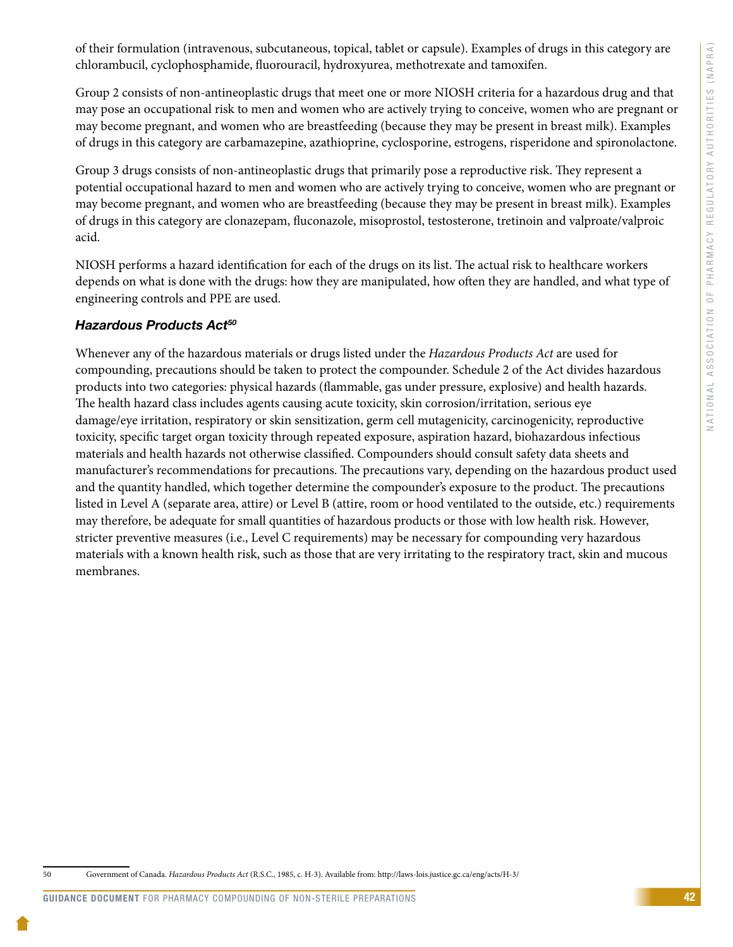of their formulation (intravenous, subcutaneous, topical, tablet or capsule). Examples of drugs in this category are chlorambucil, cyclophosphamide, fluorouracil, hydroxyurea, methotrexate and tamoxifen.

Group 2 consists of non-antineoplastic drugs that meet one or more NIOSH criteria for a hazardous drug and that may pose an occupational risk to men and women who are actively trying to conceive, women who are pregnant or may become pregnant, and women who are breastfeeding (because they may be present in breast milk). Examples of drugs in this category are carbamazepine, azathioprine, cyclosporine, estrogens, risperidone and spironolactone.

Group 3 drugs consists of non-antineoplastic drugs that primarily pose a reproductive risk. They represent a potential occupational hazard to men and women who are actively trying to conceive, women who are pregnant or may become pregnant, and women who are breastfeeding (because they may be present in breast milk). Examples of drugs in this category are clonazepam, fluconazole, misoprostol, testosterone, tretinoin and valproate/valproic acid.

NIOSH performs a hazard identification for each of the drugs on its list. The actual risk to healthcare workers depends on what is done with the drugs: how they are manipulated, how often they are handled, and what type of engineering controls and PPE are used.

### *Hazardous Products Act50*

Whenever any of the hazardous materials or drugs listed under the *Hazardous Products Act* are used for compounding, precautions should be taken to protect the compounder. Schedule 2 of the Act divides hazardous products into two categories: physical hazards (flammable, gas under pressure, explosive) and health hazards. The health hazard class includes agents causing acute toxicity, skin corrosion/irritation, serious eye damage/eye irritation, respiratory or skin sensitization, germ cell mutagenicity, carcinogenicity, reproductive toxicity, specific target organ toxicity through repeated exposure, aspiration hazard, biohazardous infectious materials and health hazards not otherwise classified. Compounders should consult safety data sheets and manufacturer's recommendations for precautions. The precautions vary, depending on the hazardous product used and the quantity handled, which together determine the compounder's exposure to the product. The precautions listed in Level A (separate area, attire) or Level B (attire, room or hood ventilated to the outside, etc.) requirements may therefore, be adequate for small quantities of hazardous products or those with low health risk. However, stricter preventive measures (i.e., Level C requirements) may be necessary for compounding very hazardous materials with a known health risk, such as those that are very irritating to the respiratory tract, skin and mucous membranes.

<sup>50</sup> Government of Canada. *Hazardous Products Act* (R.S.C., 1985, c. H-3). Available from: http://laws-lois.justice.gc.ca/eng/acts/H-3/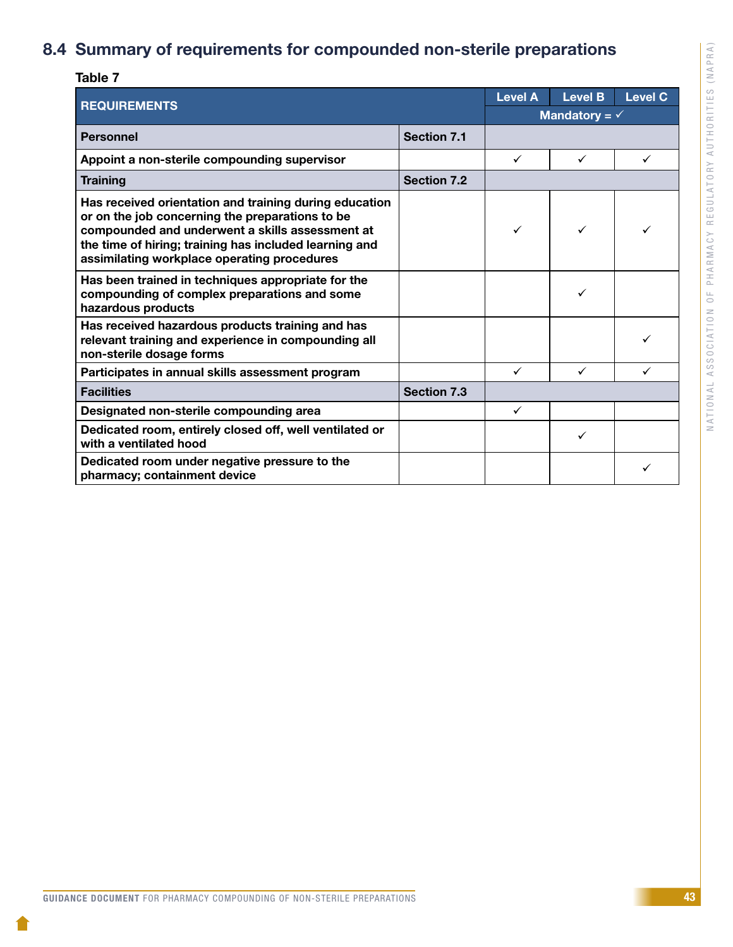## <span id="page-45-0"></span>8.4 Summary of requirements for compounded non-sterile preparations

| Table 7                                                                                                                                                                                                                                                               |                    |                |                          |                |
|-----------------------------------------------------------------------------------------------------------------------------------------------------------------------------------------------------------------------------------------------------------------------|--------------------|----------------|--------------------------|----------------|
| <b>REQUIREMENTS</b>                                                                                                                                                                                                                                                   |                    | <b>Level A</b> | <b>Level B</b>           | <b>Level C</b> |
|                                                                                                                                                                                                                                                                       |                    |                | Mandatory = $\checkmark$ |                |
| <b>Personnel</b>                                                                                                                                                                                                                                                      | <b>Section 7.1</b> |                |                          |                |
| Appoint a non-sterile compounding supervisor                                                                                                                                                                                                                          |                    | ✓              | ✓                        |                |
| <b>Training</b>                                                                                                                                                                                                                                                       | <b>Section 7.2</b> |                |                          |                |
| Has received orientation and training during education<br>or on the job concerning the preparations to be<br>compounded and underwent a skills assessment at<br>the time of hiring; training has included learning and<br>assimilating workplace operating procedures |                    | ✓              | ✓                        |                |
| Has been trained in techniques appropriate for the<br>compounding of complex preparations and some<br>hazardous products                                                                                                                                              |                    |                | ✓                        |                |
| Has received hazardous products training and has<br>relevant training and experience in compounding all<br>non-sterile dosage forms                                                                                                                                   |                    |                |                          |                |
| Participates in annual skills assessment program                                                                                                                                                                                                                      |                    | $\checkmark$   | ✓                        |                |
| <b>Facilities</b>                                                                                                                                                                                                                                                     | <b>Section 7.3</b> |                |                          |                |
| Designated non-sterile compounding area                                                                                                                                                                                                                               |                    | $\checkmark$   |                          |                |
| Dedicated room, entirely closed off, well ventilated or<br>with a ventilated hood                                                                                                                                                                                     |                    |                | ✓                        |                |
| Dedicated room under negative pressure to the<br>pharmacy; containment device                                                                                                                                                                                         |                    |                |                          |                |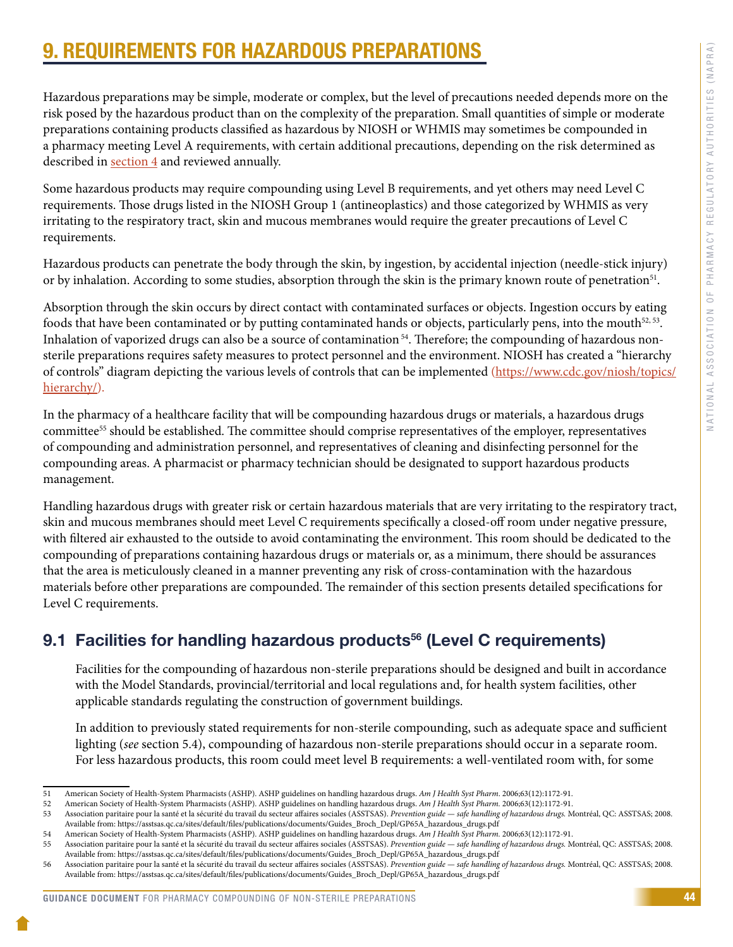# <span id="page-46-0"></span>9. REQUIREMENTS FOR HAZARDOUS PREPARATIONS

Hazardous preparations may be simple, moderate or complex, but the level of precautions needed depends more on the risk posed by the hazardous product than on the complexity of the preparation. Small quantities of simple or moderate preparations containing products classified as hazardous by NIOSH or WHMIS may sometimes be compounded in a pharmacy meeting Level A requirements, with certain additional precautions, depending on the risk determined as described in [section 4](#page-9-0) and reviewed annually.

Some hazardous products may require compounding using Level B requirements, and yet others may need Level C requirements. Those drugs listed in the NIOSH Group 1 (antineoplastics) and those categorized by WHMIS as very irritating to the respiratory tract, skin and mucous membranes would require the greater precautions of Level C requirements.

Hazardous products can penetrate the body through the skin, by ingestion, by accidental injection (needle-stick injury) or by inhalation. According to some studies, absorption through the skin is the primary known route of penetration<sup>51</sup>.

Absorption through the skin occurs by direct contact with contaminated surfaces or objects. Ingestion occurs by eating foods that have been contaminated or by putting contaminated hands or objects, particularly pens, into the mouth $52, 53$ . Inhalation of vaporized drugs can also be a source of contamination<sup>54</sup>. Therefore; the compounding of hazardous nonsterile preparations requires safety measures to protect personnel and the environment. NIOSH has created a "hierarchy of controls" diagram depicting the various levels of controls that can be implemented [\(https://www.cdc.gov/niosh/topics/](https://www.cdc.gov/niosh/topics/hierarchy/) [hierarchy/](https://www.cdc.gov/niosh/topics/hierarchy/)).

In the pharmacy of a healthcare facility that will be compounding hazardous drugs or materials, a hazardous drugs committee55 should be established. The committee should comprise representatives of the employer, representatives of compounding and administration personnel, and representatives of cleaning and disinfecting personnel for the compounding areas. A pharmacist or pharmacy technician should be designated to support hazardous products management.

Handling hazardous drugs with greater risk or certain hazardous materials that are very irritating to the respiratory tract, skin and mucous membranes should meet Level C requirements specifically a closed-off room under negative pressure, with filtered air exhausted to the outside to avoid contaminating the environment. This room should be dedicated to the compounding of preparations containing hazardous drugs or materials or, as a minimum, there should be assurances that the area is meticulously cleaned in a manner preventing any risk of cross-contamination with the hazardous materials before other preparations are compounded. The remainder of this section presents detailed specifications for Level C requirements.

### 9.1 Facilities for handling hazardous products<sup>56</sup> (Level C requirements)

Facilities for the compounding of hazardous non-sterile preparations should be designed and built in accordance with the Model Standards, provincial/territorial and local regulations and, for health system facilities, other applicable standards regulating the construction of government buildings.

In addition to previously stated requirements for non-sterile compounding, such as adequate space and sufficient lighting (*see* section 5.4), compounding of hazardous non-sterile preparations should occur in a separate room. For less hazardous products, this room could meet level B requirements: a well-ventilated room with, for some

<sup>51</sup> American Society of Health-System Pharmacists (ASHP). ASHP guidelines on handling hazardous drugs. *Am J Health Syst Pharm*. 2006;63(12):1172-91.

<sup>52</sup> American Society of Health-System Pharmacists (ASHP). ASHP guidelines on handling hazardous drugs. *Am J Health Syst Pharm.* 2006;63(12):1172-91.

<sup>53</sup> Association paritaire pour la santé et la sécurité du travail du secteur affaires sociales (ASSTSAS). *Prevention guide — safe handling of hazardous drugs.* Montréal, QC: ASSTSAS; 2008. Available from: https://asstsas.qc.ca/sites/default/files/publications/documents/Guides\_Broch\_Depl/GP65A\_hazardous\_drugs.pdf

<sup>54</sup> American Society of Health-System Pharmacists (ASHP). ASHP guidelines on handling hazardous drugs. *Am J Health Syst Pharm.* 2006;63(12):1172-91.

<sup>55</sup> Association paritaire pour la santé et la sécurité du travail du secteur affaires sociales (ASSTSAS). *Prevention guide — safe handling of hazardous drugs.* Montréal, QC: ASSTSAS; 2008. Available from: https://asstsas.qc.ca/sites/default/files/publications/documents/Guides\_Broch\_Depl/GP65A\_hazardous\_drugs.pdf

<sup>56</sup> Association paritaire pour la santé et la sécurité du travail du secteur affaires sociales (ASSTSAS). *Prevention guide — safe handling of hazardous drugs.* Montréal, QC: ASSTSAS; 2008. Available from: https://asstsas.qc.ca/sites/default/files/publications/documents/Guides\_Broch\_Depl/GP65A\_hazardous\_drugs.pdf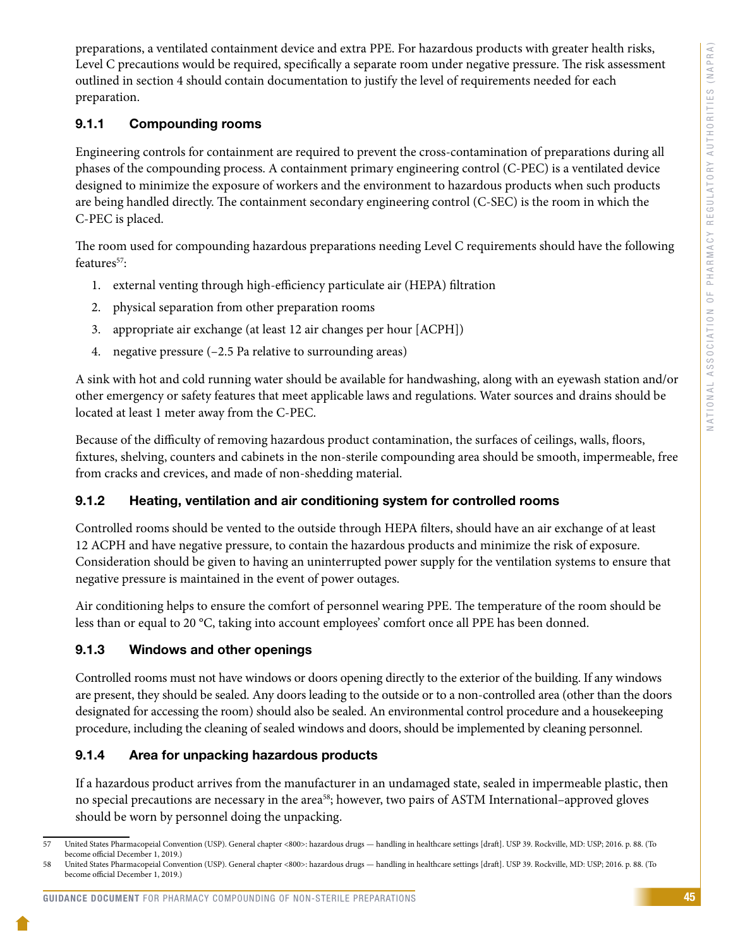<span id="page-47-0"></span>preparations, a ventilated containment device and extra PPE. For hazardous products with greater health risks, Level C precautions would be required, specifically a separate room under negative pressure. The risk assessment outlined in section 4 should contain documentation to justify the level of requirements needed for each preparation.

### 9.1.1 Compounding rooms

Engineering controls for containment are required to prevent the cross-contamination of preparations during all phases of the compounding process. A containment primary engineering control (C-PEC) is a ventilated device designed to minimize the exposure of workers and the environment to hazardous products when such products are being handled directly. The containment secondary engineering control (C-SEC) is the room in which the C-PEC is placed.

The room used for compounding hazardous preparations needing Level C requirements should have the following features<sup>57</sup>:

- 1. external venting through high-efficiency particulate air (HEPA) filtration
- 2. physical separation from other preparation rooms
- 3. appropriate air exchange (at least 12 air changes per hour [ACPH])
- 4. negative pressure (–2.5 Pa relative to surrounding areas)

A sink with hot and cold running water should be available for handwashing, along with an eyewash station and/or other emergency or safety features that meet applicable laws and regulations. Water sources and drains should be located at least 1 meter away from the C-PEC.

Because of the difficulty of removing hazardous product contamination, the surfaces of ceilings, walls, floors, fixtures, shelving, counters and cabinets in the non-sterile compounding area should be smooth, impermeable, free from cracks and crevices, and made of non-shedding material.

### 9.1.2 Heating, ventilation and air conditioning system for controlled rooms

Controlled rooms should be vented to the outside through HEPA filters, should have an air exchange of at least 12 ACPH and have negative pressure, to contain the hazardous products and minimize the risk of exposure. Consideration should be given to having an uninterrupted power supply for the ventilation systems to ensure that negative pressure is maintained in the event of power outages.

Air conditioning helps to ensure the comfort of personnel wearing PPE. The temperature of the room should be less than or equal to 20 °C, taking into account employees' comfort once all PPE has been donned.

### 9.1.3 Windows and other openings

Controlled rooms must not have windows or doors opening directly to the exterior of the building. If any windows are present, they should be sealed. Any doors leading to the outside or to a non-controlled area (other than the doors designated for accessing the room) should also be sealed. An environmental control procedure and a housekeeping procedure, including the cleaning of sealed windows and doors, should be implemented by cleaning personnel.

### 9.1.4 Area for unpacking hazardous products

If a hazardous product arrives from the manufacturer in an undamaged state, sealed in impermeable plastic, then no special precautions are necessary in the area<sup>58</sup>; however, two pairs of ASTM International–approved gloves should be worn by personnel doing the unpacking.

#### GUIDANCE DOCUMENT FOR PHARMACY COMPOUNDING OF NON-STERILE PREPARATIONS

<sup>57</sup> United States Pharmacopeial Convention (USP). General chapter <800>: hazardous drugs — handling in healthcare settings [draft]. USP 39. Rockville, MD: USP; 2016. p. 88. (To become official December 1, 2019.)

<sup>58</sup> United States Pharmacopeial Convention (USP). General chapter <800>: hazardous drugs — handling in healthcare settings [draft]. USP 39. Rockville, MD: USP; 2016. p. 88. (To become official December 1, 2019.)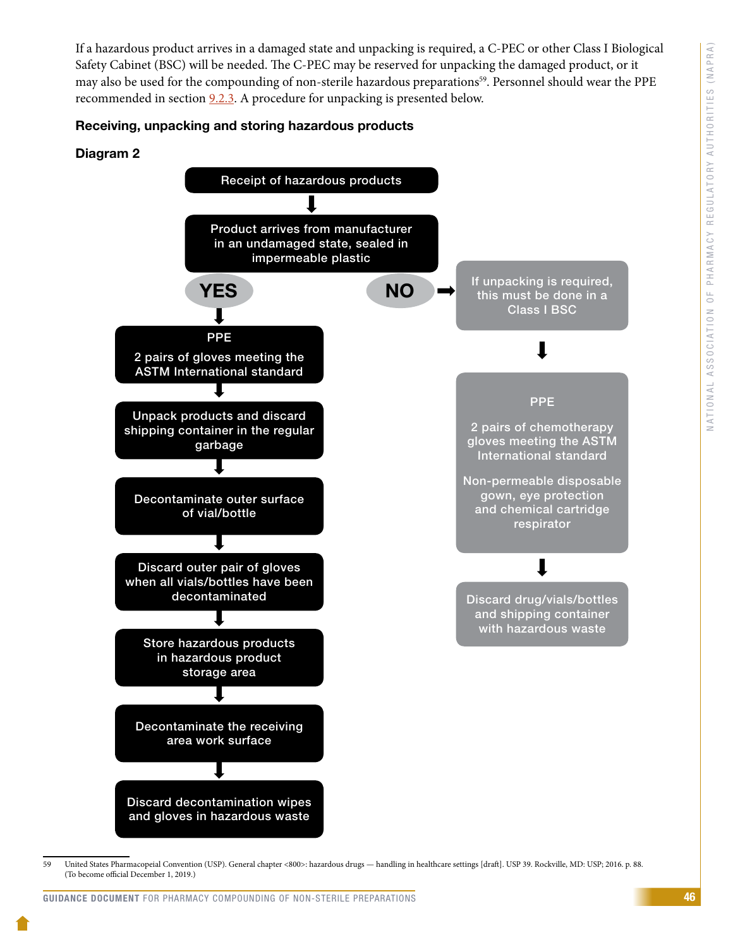If a hazardous product arrives in a damaged state and unpacking is required, a C-PEC or other Class I Biological Safety Cabinet (BSC) will be needed. The C-PEC may be reserved for unpacking the damaged product, or it may also be used for the compounding of non-sterile hazardous preparations<sup>59</sup>. Personnel should wear the PPE recommended in section  $9.2.3$ . A procedure for unpacking is presented below.

#### Receiving, unpacking and storing hazardous products

#### Diagram 2



<sup>59</sup> United States Pharmacopeial Convention (USP). General chapter <800>: hazardous drugs — handling in healthcare settings [draft]. USP 39. Rockville, MD: USP; 2016. p. 88. (To become official December 1, 2019.)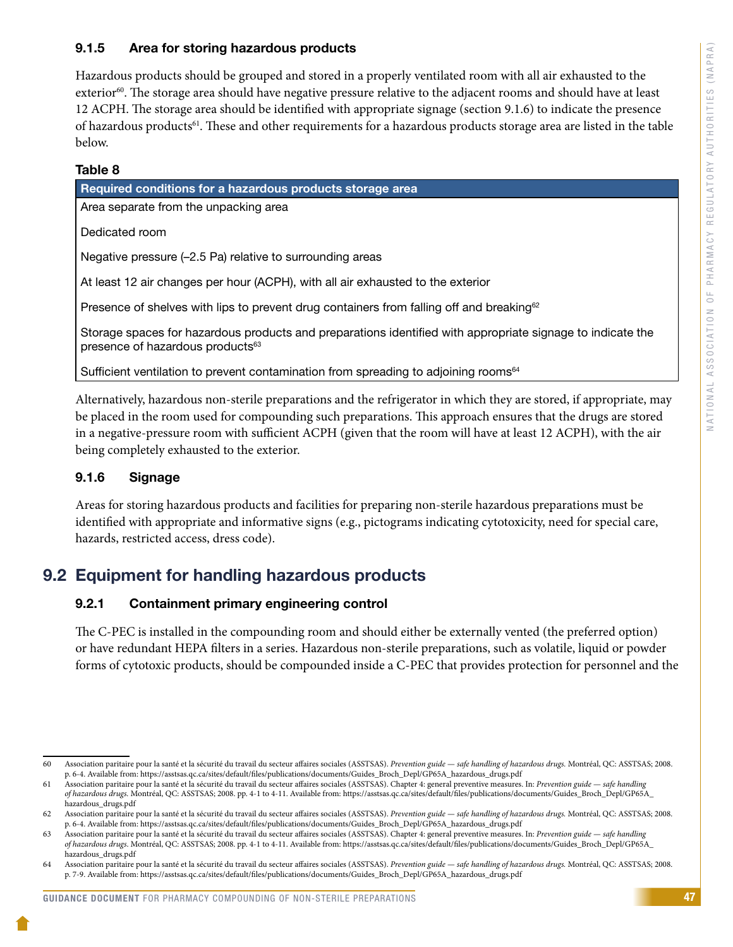### <span id="page-49-0"></span>9.1.5 Area for storing hazardous products

Hazardous products should be grouped and stored in a properly ventilated room with all air exhausted to the exterior<sup>60</sup>. The storage area should have negative pressure relative to the adjacent rooms and should have at least 12 ACPH. The storage area should be identified with appropriate signage (section 9.1.6) to indicate the presence of hazardous products<sup>61</sup>. These and other requirements for a hazardous products storage area are listed in the table below.

### Table 8

| Required conditions for a hazardous products storage area                                                                                                  |  |  |
|------------------------------------------------------------------------------------------------------------------------------------------------------------|--|--|
| Area separate from the unpacking area                                                                                                                      |  |  |
| Dedicated room                                                                                                                                             |  |  |
| Negative pressure (-2.5 Pa) relative to surrounding areas                                                                                                  |  |  |
| At least 12 air changes per hour (ACPH), with all air exhausted to the exterior                                                                            |  |  |
| Presence of shelves with lips to prevent drug containers from falling off and breaking $62$                                                                |  |  |
| Storage spaces for hazardous products and preparations identified with appropriate signage to indicate the<br>presence of hazardous products <sup>63</sup> |  |  |
| Sufficient ventilation to prevent contamination from spreading to adjoining rooms <sup>64</sup>                                                            |  |  |

Alternatively, hazardous non-sterile preparations and the refrigerator in which they are stored, if appropriate, may be placed in the room used for compounding such preparations. This approach ensures that the drugs are stored in a negative-pressure room with sufficient ACPH (given that the room will have at least 12 ACPH), with the air being completely exhausted to the exterior.

### 9.1.6 Signage

Areas for storing hazardous products and facilities for preparing non-sterile hazardous preparations must be identified with appropriate and informative signs (e.g., pictograms indicating cytotoxicity, need for special care, hazards, restricted access, dress code).

### 9.2 Equipment for handling hazardous products

### 9.2.1 Containment primary engineering control

The C-PEC is installed in the compounding room and should either be externally vented (the preferred option) or have redundant HEPA filters in a series. Hazardous non-sterile preparations, such as volatile, liquid or powder forms of cytotoxic products, should be compounded inside a C-PEC that provides protection for personnel and the

<sup>60</sup> Association paritaire pour la santé et la sécurité du travail du secteur affaires sociales (ASSTSAS). *Prevention guide* — *safe handling of hazardous drugs.* Montréal, QC: ASSTSAS; 2008. p. 6-4. Available from: https://asstsas.qc.ca/sites/default/files/publications/documents/Guides\_Broch\_Depl/GP65A\_hazardous\_drugs.pdf

<sup>61</sup> Association paritaire pour la santé et la sécurité du travail du secteur affaires sociales (ASSTSAS). Chapter 4: general preventive measures. In: *Prevention guide* — *safe handling of hazardous drugs.* Montréal, QC: ASSTSAS; 2008. pp. 4-1 to 4-11. Available from: [https://asstsas.qc.ca/sites/default/files/publications/documents/Guides\\_Broch\\_Depl/GP65A\\_](https://asstsas.qc.ca/sites/default/files/publications/documents/Guides_Broch_Depl/GP65A_hazardous_drugs.pdf) [hazardous\\_drugs.pdf](https://asstsas.qc.ca/sites/default/files/publications/documents/Guides_Broch_Depl/GP65A_hazardous_drugs.pdf)

<sup>62</sup> Association paritaire pour la santé et la sécurité du travail du secteur affaires sociales (ASSTSAS). *Prevention guide — safe handling of hazardous drugs.* Montréal, QC: ASSTSAS; 2008. p. 6-4. Available from: https://asstsas.qc.ca/sites/default/files/publications/documents/Guides\_Broch\_Depl/GP65A\_hazardous\_drugs.pdf

<sup>63</sup> Association paritaire pour la santé et la sécurité du travail du secteur affaires sociales (ASSTSAS). Chapter 4: general preventive measures. In: *Prevention guide — safe handling of hazardous drugs*. Montréal, QC: ASSTSAS; 2008. pp. 4-1 to 4-11. Available from: [https://asstsas.qc.ca/sites/default/files/publications/documents/Guides\\_Broch\\_Depl/GP65A\\_](https://asstsas.qc.ca/sites/default/files/publications/documents/Guides_Broch_Depl/GP65A_hazardous_drugs.pdf) [hazardous\\_drugs.pdf](https://asstsas.qc.ca/sites/default/files/publications/documents/Guides_Broch_Depl/GP65A_hazardous_drugs.pdf)

<sup>64</sup> Association paritaire pour la santé et la sécurité du travail du secteur affaires sociales (ASSTSAS). *Prevention guide — safe handling of hazardous drugs.* Montréal, QC: ASSTSAS; 2008. p. 7-9. Available from: https://asstsas.qc.ca/sites/default/files/publications/documents/Guides\_Broch\_Depl/GP65A\_hazardous\_drugs.pdf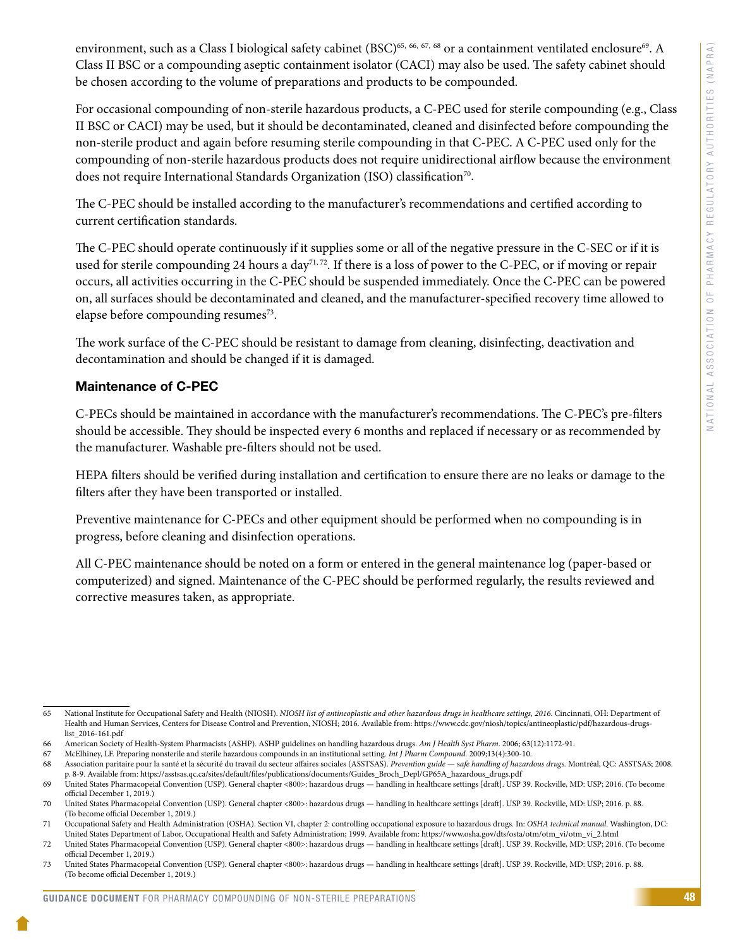environment, such as a Class I biological safety cabinet (BSC)<sup>65, 66, 67, 68</sup> or a containment ventilated enclosure<sup>69</sup>. A Class II BSC or a compounding aseptic containment isolator (CACI) may also be used. The safety cabinet should be chosen according to the volume of preparations and products to be compounded.

For occasional compounding of non-sterile hazardous products, a C-PEC used for sterile compounding (e.g., Class II BSC or CACI) may be used, but it should be decontaminated, cleaned and disinfected before compounding the non-sterile product and again before resuming sterile compounding in that C-PEC. A C-PEC used only for the compounding of non-sterile hazardous products does not require unidirectional airflow because the environment does not require International Standards Organization (ISO) classification<sup>70</sup>.

The C-PEC should be installed according to the manufacturer's recommendations and certified according to current certification standards.

The C-PEC should operate continuously if it supplies some or all of the negative pressure in the C-SEC or if it is used for sterile compounding 24 hours a day<sup>71,72</sup>. If there is a loss of power to the C-PEC, or if moving or repair occurs, all activities occurring in the C-PEC should be suspended immediately. Once the C-PEC can be powered on, all surfaces should be decontaminated and cleaned, and the manufacturer-specified recovery time allowed to elapse before compounding resumes<sup>73</sup>.

The work surface of the C-PEC should be resistant to damage from cleaning, disinfecting, deactivation and decontamination and should be changed if it is damaged.

#### Maintenance of C-PEC

C-PECs should be maintained in accordance with the manufacturer's recommendations. The C-PEC's pre-filters should be accessible. They should be inspected every 6 months and replaced if necessary or as recommended by the manufacturer. Washable pre-filters should not be used.

HEPA filters should be verified during installation and certification to ensure there are no leaks or damage to the filters after they have been transported or installed.

Preventive maintenance for C-PECs and other equipment should be performed when no compounding is in progress, before cleaning and disinfection operations.

All C-PEC maintenance should be noted on a form or entered in the general maintenance log (paper-based or computerized) and signed. Maintenance of the C-PEC should be performed regularly, the results reviewed and corrective measures taken, as appropriate.

<sup>65</sup> National Institute for Occupational Safety and Health (NIOSH). *NIOSH list of antineoplastic and other hazardous drugs in healthcare settings, 2016*. Cincinnati, OH: Department of Health and Human Services, Centers for Disease Control and Prevention, NIOSH; 2016. Available from: https://www.cdc.gov/niosh/topics/antineoplastic/pdf/hazardous-drugslist\_2016-161.pdf

<sup>66</sup> American Society of Health-System Pharmacists (ASHP). ASHP guidelines on handling hazardous drugs. *Am J Health Syst Pharm*. 2006; 63(12):1172-91.

<sup>67</sup> McElhiney, LF. Preparing nonsterile and sterile hazardous compounds in an institutional setting. *Int J Pharm Compound.* 2009;13(4):300-10.

<sup>68</sup> Association paritaire pour la santé et la sécurité du travail du secteur affaires sociales (ASSTSAS). *Prevention guide* — s*afe handling of hazardous drugs.* Montréal, QC: ASSTSAS; 2008. p. 8-9. Available from: https://asstsas.qc.ca/sites/default/files/publications/documents/Guides\_Broch\_Depl/GP65A\_hazardous\_drugs.pdf

<sup>69</sup> United States Pharmacopeial Convention (USP). General chapter <800>: hazardous drugs — handling in healthcare settings [draft]. USP 39. Rockville, MD: USP; 2016. (To become official December 1, 2019.)

<sup>70</sup> United States Pharmacopeial Convention (USP). General chapter <800>: hazardous drugs — handling in healthcare settings [draft]. USP 39. Rockville, MD: USP; 2016. p. 88. (To become official December 1, 2019.)

<sup>71</sup> Occupational Safety and Health Administration (OSHA). Section VI, chapter 2: controlling occupational exposure to hazardous drugs. In: *OSHA technical manual*. Washington, DC: United States Department of Labor, Occupational Health and Safety Administration; 1999. Available from: https://www.osha.gov/dts/osta/otm/otm\_vi/otm\_vi\_2.html

<sup>72</sup> United States Pharmacopeial Convention (USP). General chapter <800>: hazardous drugs — handling in healthcare settings [draft]. USP 39. Rockville, MD: USP; 2016. (To become official December 1, 2019.)

<sup>73</sup> United States Pharmacopeial Convention (USP). General chapter <800>: hazardous drugs — handling in healthcare settings [draft]. USP 39. Rockville, MD: USP; 2016. p. 88. (To become official December 1, 2019.)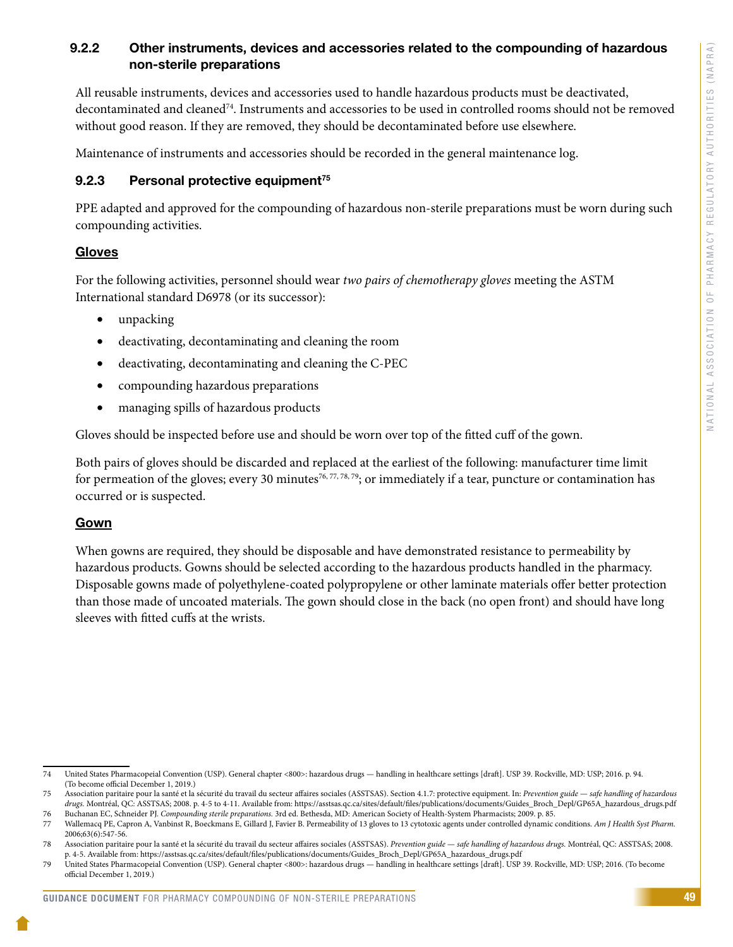### <span id="page-51-0"></span>9.2.2 Other instruments, devices and accessories related to the compounding of hazardous non-sterile preparations

All reusable instruments, devices and accessories used to handle hazardous products must be deactivated, decontaminated and cleaned74. Instruments and accessories to be used in controlled rooms should not be removed without good reason. If they are removed, they should be decontaminated before use elsewhere.

Maintenance of instruments and accessories should be recorded in the general maintenance log.

#### 9.2.3 Personal protective equipment<sup> $75$ </sup>

PPE adapted and approved for the compounding of hazardous non-sterile preparations must be worn during such compounding activities.

### Gloves

For the following activities, personnel should wear *two pairs of chemotherapy gloves* meeting the ASTM International standard D6978 (or its successor):

- unpacking
- deactivating, decontaminating and cleaning the room
- • deactivating, decontaminating and cleaning the C-PEC
- compounding hazardous preparations
- managing spills of hazardous products

Gloves should be inspected before use and should be worn over top of the fitted cuff of the gown.

Both pairs of gloves should be discarded and replaced at the earliest of the following: manufacturer time limit for permeation of the gloves; every 30 minutes<sup>76, 77, 78, 79</sup>; or immediately if a tear, puncture or contamination has occurred or is suspected.

#### Gown

When gowns are required, they should be disposable and have demonstrated resistance to permeability by hazardous products. Gowns should be selected according to the hazardous products handled in the pharmacy. Disposable gowns made of polyethylene-coated polypropylene or other laminate materials offer better protection than those made of uncoated materials. The gown should close in the back (no open front) and should have long sleeves with fitted cuffs at the wrists.

<sup>74</sup> United States Pharmacopeial Convention (USP). General chapter <800>: hazardous drugs — handling in healthcare settings [draft]. USP 39. Rockville, MD: USP; 2016. p. 94. (To become official December 1, 2019.)

<sup>75</sup> Association paritaire pour la santé et la sécurité du travail du secteur affaires sociales (ASSTSAS). Section 4.1.7: protective equipment. In: *Prevention guide* — *safe handling of hazardous drugs.* Montréal, QC: ASSTSAS; 2008. p. 4-5 to 4-11. Available from: https://asstsas.qc.ca/sites/default/files/publications/documents/Guides\_Broch\_Depl/GP65A\_hazardous\_drugs.pdf 76 Buchanan EC, Schneider PJ. *Compounding sterile preparations.* 3rd ed. Bethesda, MD: American Society of Health-System Pharmacists; 2009. p. 85.

<sup>77</sup> Wallemacq PE, Capron A, Vanbinst R, Boeckmans E, Gillard J, Favier B. Permeability of 13 gloves to 13 cytotoxic agents under controlled dynamic conditions. *Am J Health Syst Pharm.*  2006;63(6):547-56.

<sup>78</sup> Association paritaire pour la santé et la sécurité du travail du secteur affaires sociales (ASSTSAS). *Prevention guide* — *safe handling of hazardous drugs.* Montréal, QC: ASSTSAS; 2008. p. 4-5. Available from: https://asstsas.qc.ca/sites/default/files/publications/documents/Guides\_Broch\_Depl/GP65A\_hazardous\_drugs.pdf

<sup>79</sup> United States Pharmacopeial Convention (USP). General chapter <800>: hazardous drugs — handling in healthcare settings [draft]. USP 39. Rockville, MD: USP; 2016. (To become official December 1, 2019.)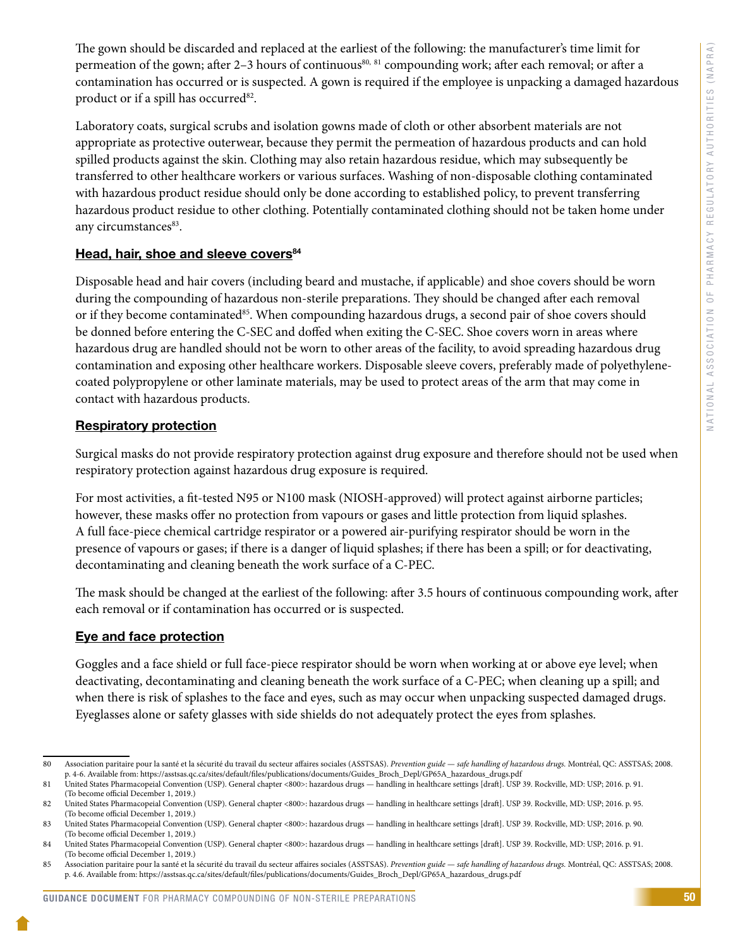The gown should be discarded and replaced at the earliest of the following: the manufacturer's time limit for permeation of the gown; after 2–3 hours of continuous<sup>80, 81</sup> compounding work; after each removal; or after a contamination has occurred or is suspected. A gown is required if the employee is unpacking a damaged hazardous product or if a spill has occurred<sup>82</sup>.

Laboratory coats, surgical scrubs and isolation gowns made of cloth or other absorbent materials are not appropriate as protective outerwear, because they permit the permeation of hazardous products and can hold spilled products against the skin. Clothing may also retain hazardous residue, which may subsequently be transferred to other healthcare workers or various surfaces. Washing of non-disposable clothing contaminated with hazardous product residue should only be done according to established policy, to prevent transferring hazardous product residue to other clothing. Potentially contaminated clothing should not be taken home under any circumstances<sup>83</sup>.

### Head, hair, shoe and sleeve covers<sup>84</sup>

Disposable head and hair covers (including beard and mustache, if applicable) and shoe covers should be worn during the compounding of hazardous non-sterile preparations. They should be changed after each removal or if they become contaminated<sup>85</sup>. When compounding hazardous drugs, a second pair of shoe covers should be donned before entering the C-SEC and doffed when exiting the C-SEC. Shoe covers worn in areas where hazardous drug are handled should not be worn to other areas of the facility, to avoid spreading hazardous drug contamination and exposing other healthcare workers. Disposable sleeve covers, preferably made of polyethylenecoated polypropylene or other laminate materials, may be used to protect areas of the arm that may come in contact with hazardous products.

### Respiratory protection

Surgical masks do not provide respiratory protection against drug exposure and therefore should not be used when respiratory protection against hazardous drug exposure is required.

For most activities, a fit-tested N95 or N100 mask (NIOSH-approved) will protect against airborne particles; however, these masks offer no protection from vapours or gases and little protection from liquid splashes. A full face-piece chemical cartridge respirator or a powered air-purifying respirator should be worn in the presence of vapours or gases; if there is a danger of liquid splashes; if there has been a spill; or for deactivating, decontaminating and cleaning beneath the work surface of a C-PEC.

The mask should be changed at the earliest of the following: after 3.5 hours of continuous compounding work, after each removal or if contamination has occurred or is suspected.

### Eye and face protection

Goggles and a face shield or full face-piece respirator should be worn when working at or above eye level; when deactivating, decontaminating and cleaning beneath the work surface of a C-PEC; when cleaning up a spill; and when there is risk of splashes to the face and eyes, such as may occur when unpacking suspected damaged drugs. Eyeglasses alone or safety glasses with side shields do not adequately protect the eyes from splashes.

<sup>80</sup> Association paritaire pour la santé et la sécurité du travail du secteur affaires sociales (ASSTSAS). Prevention guide - safe handling of hazardous drugs. Montréal, QC: ASSTSAS; 2008. p. 4-6. Available from: https://asstsas.qc.ca/sites/default/files/publications/documents/Guides\_Broch\_Depl/GP65A\_hazardous\_drugs.pdf

<sup>81</sup> United States Pharmacopeial Convention (USP). General chapter <800>: hazardous drugs — handling in healthcare settings [draft]. USP 39. Rockville, MD: USP; 2016. p. 91. (To become official December 1, 2019.)

<sup>82</sup> United States Pharmacopeial Convention (USP). General chapter <800>: hazardous drugs — handling in healthcare settings [draft]. USP 39. Rockville, MD: USP; 2016. p. 95. (To become official December 1, 2019.)

<sup>83</sup> United States Pharmacopeial Convention (USP). General chapter <800>: hazardous drugs — handling in healthcare settings [draft]. USP 39. Rockville, MD: USP; 2016. p. 90. (To become official December 1, 2019.)

<sup>84</sup> United States Pharmacopeial Convention (USP). General chapter <800>: hazardous drugs — handling in healthcare settings [draft]. USP 39. Rockville, MD: USP; 2016. p. 91. (To become official December 1, 2019.)

<sup>85</sup> Association paritaire pour la santé et la sécurité du travail du secteur affaires sociales (ASSTSAS). *Prevention guide* — *safe handling of hazardous drugs.* Montréal, QC: ASSTSAS; 2008. p. 4.6. Available from: https://asstsas.qc.ca/sites/default/files/publications/documents/Guides\_Broch\_Depl/GP65A\_hazardous\_drugs.pdf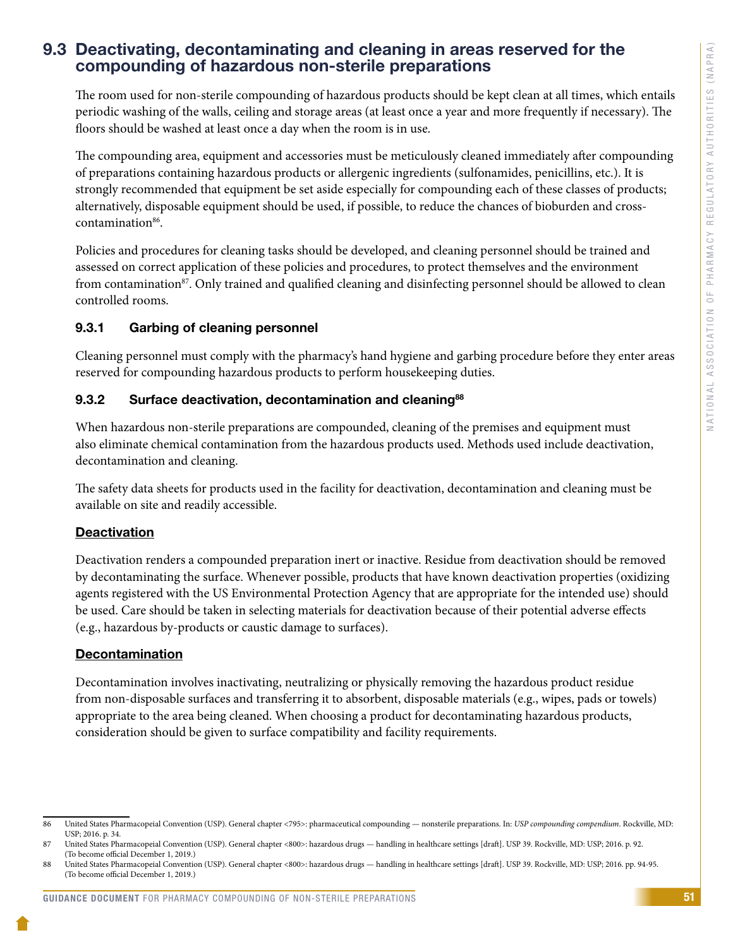### <span id="page-53-0"></span>9.3 Deactivating, decontaminating and cleaning in areas reserved for the compounding of hazardous non-sterile preparations

The room used for non-sterile compounding of hazardous products should be kept clean at all times, which entails periodic washing of the walls, ceiling and storage areas (at least once a year and more frequently if necessary). The floors should be washed at least once a day when the room is in use.

The compounding area, equipment and accessories must be meticulously cleaned immediately after compounding of preparations containing hazardous products or allergenic ingredients (sulfonamides, penicillins, etc.). It is strongly recommended that equipment be set aside especially for compounding each of these classes of products; alternatively, disposable equipment should be used, if possible, to reduce the chances of bioburden and crosscontamination<sup>86</sup>.

Policies and procedures for cleaning tasks should be developed, and cleaning personnel should be trained and assessed on correct application of these policies and procedures, to protect themselves and the environment from contamination<sup>87</sup>. Only trained and qualified cleaning and disinfecting personnel should be allowed to clean controlled rooms.

### 9.3.1 Garbing of cleaning personnel

Cleaning personnel must comply with the pharmacy's hand hygiene and garbing procedure before they enter areas reserved for compounding hazardous products to perform housekeeping duties.

### 9.3.2 Surface deactivation, decontamination and cleaning<sup>88</sup>

When hazardous non-sterile preparations are compounded, cleaning of the premises and equipment must also eliminate chemical contamination from the hazardous products used. Methods used include deactivation, decontamination and cleaning.

The safety data sheets for products used in the facility for deactivation, decontamination and cleaning must be available on site and readily accessible.

### **Deactivation**

Deactivation renders a compounded preparation inert or inactive. Residue from deactivation should be removed by decontaminating the surface. Whenever possible, products that have known deactivation properties (oxidizing agents registered with the US Environmental Protection Agency that are appropriate for the intended use) should be used. Care should be taken in selecting materials for deactivation because of their potential adverse effects (e.g., hazardous by-products or caustic damage to surfaces).

### Decontamination

Decontamination involves inactivating, neutralizing or physically removing the hazardous product residue from non-disposable surfaces and transferring it to absorbent, disposable materials (e.g., wipes, pads or towels) appropriate to the area being cleaned. When choosing a product for decontaminating hazardous products, consideration should be given to surface compatibility and facility requirements.

#### GUIDANCE DOCUMENT FOR PHARMACY COMPOUNDING OF NON-STERILE PREPARATIONS

<sup>86</sup> United States Pharmacopeial Convention (USP). General chapter <795>: pharmaceutical compounding — nonsterile preparations. In: *USP compounding compendium*. Rockville, MD: USP; 2016. p. 34.

<sup>87</sup> United States Pharmacopeial Convention (USP). General chapter <800>: hazardous drugs — handling in healthcare settings [draft]. USP 39. Rockville, MD: USP; 2016. p. 92. (To become official December 1, 2019.)

United States Pharmacopeial Convention (USP). General chapter <800>: hazardous drugs — handling in healthcare settings [draft]. USP 39. Rockville, MD: USP; 2016. pp. 94-95. (To become official December 1, 2019.)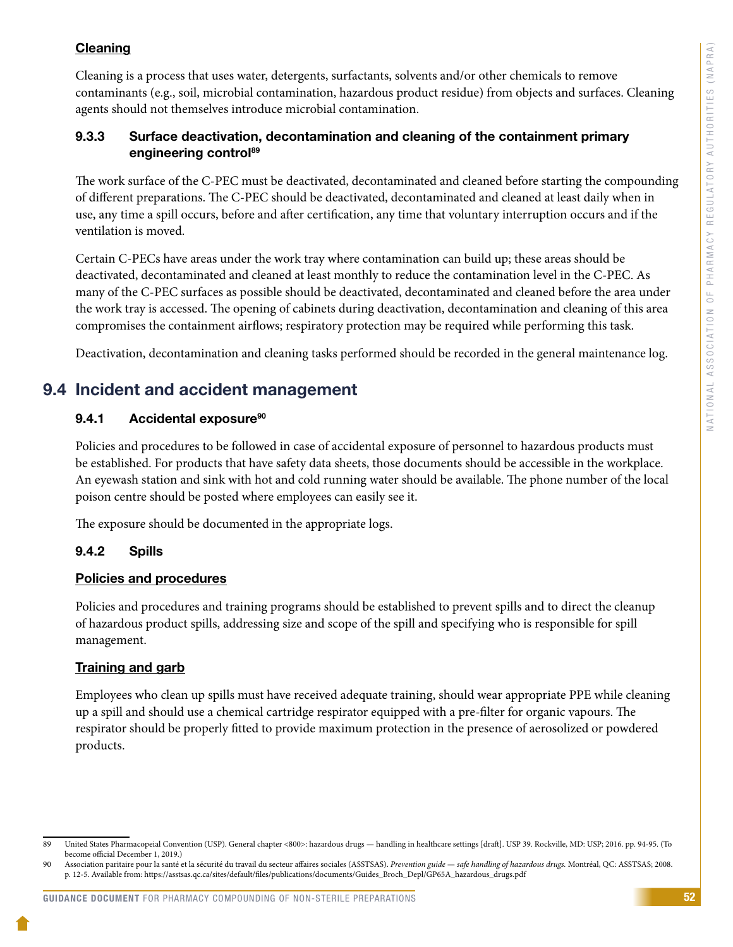### <span id="page-54-0"></span>**Cleaning**

Cleaning is a process that uses water, detergents, surfactants, solvents and/or other chemicals to remove contaminants (e.g., soil, microbial contamination, hazardous product residue) from objects and surfaces. Cleaning agents should not themselves introduce microbial contamination.

### 9.3.3 Surface deactivation, decontamination and cleaning of the containment primary engineering control<sup>89</sup>

The work surface of the C-PEC must be deactivated, decontaminated and cleaned before starting the compounding of different preparations. The C-PEC should be deactivated, decontaminated and cleaned at least daily when in use, any time a spill occurs, before and after certification, any time that voluntary interruption occurs and if the ventilation is moved.

Certain C-PECs have areas under the work tray where contamination can build up; these areas should be deactivated, decontaminated and cleaned at least monthly to reduce the contamination level in the C-PEC. As many of the C-PEC surfaces as possible should be deactivated, decontaminated and cleaned before the area under the work tray is accessed. The opening of cabinets during deactivation, decontamination and cleaning of this area compromises the containment airflows; respiratory protection may be required while performing this task.

Deactivation, decontamination and cleaning tasks performed should be recorded in the general maintenance log.

### 9.4 Incident and accident management

### 9.4.1 Accidental exposure<sup>90</sup>

Policies and procedures to be followed in case of accidental exposure of personnel to hazardous products must be established. For products that have safety data sheets, those documents should be accessible in the workplace. An eyewash station and sink with hot and cold running water should be available. The phone number of the local poison centre should be posted where employees can easily see it.

The exposure should be documented in the appropriate logs.

### 9.4.2 Spills

### Policies and procedures

Policies and procedures and training programs should be established to prevent spills and to direct the cleanup of hazardous product spills, addressing size and scope of the spill and specifying who is responsible for spill management.

### **Training and garb**

Employees who clean up spills must have received adequate training, should wear appropriate PPE while cleaning up a spill and should use a chemical cartridge respirator equipped with a pre-filter for organic vapours. The respirator should be properly fitted to provide maximum protection in the presence of aerosolized or powdered products.

<sup>89</sup> United States Pharmacopeial Convention (USP). General chapter <800>: hazardous drugs — handling in healthcare settings [draft]. USP 39. Rockville, MD: USP; 2016. pp. 94-95. (To become official December 1, 2019.)

<sup>90</sup> Association paritaire pour la santé et la sécurité du travail du secteur affaires sociales (ASSTSAS). *Prevention guide* — *safe handling of hazardous drugs.* Montréal, QC: ASSTSAS; 2008. p. 12-5. Available from: https://asstsas.qc.ca/sites/default/files/publications/documents/Guides\_Broch\_Depl/GP65A\_hazardous\_drugs.pdf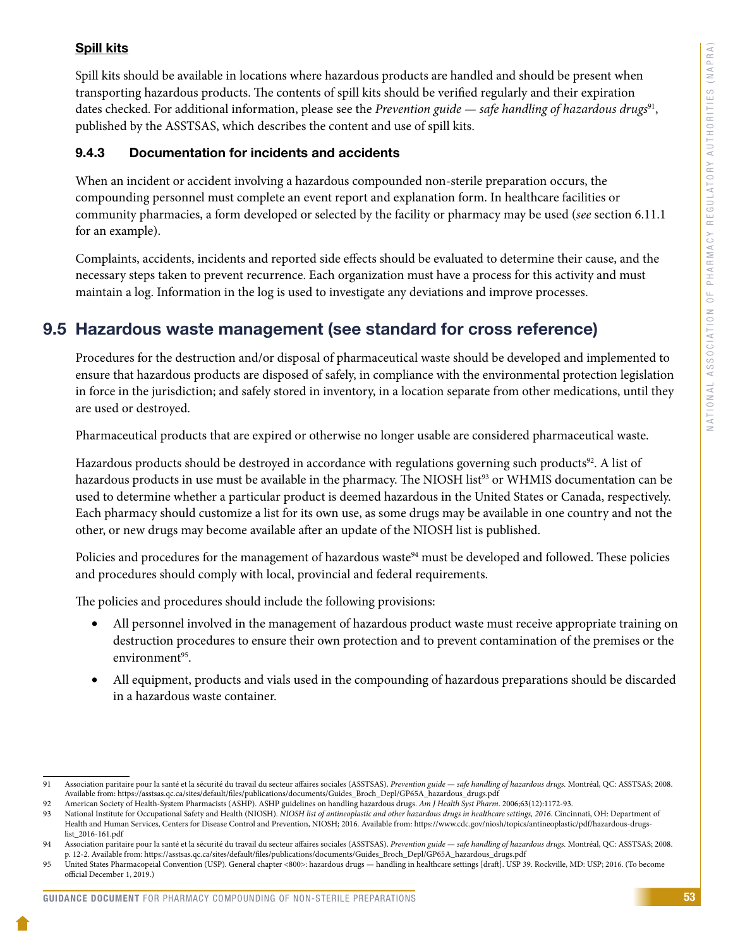### <span id="page-55-0"></span>Spill kits

Spill kits should be available in locations where hazardous products are handled and should be present when transporting hazardous products. The contents of spill kits should be verified regularly and their expiration dates checked. For additional information, please see the *Prevention guide — safe handling of hazardous drugs*91, published by the ASSTSAS, which describes the content and use of spill kits.

#### 9.4.3 Documentation for incidents and accidents

When an incident or accident involving a hazardous compounded non-sterile preparation occurs, the compounding personnel must complete an event report and explanation form. In healthcare facilities or community pharmacies, a form developed or selected by the facility or pharmacy may be used (*see* section 6.11.1 for an example).

Complaints, accidents, incidents and reported side effects should be evaluated to determine their cause, and the necessary steps taken to prevent recurrence. Each organization must have a process for this activity and must maintain a log. Information in the log is used to investigate any deviations and improve processes.

### 9.5 Hazardous waste management (see standard for cross reference)

Procedures for the destruction and/or disposal of pharmaceutical waste should be developed and implemented to ensure that hazardous products are disposed of safely, in compliance with the environmental protection legislation in force in the jurisdiction; and safely stored in inventory, in a location separate from other medications, until they are used or destroyed.

Pharmaceutical products that are expired or otherwise no longer usable are considered pharmaceutical waste.

Hazardous products should be destroyed in accordance with regulations governing such products<sup>92</sup>. A list of hazardous products in use must be available in the pharmacy. The NIOSH list<sup>93</sup> or WHMIS documentation can be used to determine whether a particular product is deemed hazardous in the United States or Canada, respectively. Each pharmacy should customize a list for its own use, as some drugs may be available in one country and not the other, or new drugs may become available after an update of the NIOSH list is published.

Policies and procedures for the management of hazardous waste<sup>94</sup> must be developed and followed. These policies and procedures should comply with local, provincial and federal requirements.

The policies and procedures should include the following provisions:

- All personnel involved in the management of hazardous product waste must receive appropriate training on destruction procedures to ensure their own protection and to prevent contamination of the premises or the environment $95$ .
- All equipment, products and vials used in the compounding of hazardous preparations should be discarded in a hazardous waste container.

#### GUIDANCE DOCUMENT FOR PHARMACY COMPOUNDING OF NON-STERILE PREPARATIONS

<sup>91</sup> Association paritaire pour la santé et la sécurité du travail du secteur affaires sociales (ASSTSAS). *Prevention guide* — *safe handling of hazardous drugs.* Montréal, QC: ASSTSAS; 2008. Available from: https://asstsas.qc.ca/sites/default/files/publications/documents/Guides\_Broch\_Depl/GP65A\_hazardous\_drugs.pdf

<sup>92</sup> American Society of Health-System Pharmacists (ASHP). ASHP guidelines on handling hazardous drugs. *Am J Health Syst Pharm*. 2006;63(12):1172-93.

National Institute for Occupational Safety and Health (NIOSH). *NIOSH list of antineoplastic and other hazardous drugs in healthcare settings*, 2016. Cincinnati, OH: Department of Health and Human Services, Centers for Disease Control and Prevention, NIOSH; 2016. Available from: https://www.cdc.gov/niosh/topics/antineoplastic/pdf/hazardous-drugslist\_2016-161.pdf

<sup>94</sup> Association paritaire pour la santé et la sécurité du travail du secteur affaires sociales (ASSTSAS). *Prevention guide* — *safe handling of hazardous drugs.* Montréal, QC: ASSTSAS; 2008. p. 12-2. Available from: https://asstsas.qc.ca/sites/default/files/publications/documents/Guides\_Broch\_Depl/GP65A\_hazardous\_drugs.pdf

<sup>95</sup> United States Pharmacopeial Convention (USP). General chapter <800>: hazardous drugs — handling in healthcare settings [draft]. USP 39. Rockville, MD: USP; 2016. (To become official December 1, 2019.)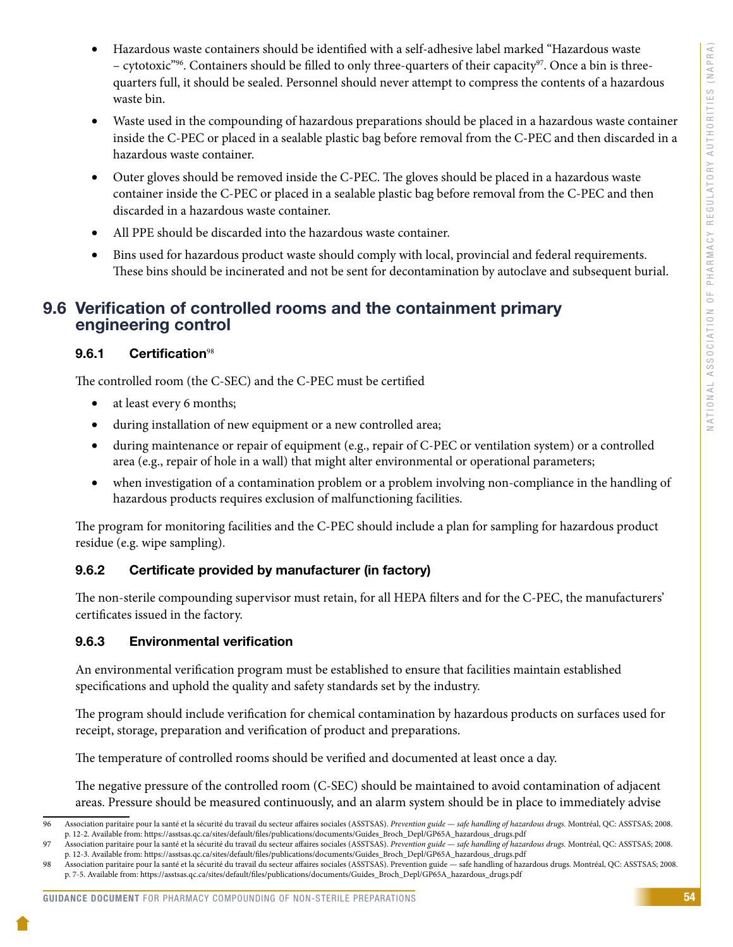- <span id="page-56-0"></span>Hazardous waste containers should be identified with a self-adhesive label marked "Hazardous waste – cytotoxic"96. Containers should be filled to only three-quarters of their capacity97. Once a bin is threequarters full, it should be sealed. Personnel should never attempt to compress the contents of a hazardous waste bin.
- Waste used in the compounding of hazardous preparations should be placed in a hazardous waste container inside the C-PEC or placed in a sealable plastic bag before removal from the C-PEC and then discarded in a hazardous waste container.
- Outer gloves should be removed inside the C-PEC. The gloves should be placed in a hazardous waste container inside the C-PEC or placed in a sealable plastic bag before removal from the C-PEC and then discarded in a hazardous waste container.
- All PPE should be discarded into the hazardous waste container.
- • Bins used for hazardous product waste should comply with local, provincial and federal requirements. These bins should be incinerated and not be sent for decontamination by autoclave and subsequent burial.

### 9.6 Verification of controlled rooms and the containment primary engineering control

### 9.6.1 Certification<sup>98</sup>

The controlled room (the C-SEC) and the C-PEC must be certified

- at least every 6 months;
- • during installation of new equipment or a new controlled area;
- during maintenance or repair of equipment (e.g., repair of C-PEC or ventilation system) or a controlled area (e.g., repair of hole in a wall) that might alter environmental or operational parameters;
- when investigation of a contamination problem or a problem involving non-compliance in the handling of hazardous products requires exclusion of malfunctioning facilities.

The program for monitoring facilities and the C-PEC should include a plan for sampling for hazardous product residue (e.g. wipe sampling).

### 9.6.2 Certificate provided by manufacturer (in factory)

The non-sterile compounding supervisor must retain, for all HEPA filters and for the C-PEC, the manufacturers' certificates issued in the factory.

### 9.6.3 Environmental verification

An environmental verification program must be established to ensure that facilities maintain established specifications and uphold the quality and safety standards set by the industry.

The program should include verification for chemical contamination by hazardous products on surfaces used for receipt, storage, preparation and verification of product and preparations.

The temperature of controlled rooms should be verified and documented at least once a day.

The negative pressure of the controlled room (C-SEC) should be maintained to avoid contamination of adjacent areas. Pressure should be measured continuously, and an alarm system should be in place to immediately advise

<sup>96</sup> Association paritaire pour la santé et la sécurité du travail du secteur affaires sociales (ASSTSAS). *Prevention guide* — *safe handling of hazardous drugs.* Montréal, QC: ASSTSAS; 2008. p. 12-2. Available from: https://asstsas.qc.ca/sites/default/files/publications/documents/Guides\_Broch\_Depl/GP65A\_hazardous\_drugs.pdf

<sup>97</sup> Association paritaire pour la santé et la sécurité du travail du secteur affaires sociales (ASSTSAS). *Prevention guide* — *safe handling of hazardous drugs.* Montréal, QC: ASSTSAS; 2008. p. 12-3. Available from: https://asstsas.qc.ca/sites/default/files/publications/documents/Guides\_Broch\_Depl/GP65A\_hazardous\_drugs.pdf

<sup>98</sup> Association paritaire pour la santé et la sécurité du travail du secteur affaires sociales (ASSTSAS). Prevention guide — safe handling of hazardous drugs. Montréal, QC: ASSTSAS; 2008. p. 7-5. Available from: [https://asstsas.qc.ca/sites/default/files/publications/documents/Guides\\_Broch\\_Depl/GP65A\\_hazardous\\_drugs.pdf](https://asstsas.qc.ca/sites/default/files/publications/documents/Guides_Broch_Depl/GP65A_hazardous_drugs.pdf)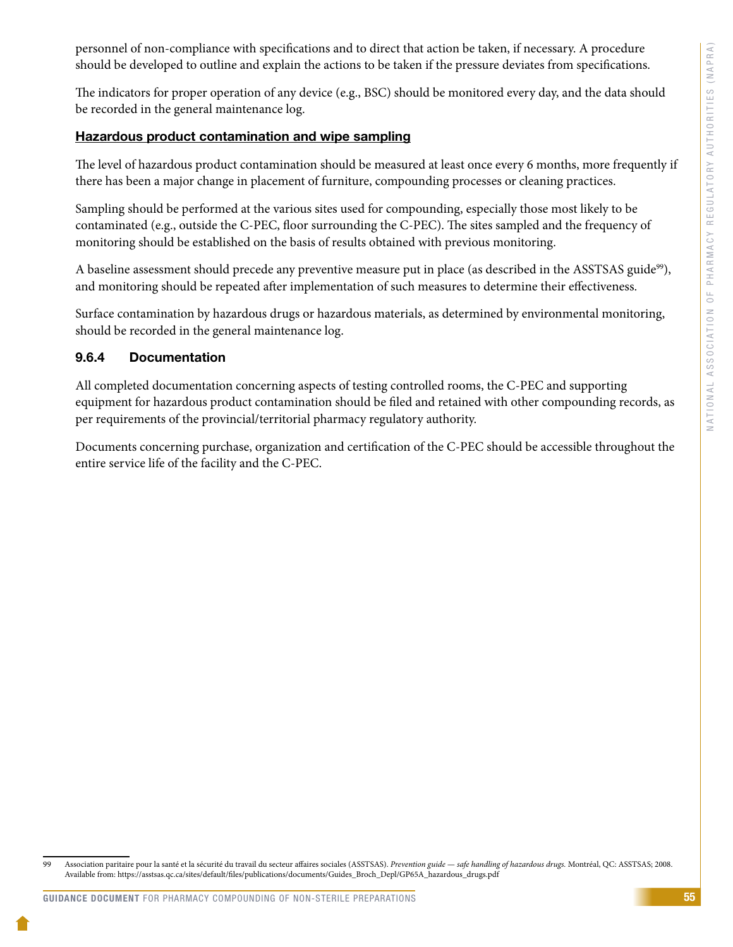<span id="page-57-0"></span>personnel of non-compliance with specifications and to direct that action be taken, if necessary. A procedure should be developed to outline and explain the actions to be taken if the pressure deviates from specifications.

The indicators for proper operation of any device (e.g., BSC) should be monitored every day, and the data should be recorded in the general maintenance log.

#### Hazardous product contamination and wipe sampling

The level of hazardous product contamination should be measured at least once every 6 months, more frequently if there has been a major change in placement of furniture, compounding processes or cleaning practices.

Sampling should be performed at the various sites used for compounding, especially those most likely to be contaminated (e.g., outside the C-PEC, floor surrounding the C-PEC). The sites sampled and the frequency of monitoring should be established on the basis of results obtained with previous monitoring.

A baseline assessment should precede any preventive measure put in place (as described in the ASSTSAS guide<sup>99</sup>), and monitoring should be repeated after implementation of such measures to determine their effectiveness.

Surface contamination by hazardous drugs or hazardous materials, as determined by environmental monitoring, should be recorded in the general maintenance log.

#### 9.6.4 Documentation

All completed documentation concerning aspects of testing controlled rooms, the C-PEC and supporting equipment for hazardous product contamination should be filed and retained with other compounding records, as per requirements of the provincial/territorial pharmacy regulatory authority.

Documents concerning purchase, organization and certification of the C-PEC should be accessible throughout the entire service life of the facility and the C-PEC.

<sup>99</sup> Association paritaire pour la santé et la sécurité du travail du secteur affaires sociales (ASSTSAS). *Prevention guide* — *safe handling of hazardous drugs.* Montréal, QC: ASSTSAS; 2008. Available from: https://asstsas.qc.ca/sites/default/files/publications/documents/Guides\_Broch\_Depl/GP65A\_hazardous\_drugs.pdf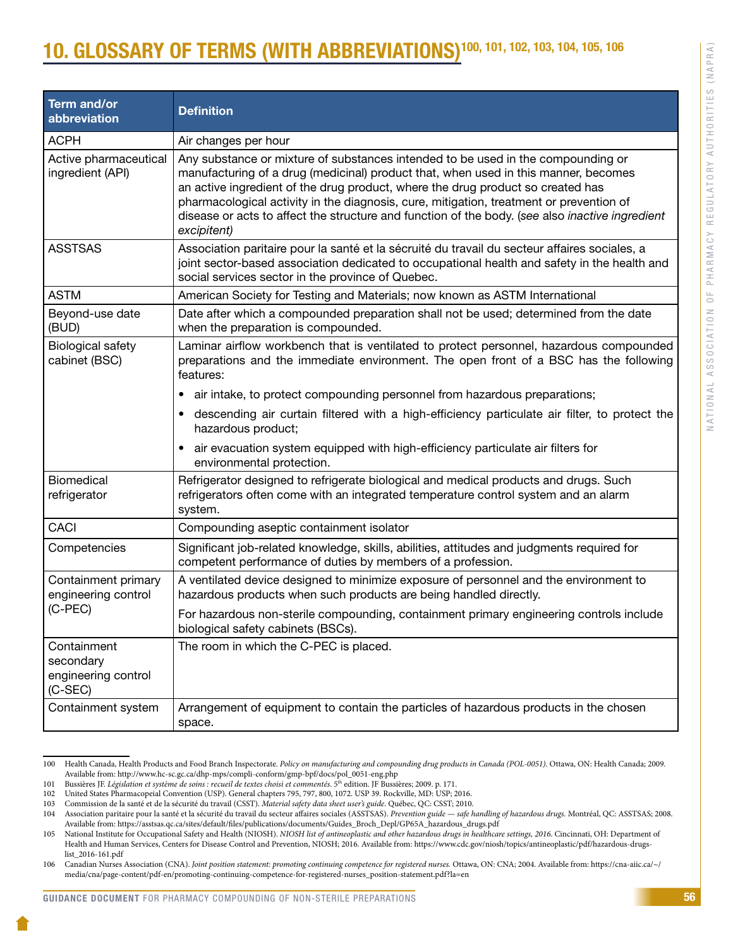# <span id="page-58-0"></span>**0. GLOSSARY OF TERMS (WITH ABBREVIATIONS)<sup>100, 101, 102, 103, 104, 105, 106**</sup>

| <b>Term and/or</b><br>abbreviation                         | <b>Definition</b>                                                                                                                                                                                                                                                                                                                                                                                                                                                       |
|------------------------------------------------------------|-------------------------------------------------------------------------------------------------------------------------------------------------------------------------------------------------------------------------------------------------------------------------------------------------------------------------------------------------------------------------------------------------------------------------------------------------------------------------|
| <b>ACPH</b>                                                | Air changes per hour                                                                                                                                                                                                                                                                                                                                                                                                                                                    |
| Active pharmaceutical<br>ingredient (API)                  | Any substance or mixture of substances intended to be used in the compounding or<br>manufacturing of a drug (medicinal) product that, when used in this manner, becomes<br>an active ingredient of the drug product, where the drug product so created has<br>pharmacological activity in the diagnosis, cure, mitigation, treatment or prevention of<br>disease or acts to affect the structure and function of the body. (see also inactive ingredient<br>excipitent) |
| <b>ASSTSAS</b>                                             | Association paritaire pour la santé et la sécruité du travail du secteur affaires sociales, a<br>joint sector-based association dedicated to occupational health and safety in the health and<br>social services sector in the province of Quebec.                                                                                                                                                                                                                      |
| <b>ASTM</b>                                                | American Society for Testing and Materials; now known as ASTM International                                                                                                                                                                                                                                                                                                                                                                                             |
| Beyond-use date<br>(BUD)                                   | Date after which a compounded preparation shall not be used; determined from the date<br>when the preparation is compounded.                                                                                                                                                                                                                                                                                                                                            |
| <b>Biological safety</b><br>cabinet (BSC)                  | Laminar airflow workbench that is ventilated to protect personnel, hazardous compounded<br>preparations and the immediate environment. The open front of a BSC has the following<br>features:                                                                                                                                                                                                                                                                           |
|                                                            | air intake, to protect compounding personnel from hazardous preparations;                                                                                                                                                                                                                                                                                                                                                                                               |
|                                                            | descending air curtain filtered with a high-efficiency particulate air filter, to protect the<br>hazardous product;                                                                                                                                                                                                                                                                                                                                                     |
|                                                            | air evacuation system equipped with high-efficiency particulate air filters for<br>environmental protection.                                                                                                                                                                                                                                                                                                                                                            |
| Biomedical<br>refrigerator                                 | Refrigerator designed to refrigerate biological and medical products and drugs. Such<br>refrigerators often come with an integrated temperature control system and an alarm<br>system.                                                                                                                                                                                                                                                                                  |
| <b>CACI</b>                                                | Compounding aseptic containment isolator                                                                                                                                                                                                                                                                                                                                                                                                                                |
| Competencies                                               | Significant job-related knowledge, skills, abilities, attitudes and judgments required for<br>competent performance of duties by members of a profession.                                                                                                                                                                                                                                                                                                               |
| Containment primary<br>engineering control<br>$(C-PEC)$    | A ventilated device designed to minimize exposure of personnel and the environment to<br>hazardous products when such products are being handled directly.                                                                                                                                                                                                                                                                                                              |
|                                                            | For hazardous non-sterile compounding, containment primary engineering controls include<br>biological safety cabinets (BSCs).                                                                                                                                                                                                                                                                                                                                           |
| Containment<br>secondary<br>engineering control<br>(C-SEC) | The room in which the C-PEC is placed.                                                                                                                                                                                                                                                                                                                                                                                                                                  |
| Containment system                                         | Arrangement of equipment to contain the particles of hazardous products in the chosen<br>space.                                                                                                                                                                                                                                                                                                                                                                         |

<sup>100</sup> Health Canada, Health Products and Food Branch Inspectorate. *Policy on manufacturing and compounding drug products in Canada (POL-0051)*. Ottawa, ON: Health Canada; 2009. Available from: http://www.hc-sc.gc.ca/dhp-mps/compli-conform/gmp-bpf/docs/pol\_0051-eng.php

<sup>101</sup> Bussières JF. *Législation et système de soins : recueil de textes choisi et commentés*. 5th edition. JF Bussières; 2009. p. 171.

<sup>102</sup> United States Pharmacopeial Convention (USP). General chapters 795, 797, 800, 1072. USP 39. Rockville, MD: USP; 2016.

<sup>103</sup> Commission de la santé et de la sécurité du travail (CSST). *Material safety data sheet user's guide.* Québec, QC: CSST; 2010.

<sup>104</sup> Association paritaire pour la santé et la sécurité du travail du secteur affaires sociales (ASSTSAS). *Prevention guide* — *safe handling of hazardous drugs.* Montréal, QC: ASSTSAS; 2008. Available from: https://asstsas.qc.ca/sites/default/files/publications/documents/Guides\_Broch\_Depl/GP65A\_hazardous\_drugs.pdf

<sup>105</sup> National Institute for Occupational Safety and Health (NIOSH). *NIOSH list of antineoplastic and other hazardous drugs in healthcare settings*, 2016. Cincinnati, OH: Department of Health and Human Services, Centers for Disease Control and Prevention, NIOSH; 2016. Available from: https://www.cdc.gov/niosh/topics/antineoplastic/pdf/hazardous-drugslist\_2016-161.pdf

<sup>106</sup> Canadian Nurses Association (CNA). *Joint position statement: promoting continuing competence for registered nurses.* Ottawa, ON: CNA; 2004. Available from: [https://cna-aiic.ca/~/](https://cna-aiic.ca/~/media/cna/page-content/pdf-en/promoting-continuing-competence-for-registered-nurses_position-statement.pdf?la=en) [media/cna/page-content/pdf-en/promoting-continuing-competence-for-registered-nurses\\_position-statement.pdf?la=en](https://cna-aiic.ca/~/media/cna/page-content/pdf-en/promoting-continuing-competence-for-registered-nurses_position-statement.pdf?la=en)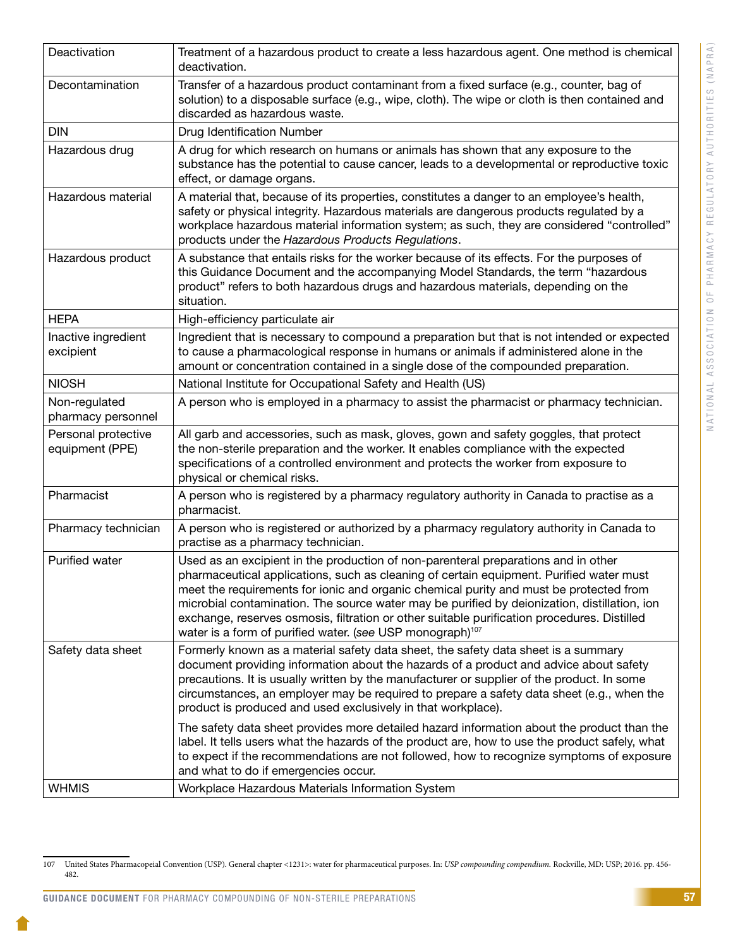| Deactivation                           | Treatment of a hazardous product to create a less hazardous agent. One method is chemical<br>deactivation.                                                                                                                                                                                                                                                                                                                                                                                                                                      |
|----------------------------------------|-------------------------------------------------------------------------------------------------------------------------------------------------------------------------------------------------------------------------------------------------------------------------------------------------------------------------------------------------------------------------------------------------------------------------------------------------------------------------------------------------------------------------------------------------|
| Decontamination                        | Transfer of a hazardous product contaminant from a fixed surface (e.g., counter, bag of<br>solution) to a disposable surface (e.g., wipe, cloth). The wipe or cloth is then contained and<br>discarded as hazardous waste.                                                                                                                                                                                                                                                                                                                      |
| <b>DIN</b>                             | Drug Identification Number                                                                                                                                                                                                                                                                                                                                                                                                                                                                                                                      |
| Hazardous drug                         | A drug for which research on humans or animals has shown that any exposure to the<br>substance has the potential to cause cancer, leads to a developmental or reproductive toxic<br>effect, or damage organs.                                                                                                                                                                                                                                                                                                                                   |
| Hazardous material                     | A material that, because of its properties, constitutes a danger to an employee's health,<br>safety or physical integrity. Hazardous materials are dangerous products regulated by a<br>workplace hazardous material information system; as such, they are considered "controlled"<br>products under the Hazardous Products Regulations.                                                                                                                                                                                                        |
| Hazardous product                      | A substance that entails risks for the worker because of its effects. For the purposes of<br>this Guidance Document and the accompanying Model Standards, the term "hazardous<br>product" refers to both hazardous drugs and hazardous materials, depending on the<br>situation.                                                                                                                                                                                                                                                                |
| <b>HEPA</b>                            | High-efficiency particulate air                                                                                                                                                                                                                                                                                                                                                                                                                                                                                                                 |
| Inactive ingredient<br>excipient       | Ingredient that is necessary to compound a preparation but that is not intended or expected<br>to cause a pharmacological response in humans or animals if administered alone in the<br>amount or concentration contained in a single dose of the compounded preparation.                                                                                                                                                                                                                                                                       |
| <b>NIOSH</b>                           | National Institute for Occupational Safety and Health (US)                                                                                                                                                                                                                                                                                                                                                                                                                                                                                      |
| Non-regulated<br>pharmacy personnel    | A person who is employed in a pharmacy to assist the pharmacist or pharmacy technician.                                                                                                                                                                                                                                                                                                                                                                                                                                                         |
| Personal protective<br>equipment (PPE) | All garb and accessories, such as mask, gloves, gown and safety goggles, that protect<br>the non-sterile preparation and the worker. It enables compliance with the expected<br>specifications of a controlled environment and protects the worker from exposure to<br>physical or chemical risks.                                                                                                                                                                                                                                              |
| Pharmacist                             | A person who is registered by a pharmacy regulatory authority in Canada to practise as a<br>pharmacist.                                                                                                                                                                                                                                                                                                                                                                                                                                         |
| Pharmacy technician                    | A person who is registered or authorized by a pharmacy regulatory authority in Canada to<br>practise as a pharmacy technician.                                                                                                                                                                                                                                                                                                                                                                                                                  |
| Purified water                         | Used as an excipient in the production of non-parenteral preparations and in other<br>pharmaceutical applications, such as cleaning of certain equipment. Purified water must<br>meet the requirements for ionic and organic chemical purity and must be protected from<br>microbial contamination. The source water may be purified by deionization, distillation, ion<br>exchange, reserves osmosis, filtration or other suitable purification procedures. Distilled<br>water is a form of purified water. (see USP monograph) <sup>107</sup> |
| Safety data sheet                      | Formerly known as a material safety data sheet, the safety data sheet is a summary<br>document providing information about the hazards of a product and advice about safety<br>precautions. It is usually written by the manufacturer or supplier of the product. In some<br>circumstances, an employer may be required to prepare a safety data sheet (e.g., when the<br>product is produced and used exclusively in that workplace).                                                                                                          |
|                                        | The safety data sheet provides more detailed hazard information about the product than the<br>label. It tells users what the hazards of the product are, how to use the product safely, what<br>to expect if the recommendations are not followed, how to recognize symptoms of exposure<br>and what to do if emergencies occur.                                                                                                                                                                                                                |
| <b>WHMIS</b>                           | Workplace Hazardous Materials Information System                                                                                                                                                                                                                                                                                                                                                                                                                                                                                                |

GUIDANCE DOCUMENT FOR PHARMACY COMPOUNDING OF NON-STERILE PREPARATIONS

<sup>107</sup> United States Pharmacopeial Convention (USP). General chapter <1231>: water for pharmaceutical purposes. In: *USP compounding compendium.* Rockville, MD: USP; 2016. pp. 456- 482.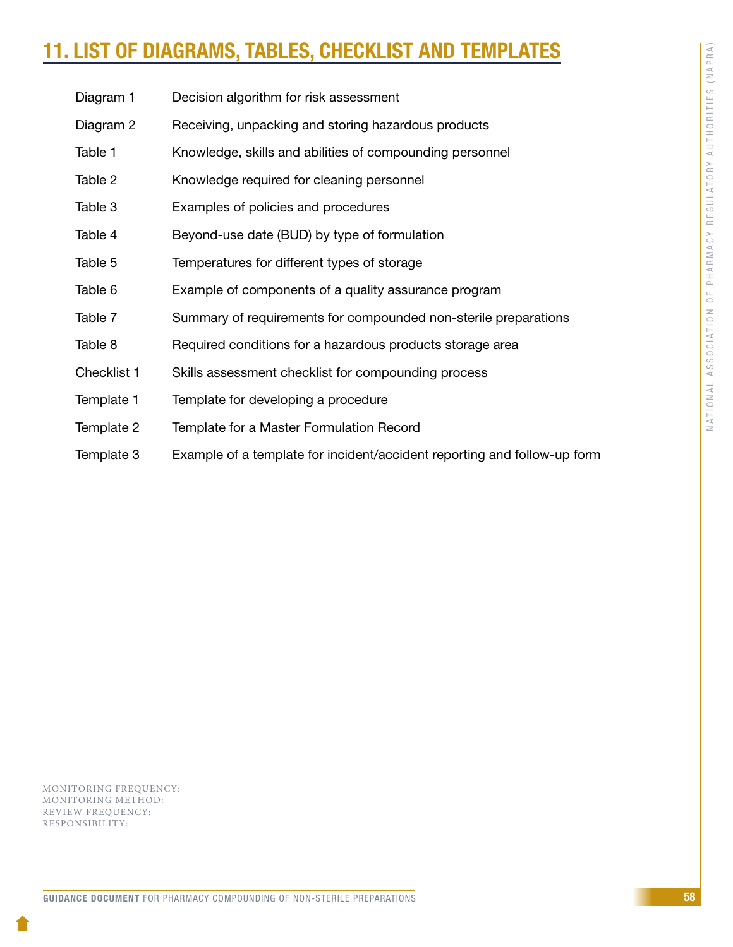# <span id="page-60-0"></span>11. LIST OF DIAGRAMS, TABLES, CHECKLIST AND TEMPLAT

- Diagram 1 Decision algorithm for risk assessment
- Diagram 2 Receiving, unpacking and storing hazardous products
- Table 1 Knowledge, skills and abilities of compounding personnel
- Table 2 Knowledge required for cleaning personnel
- Table 3 Examples of policies and procedures
- Table 4 Beyond-use date (BUD) by type of formulation
- Table 5 Temperatures for different types of storage
- Table 6 Example of components of a quality assurance program
- Table 7 Summary of requirements for compounded non-sterile preparations
- Table 8 Required conditions for a hazardous products storage area
- Checklist 1 Skills assessment checklist for compounding process
- Template 1 Template for developing a procedure
- Template 2 Template for a Master Formulation Record
- Template 3 Example of a template for incident/accident reporting and follow-up form

MONITORING FREQUENCY: MONITORING METHOD: REVIEW FREQUENCY: RESPONSIBILITY: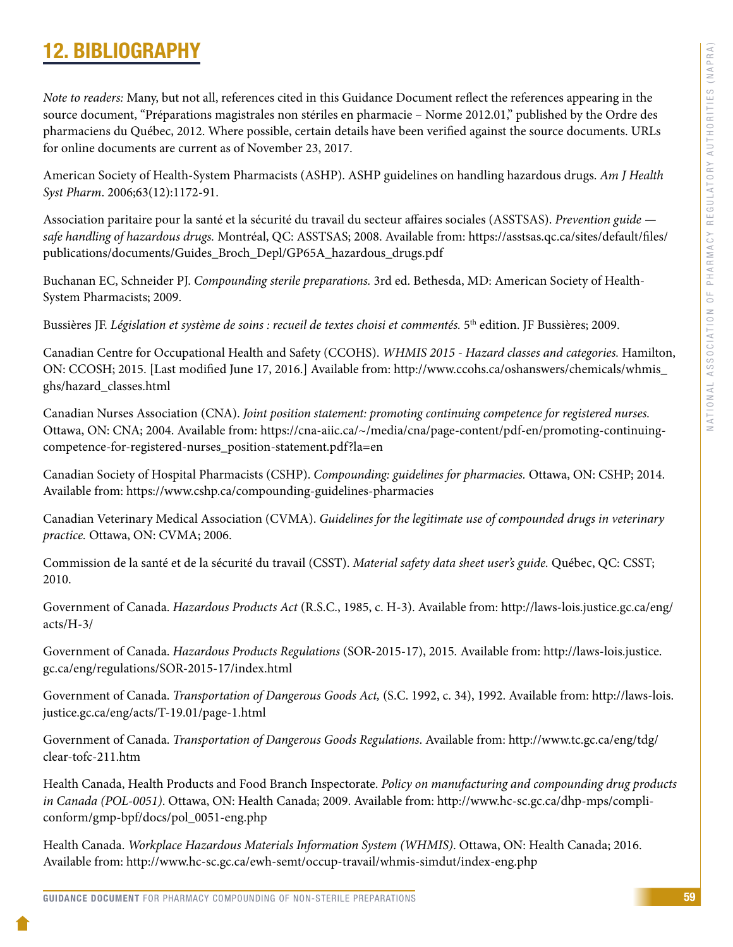# <span id="page-61-0"></span>12. BIBLIOGRAPHY

*Note to readers:* Many, but not all, references cited in this Guidance Document reflect the references appearing in the source document, "Préparations magistrales non stériles en pharmacie – Norme 2012.01," published by the Ordre des pharmaciens du Québec, 2012. Where possible, certain details have been verified against the source documents. URLs for online documents are current as of November 23, 2017.

American Society of Health-System Pharmacists (ASHP). ASHP guidelines on handling hazardous drugs. *Am J Health Syst Pharm*. 2006;63(12):1172-91.

Association paritaire pour la santé et la sécurité du travail du secteur affaires sociales (ASSTSAS). *Prevention guide safe handling of hazardous drugs.* Montréal, QC: ASSTSAS; 2008. Available from: [https://asstsas.qc.ca/sites/default/files/](https://asstsas.qc.ca/sites/default/files/publications/documents/Guides_Broch_Depl/GP65A_hazardous_drugs.pdf) [publications/documents/Guides\\_Broch\\_Depl/GP65A\\_hazardous\\_drugs.pdf](https://asstsas.qc.ca/sites/default/files/publications/documents/Guides_Broch_Depl/GP65A_hazardous_drugs.pdf)

Buchanan EC, Schneider PJ. *Compounding sterile preparations.* 3rd ed. Bethesda, MD: American Society of Health-System Pharmacists; 2009.

Bussières JF. *Législation et système de soins : recueil de textes choisi et commentés.* 5th edition. JF Bussières; 2009.

Canadian Centre for Occupational Health and Safety (CCOHS). *WHMIS 2015 - Hazard classes and categories.* Hamilton, ON: CCOSH; 2015. [Last modified June 17, 2016.] Available from: [http://www.ccohs.ca/oshanswers/chemicals/whmis\\_](http://www.ccohs.ca/oshanswers/chemicals/whmis_ghs/hazard_classes.html) [ghs/hazard\\_classes.html](http://www.ccohs.ca/oshanswers/chemicals/whmis_ghs/hazard_classes.html)

Canadian Nurses Association (CNA). *Joint position statement: promoting continuing competence for registered nurses.* Ottawa, ON: CNA; 2004. Available from: https://cna-aiic.ca/~/media/cna/page-content/pdf-en/promoting-continuingcompetence-for-registered-nurses\_position-statement.pdf?la=en

Canadian Society of Hospital Pharmacists (CSHP). *Compounding: guidelines for pharmacies.* Ottawa, ON: CSHP; 2014. Available from: https://www.cshp.ca/compounding-guidelines-pharmacies

Canadian Veterinary Medical Association (CVMA). *Guidelines for the legitimate use of compounded drugs in veterinary practice.* Ottawa, ON: CVMA; 2006.

Commission de la santé et de la sécurité du travail (CSST). *Material safety data sheet user's guide.* Québec, QC: CSST; 2010.

Government of Canada. *Hazardous Products Act* (R.S.C., 1985, c. H-3). Available from: [http://laws-lois.justice.gc.ca/eng/](http://laws-lois.justice.gc.ca/eng/acts/H-3/) [acts/H-3/](http://laws-lois.justice.gc.ca/eng/acts/H-3/)

Government of Canada. *Hazardous Products Regulations* (SOR-2015-17), 2015*.* Available from: [http://laws-lois.justice.](http://laws-lois.justice.gc.ca/eng/regulations/SOR-2015-17/index.html) [gc.ca/eng/regulations/SOR-2015-17/index.html](http://laws-lois.justice.gc.ca/eng/regulations/SOR-2015-17/index.html)

Government of Canada. *Transportation of Dangerous Goods Act,* (S.C. 1992, c. 34), 1992. Available from: [http://laws-lois.](http://laws-lois.justice.gc.ca/eng/acts/T-19.01/page-1.html) [justice.gc.ca/eng/acts/T-19.01/page-1.html](http://laws-lois.justice.gc.ca/eng/acts/T-19.01/page-1.html)

Government of Canada. *Transportation of Dangerous Goods Regulations*. Available from: [http://www.tc.gc.ca/eng/tdg/](http://www.tc.gc.ca/eng/tdg/clear-tofc-211.htm) [clear-tofc-211.htm](http://www.tc.gc.ca/eng/tdg/clear-tofc-211.htm)

Health Canada, Health Products and Food Branch Inspectorate. *Policy on manufacturing and compounding drug products in Canada (POL-0051)*. Ottawa, ON: Health Canada; 2009. Available from: http://www.hc-sc.gc.ca/dhp-mps/compliconform/gmp-bpf/docs/pol\_0051-eng.php

Health Canada. *Workplace Hazardous Materials Information System (WHMIS)*. Ottawa, ON: Health Canada; 2016. Available from: http://www.hc-sc.gc.ca/ewh-semt/occup-travail/whmis-simdut/index-eng.php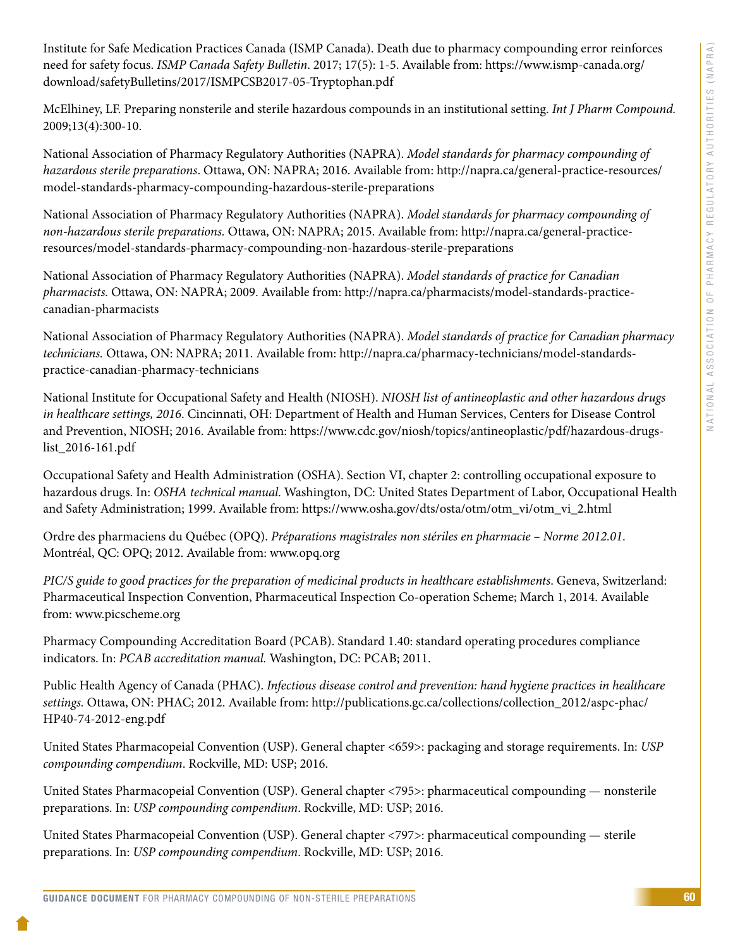Institute for Safe Medication Practices Canada (ISMP Canada). Death due to pharmacy compounding error reinforces need for safety focus. *ISMP Canada Safety Bulletin*. 2017; 17(5): 1-5. Available from: [https://www.ismp-canada.org/](https://www.ismp-canada.org/download/safetyBulletins/2017/ISMPCSB2017-05-Tryptophan.pdf) [download/safetyBulletins/2017/ISMPCSB2017-05-Tryptophan.pdf](https://www.ismp-canada.org/download/safetyBulletins/2017/ISMPCSB2017-05-Tryptophan.pdf) 

McElhiney, LF. Preparing nonsterile and sterile hazardous compounds in an institutional setting. *Int J Pharm Compound.* 2009;13(4):300-10.

National Association of Pharmacy Regulatory Authorities (NAPRA). *Model standards for pharmacy compounding of hazardous sterile preparations*. Ottawa, ON: NAPRA; 2016. Available from: [http://napra.ca/general-practice-resources/](http://napra.ca/general-practice-resources/model-standards-pharmacy-compounding-hazardous-sterile-preparations) [model-standards-pharmacy-compounding-hazardous-sterile-preparations](http://napra.ca/general-practice-resources/model-standards-pharmacy-compounding-hazardous-sterile-preparations) 

National Association of Pharmacy Regulatory Authorities (NAPRA). *Model standards for pharmacy compounding of non-hazardous sterile preparations.* Ottawa, ON: NAPRA; 2015. Available from: [http://napra.ca/general-practice](http://napra.ca/general-practice-resources/model-standards-pharmacy-compounding-non-hazardous-sterile-preparations)[resources/model-standards-pharmacy-compounding-non-hazardous-sterile-preparations](http://napra.ca/general-practice-resources/model-standards-pharmacy-compounding-non-hazardous-sterile-preparations)

National Association of Pharmacy Regulatory Authorities (NAPRA). *Model standards of practice for Canadian pharmacists.* Ottawa, ON: NAPRA; 2009. Available from: http://napra.ca/pharmacists/model-standards-practicecanadian-pharmacists

National Association of Pharmacy Regulatory Authorities (NAPRA). *Model standards of practice for Canadian pharmacy technicians.* Ottawa, ON: NAPRA; 2011. Available from: http://napra.ca/pharmacy-technicians/model-standardspractice-canadian-pharmacy-technicians

National Institute for Occupational Safety and Health (NIOSH). *NIOSH list of antineoplastic and other hazardous drugs in healthcare settings, 2016*. Cincinnati, OH: Department of Health and Human Services, Centers for Disease Control and Prevention, NIOSH; 2016. Available from: https://www.cdc.gov/niosh/topics/antineoplastic/pdf/hazardous-drugslist\_2016-161.pdf

Occupational Safety and Health Administration (OSHA). Section VI, chapter 2: controlling occupational exposure to hazardous drugs. In: *OSHA technical manual*. Washington, DC: United States Department of Labor, Occupational Health and Safety Administration; 1999. Available from: https://www.osha.gov/dts/osta/otm/otm\_vi/otm\_vi\_2.html

Ordre des pharmaciens du Québec (OPQ). *Préparations magistrales non stériles en pharmacie – Norme 2012.01*. Montréal, QC: OPQ; 2012. Available from: www.opq.org

*PIC/S guide to good practices for the preparation of medicinal products in healthcare establishments*. Geneva, Switzerland: Pharmaceutical Inspection Convention, Pharmaceutical Inspection Co-operation Scheme; March 1, 2014. Available from: www.picscheme.org

Pharmacy Compounding Accreditation Board (PCAB). Standard 1.40: standard operating procedures compliance indicators. In: *PCAB accreditation manual.* Washington, DC: PCAB; 2011.

Public Health Agency of Canada (PHAC). *Infectious disease control and prevention: hand hygiene practices in healthcare settings.* Ottawa, ON: PHAC; 2012. Available from: http://publications.gc.ca/collections/collection\_2012/aspc-phac/ HP40-74-2012-eng.pdf

United States Pharmacopeial Convention (USP). General chapter <659>: packaging and storage requirements. In: *USP compounding compendium*. Rockville, MD: USP; 2016.

United States Pharmacopeial Convention (USP). General chapter <795>: pharmaceutical compounding — nonsterile preparations. In: *USP compounding compendium*. Rockville, MD: USP; 2016.

United States Pharmacopeial Convention (USP). General chapter <797>: pharmaceutical compounding — sterile preparations. In: *USP compounding compendium*. Rockville, MD: USP; 2016.